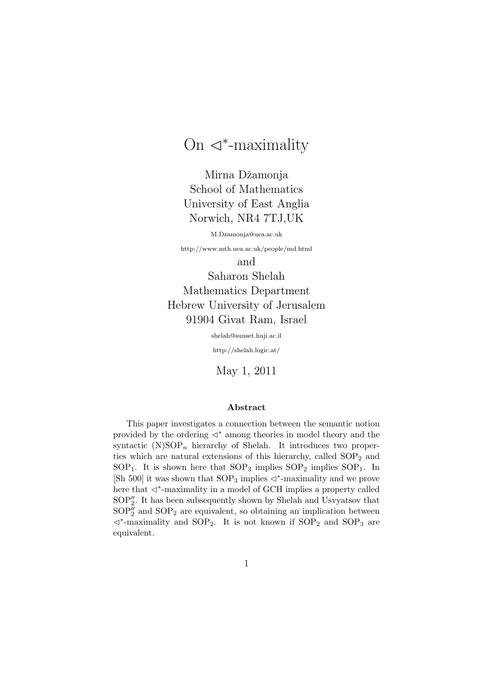# On  $\lhd^*$ -maximality

Mirna Džamonja School of Mathematics University of East Anglia Norwich, NR4 7TJ,UK

M.Dzamonja@uea.ac.uk

http://www.mth.uea.ac.uk/people/md.html

and

Saharon Shelah Mathematics Department Hebrew University of Jerusalem 91904 Givat Ram, Israel

shelah@sunset.huji.ac.il

http://shelah.logic.at/

May 1, 2011

#### Abstract

This paper investigates a connection between the semantic notion provided by the ordering  $\triangleleft^*$  among theories in model theory and the syntactic  $(N)SOP_n$  hierarchy of Shelah. It introduces two properties which are natural extensions of this hierarchy, called  $SOP<sub>2</sub>$  and  $SOP<sub>1</sub>$ . It is shown here that  $SOP<sub>3</sub>$  implies  $SOP<sub>2</sub>$  implies  $SOP<sub>1</sub>$ . In [Sh 500] it was shown that  $SOP_3$  implies  $\triangleleft^*$ -maximality and we prove .<br>here that ⊲<sup>\*</sup>-maximality in a model of GCH implies a property called  $\text{SOP}_2''$  . It has been subsequently shown by Shelah and Usvyatsov that  $\mathrm{SOP}_2''$  and  $\mathrm{SOP}_2$  are equivalent, so obtaining an implication between C∗ -maximality and SOP2. It is not known if SOP<sup>2</sup> and SOP<sup>3</sup> are equivalent.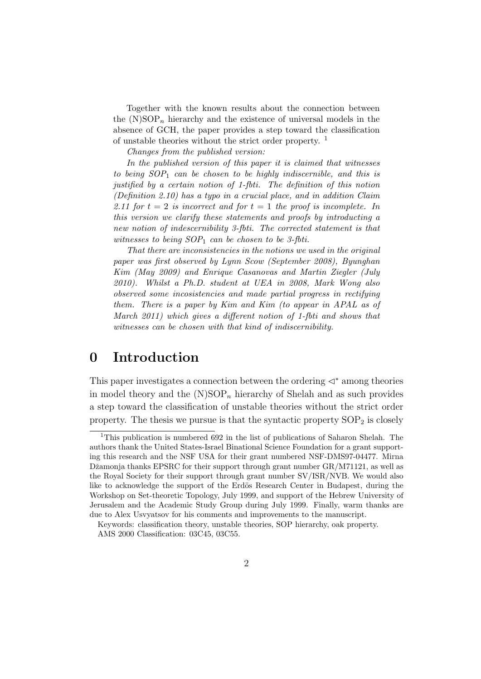Together with the known results about the connection between the  $(N)SOP_n$  hierarchy and the existence of universal models in the absence of GCH, the paper provides a step toward the classification of unstable theories without the strict order property.<sup>1</sup>

Changes from the published version:

In the published version of this paper it is claimed that witnesses to being  $SOP_1$  can be chosen to be highly indiscernible, and this is justified by a certain notion of 1-fbti. The definition of this notion (Definition 2.10) has a typo in a crucial place, and in addition Claim 2.11 for  $t = 2$  is incorrect and for  $t = 1$  the proof is incomplete. In this version we clarify these statements and proofs by introducting a new notion of indescernibility 3-fbti. The corrected statement is that witnesses to being  $SOP_1$  can be chosen to be 3-fbti.

That there are inconsistencies in the notions we used in the original paper was first observed by Lynn Scow (September 2008), Byunghan Kim (May 2009) and Enrique Casanovas and Martin Ziegler (July 2010). Whilst a Ph.D. student at UEA in 2008, Mark Wong also observed some incosistencies and made partial progress in rectifying them. There is a paper by Kim and Kim (to appear in APAL as of March 2011) which gives a different notion of 1-fbti and shows that witnesses can be chosen with that kind of indiscernibility.

### 0 Introduction

This paper investigates a connection between the ordering  $\lhd^*$  among theories in model theory and the  $(N)SOP_n$  hierarchy of Shelah and as such provides a step toward the classification of unstable theories without the strict order property. The thesis we pursue is that the syntactic property  $SOP<sub>2</sub>$  is closely

<sup>&</sup>lt;sup>1</sup>This publication is numbered 692 in the list of publications of Saharon Shelah. The authors thank the United States-Israel Binational Science Foundation for a grant supporting this research and the NSF USA for their grant numbered NSF-DMS97-04477. Mirna Džamonja thanks EPSRC for their support through grant number  $GR/M71121$ , as well as the Royal Society for their support through grant number SV/ISR/NVB. We would also like to acknowledge the support of the Erdös Research Center in Budapest, during the Workshop on Set-theoretic Topology, July 1999, and support of the Hebrew University of Jerusalem and the Academic Study Group during July 1999. Finally, warm thanks are due to Alex Usvyatsov for his comments and improvements to the manuscript.

Keywords: classification theory, unstable theories, SOP hierarchy, oak property.

AMS 2000 Classification: 03C45, 03C55.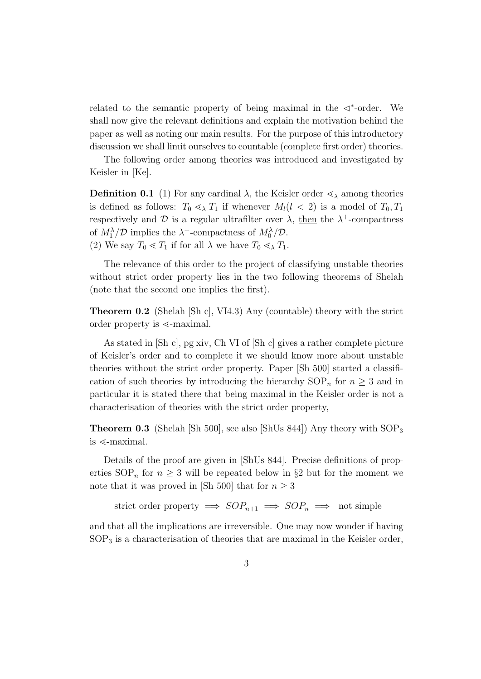related to the semantic property of being maximal in the  $\triangleleft^*$ -order. We shall now give the relevant definitions and explain the motivation behind the paper as well as noting our main results. For the purpose of this introductory discussion we shall limit ourselves to countable (complete first order) theories.

The following order among theories was introduced and investigated by Keisler in [Ke].

**Definition 0.1** (1) For any cardinal  $\lambda$ , the Keisler order  $\leq_{\lambda}$  among theories is defined as follows:  $T_0 \leq \chi T_1$  if whenever  $M_l(l \lt 2)$  is a model of  $T_0, T_1$ respectively and  $\mathcal D$  is a regular ultrafilter over  $\lambda$ , then the  $\lambda^+$ -compactness of  $M_1^{\lambda}/\mathcal{D}$  implies the  $\lambda^+$ -compactness of  $M_0^{\lambda}/\mathcal{D}$ . (2) We say  $T_0 \ll T_1$  if for all  $\lambda$  we have  $T_0 \ll_\lambda T_1$ .

The relevance of this order to the project of classifying unstable theories without strict order property lies in the two following theorems of Shelah (note that the second one implies the first).

Theorem 0.2 (Shelah [Sh c], VI4.3) Any (countable) theory with the strict order property is  $\leq$ -maximal.

As stated in [Sh c], pg xiv, Ch VI of [Sh c] gives a rather complete picture of Keisler's order and to complete it we should know more about unstable theories without the strict order property. Paper [Sh 500] started a classification of such theories by introducing the hierarchy  $SOP_n$  for  $n \geq 3$  and in particular it is stated there that being maximal in the Keisler order is not a characterisation of theories with the strict order property,

**Theorem 0.3** (Shelah [Sh 500], see also [ShUs 844]) Any theory with  $SOP_3$ is  $\le$ -maximal.

Details of the proof are given in [ShUs 844]. Precise definitions of properties  $SOP_n$  for  $n \geq 3$  will be repeated below in §2 but for the moment we note that it was proved in [Sh 500] that for  $n \geq 3$ 

strict order property  $\implies SOP_{n+1} \implies SOP_n \implies \text{not simple}$ 

and that all the implications are irreversible. One may now wonder if having  $SOP<sub>3</sub>$  is a characterisation of theories that are maximal in the Keisler order,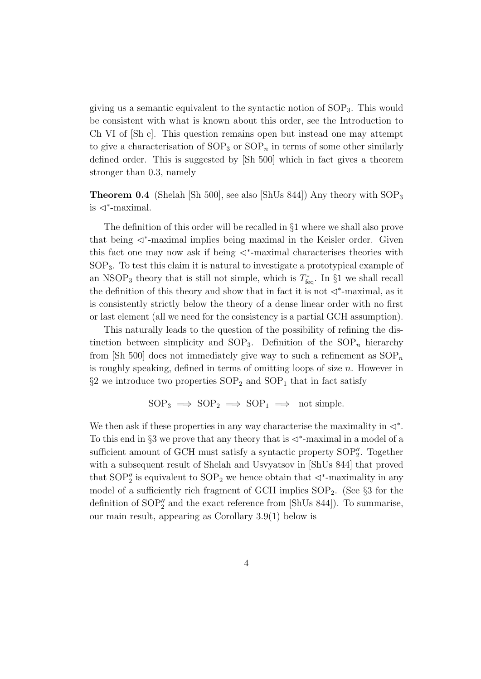giving us a semantic equivalent to the syntactic notion of SOP3. This would be consistent with what is known about this order, see the Introduction to Ch VI of [Sh c]. This question remains open but instead one may attempt to give a characterisation of  $SOP_3$  or  $SOP_n$  in terms of some other similarly defined order. This is suggested by [Sh 500] which in fact gives a theorem stronger than 0.3, namely

**Theorem 0.4** (Shelah [Sh 500], see also [ShUs 844]) Any theory with  $SOP<sub>3</sub>$ is  $\lhd^*$ -maximal.

The definition of this order will be recalled in §1 where we shall also prove that being C<sup>∗</sup> -maximal implies being maximal in the Keisler order. Given this fact one may now ask if being  $\triangleleft^*$ -maximal characterises theories with SOP3. To test this claim it is natural to investigate a prototypical example of an NSOP<sub>3</sub> theory that is still not simple, which is  $T_{\text{feq}}^*$ . In §1 we shall recall the definition of this theory and show that in fact it is not  $\lhd^*$ -maximal, as it is consistently strictly below the theory of a dense linear order with no first or last element (all we need for the consistency is a partial GCH assumption).

This naturally leads to the question of the possibility of refining the distinction between simplicity and  $SOP_3$ . Definition of the  $SOP_n$  hierarchy from [Sh 500] does not immediately give way to such a refinement as  $SOP_n$ is roughly speaking, defined in terms of omitting loops of size  $n$ . However in  $\S2$  we introduce two properties  $SOP_2$  and  $SOP_1$  that in fact satisfy

$$
SOP_3 \implies SOP_2 \implies SOP_1 \implies not simple.
$$

We then ask if these properties in any way characterise the maximality in  $\lhd^*$ . To this end in §3 we prove that any theory that is  $\lhd^*$ -maximal in a model of a sufficient amount of GCH must satisfy a syntactic property  $SOP''_2$ . Together with a subsequent result of Shelah and Usvyatsov in [ShUs 844] that proved that  $SOP''_2$  is equivalent to  $SOP_2$  we hence obtain that  $\lhd^*$ -maximality in any model of a sufficiently rich fragment of GCH implies  $SOP_2$ . (See §3 for the definition of  $SOP''_2$  and the exact reference from [ShUs 844]). To summarise, our main result, appearing as Corollary 3.9(1) below is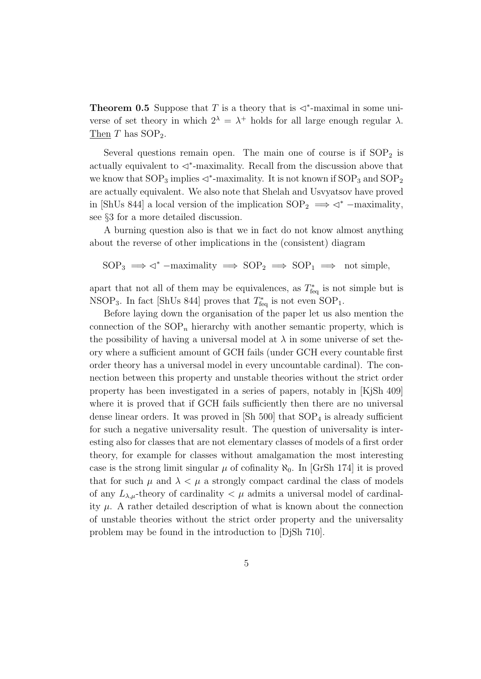**Theorem 0.5** Suppose that T is a theory that is  $\triangleleft^*$ -maximal in some universe of set theory in which  $2^{\lambda} = \lambda^+$  holds for all large enough regular  $\lambda$ . Then  $T$  has  $SOP_2$ .

Several questions remain open. The main one of course is if  $SOP<sub>2</sub>$  is actually equivalent to  $\prec^*$ -maximality. Recall from the discussion above that we know that  $\text{SOP}_3$  implies  $\triangleleft^*$ -maximality. It is not known if  $\text{SOP}_3$  and  $\text{SOP}_2$ are actually equivalent. We also note that Shelah and Usvyatsov have proved in [ShUs 844] a local version of the implication  $SOP_2 \implies \vartriangleleft^*$  –maximality, see §3 for a more detailed discussion.

A burning question also is that we in fact do not know almost anything about the reverse of other implications in the (consistent) diagram

$$
SOP_3 \implies \vartriangleleft^*
$$
 –maximality  $\implies$   $SOP_2 \implies$   $SOP_1 \implies$  not simple,

apart that not all of them may be equivalences, as  $T_{\text{feq}}^*$  is not simple but is NSOP<sub>3</sub>. In fact [ShUs 844] proves that  $T_{\text{feq}}^*$  is not even SOP<sub>1</sub>.

Before laying down the organisation of the paper let us also mention the connection of the  $SOP_n$  hierarchy with another semantic property, which is the possibility of having a universal model at  $\lambda$  in some universe of set theory where a sufficient amount of GCH fails (under GCH every countable first order theory has a universal model in every uncountable cardinal). The connection between this property and unstable theories without the strict order property has been investigated in a series of papers, notably in [KjSh 409] where it is proved that if GCH fails sufficiently then there are no universal dense linear orders. It was proved in  $\left[\text{Sh } 500\right]$  that  $\text{SOP}_4$  is already sufficient for such a negative universality result. The question of universality is interesting also for classes that are not elementary classes of models of a first order theory, for example for classes without amalgamation the most interesting case is the strong limit singular  $\mu$  of cofinality  $\aleph_0$ . In [GrSh 174] it is proved that for such  $\mu$  and  $\lambda < \mu$  a strongly compact cardinal the class of models of any  $L_{\lambda,\mu}$ -theory of cardinality  $\langle \mu \rangle$  admits a universal model of cardinality  $\mu$ . A rather detailed description of what is known about the connection of unstable theories without the strict order property and the universality problem may be found in the introduction to [DjSh 710].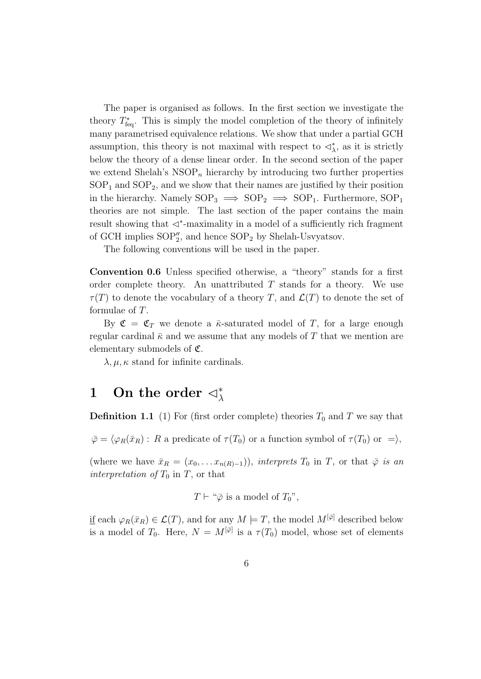The paper is organised as follows. In the first section we investigate the theory  $T_{\text{feq}}^*$ . This is simply the model completion of the theory of infinitely many parametrised equivalence relations. We show that under a partial GCH assumption, this theory is not maximal with respect to  $\lhd^*_{\lambda}$ , as it is strictly below the theory of a dense linear order. In the second section of the paper we extend Shelah's  $NSOP_n$  hierarchy by introducing two further properties  $SOP<sub>1</sub>$  and  $SOP<sub>2</sub>$ , and we show that their names are justified by their position in the hierarchy. Namely  $SOP_3 \implies SOP_2 \implies SOP_1$ . Furthermore,  $SOP_1$ theories are not simple. The last section of the paper contains the main result showing that  $\triangleleft^*$ -maximality in a model of a sufficiently rich fragment of GCH implies  $SOP''_2$ , and hence  $SOP_2$  by Shelah-Usvyatsov.

The following conventions will be used in the paper.

Convention 0.6 Unless specified otherwise, a "theory" stands for a first order complete theory. An unattributed  $T$  stands for a theory. We use  $\tau(T)$  to denote the vocabulary of a theory T, and  $\mathcal{L}(T)$  to denote the set of formulae of T.

By  $\mathfrak{C} = \mathfrak{C}_T$  we denote a  $\bar{\kappa}$ -saturated model of T, for a large enough regular cardinal  $\bar{\kappa}$  and we assume that any models of T that we mention are elementary submodels of  $\mathfrak{C}$ .

 $\lambda, \mu, \kappa$  stand for infinite cardinals.

## 1 On the order  $\lhd^*_{\lambda}$

**Definition 1.1** (1) For (first order complete) theories  $T_0$  and T we say that

 $\overline{\varphi} = \langle \varphi_R(\overline{x}_R) : R$  a predicate of  $\tau(T_0)$  or a function symbol of  $\tau(T_0)$  or  $=$ ),

(where we have  $\bar{x}_R = (x_0, \ldots x_{n(R)-1})$ ), interprets  $T_0$  in T, or that  $\bar{\varphi}$  is an interpretation of  $T_0$  in T, or that

 $T \vdash ``\bar{\varphi}$  is a model of  $T_0$ ",

<u>if</u> each  $\varphi_R(\bar{x}_R) \in \mathcal{L}(T)$ , and for any  $M \models T$ , the model  $M^{[\bar{\varphi}]}$  described below is a model of  $T_0$ . Here,  $N = M^{[\bar{\varphi}]}$  is a  $\tau(T_0)$  model, whose set of elements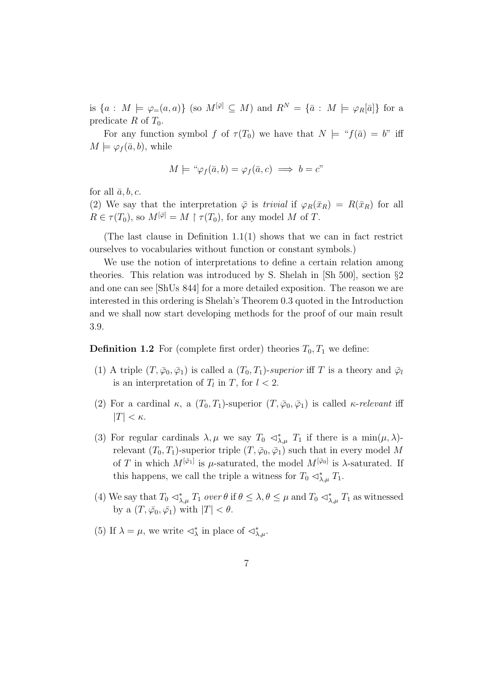is  $\{a: M \models \varphi_{=}(a, a)\}\$  (so  $M^{[\bar{\varphi}]} \subseteq M$ ) and  $R^N = \{\bar{a}: M \models \varphi_R[\bar{a}]\}\$  for a predicate R of  $T_0$ .

For any function symbol f of  $\tau(T_0)$  we have that  $N \models "f(\bar{a}) = b"$  iff  $M \models \varphi_f(\bar{a}, b)$ , while

$$
M \models " \varphi_f(\bar{a}, b) = \varphi_f(\bar{a}, c) \implies b = c"
$$

for all  $\bar{a}$ , b, c.

(2) We say that the interpretation  $\overline{\varphi}$  is *trivial* if  $\varphi_R(\overline{x}_R) = R(\overline{x}_R)$  for all  $R \in \tau(T_0)$ , so  $M^{[\bar{\varphi}]} = M \upharpoonright \tau(T_0)$ , for any model M of T.

(The last clause in Definition 1.1(1) shows that we can in fact restrict ourselves to vocabularies without function or constant symbols.)

We use the notion of interpretations to define a certain relation among theories. This relation was introduced by S. Shelah in [Sh 500], section §2 and one can see [ShUs 844] for a more detailed exposition. The reason we are interested in this ordering is Shelah's Theorem 0.3 quoted in the Introduction and we shall now start developing methods for the proof of our main result 3.9.

**Definition 1.2** For (complete first order) theories  $T_0, T_1$  we define:

- (1) A triple  $(T, \bar{\varphi}_0, \bar{\varphi}_1)$  is called a  $(T_0, T_1)$ -superior iff T is a theory and  $\bar{\varphi}_l$ is an interpretation of  $T_l$  in  $T$ , for  $l < 2$ .
- (2) For a cardinal  $\kappa$ , a  $(T_0, T_1)$ -superior  $(T, \bar{\varphi}_0, \bar{\varphi}_1)$  is called  $\kappa$ -relevant iff  $|T| < \kappa$ .
- (3) For regular cardinals  $\lambda, \mu$  we say  $T_0 \ll_{\lambda,\mu}^* T_1$  if there is a min $(\mu, \lambda)$ relevant  $(T_0, T_1)$ -superior triple  $(T, \bar{\varphi}_0, \bar{\varphi}_1)$  such that in every model M of T in which  $M^{[\bar{\varphi}_1]}$  is  $\mu$ -saturated, the model  $M^{[\bar{\varphi}_0]}$  is  $\lambda$ -saturated. If this happens, we call the triple a witness for  $T_0 \triangleleft^*_{\lambda,\mu} T_1$ .
- (4) We say that  $T_0 \lhd^*_{\lambda,\mu} T_1$  over  $\theta$  if  $\theta \leq \lambda, \theta \leq \mu$  and  $T_0 \lhd^*_{\lambda,\mu} T_1$  as witnessed by a  $(T, \bar{\varphi}_0, \bar{\varphi}_1)$  with  $|T| < \theta$ .
- (5) If  $\lambda = \mu$ , we write  $\langle \lambda \rangle^*$  in place of  $\langle \lambda \rangle^*_{\lambda,\mu}$ .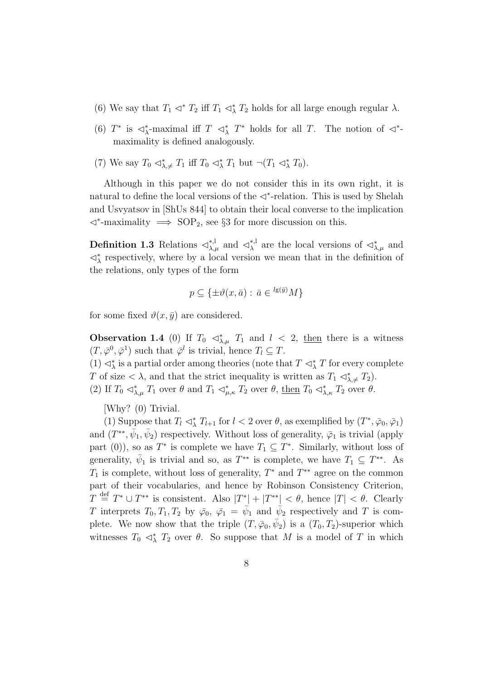- (6) We say that  $T_1 \lhd^* T_2$  iff  $T_1 \lhd^* T_2$  holds for all large enough regular  $\lambda$ .
- (6)  $T^*$  is  $\triangleleft^*_{\lambda}$ -maximal iff  $T \triangleleft^*_{\lambda} T^*$  holds for all  $T$ . The notion of  $\triangleleft^*$ maximality is defined analogously.
- (7) We say  $T_0 \lhd^*_{\lambda,\neq} T_1$  iff  $T_0 \lhd^*_{\lambda} T_1$  but  $\neg (T_1 \lhd^*_{\lambda} T_0)$ .

Although in this paper we do not consider this in its own right, it is natural to define the local versions of the  $\lhd^*$ -relation. This is used by Shelah and Usvyatsov in [ShUs 844] to obtain their local converse to the implication C<sup>∗</sup> -maximality =⇒ SOP2, see §3 for more discussion on this.

**Definition 1.3** Relations  $\triangleleft^{*,l}_{\lambda,\mu}$  and  $\triangleleft^{*,l}_{\lambda}$ <sup>\*,1</sup> are the local versions of  $\langle \mathcal{L}^*_{\lambda,\mu} \rangle$  and  $\triangleleft^*_{\lambda}$  respectively, where by a local version we mean that in the definition of the relations, only types of the form

$$
p \subseteq \{ \pm \vartheta(x, \bar{a}) : \bar{a} \in {}^{l g(\bar{y})} M \}
$$

for some fixed  $\vartheta(x, \bar{y})$  are considered.

**Observation 1.4** (0) If  $T_0 \leq \lambda_{\lambda,\mu}^*$   $T_1$  and  $l \leq 2$ , then there is a witness  $(T, \overline{\varphi}^0, \overline{\varphi}^1)$  such that  $\overline{\varphi}^l$  is trivial, hence  $T_l \subseteq T$ . (1)  $\triangleleft^*_{\lambda}$  is a partial order among theories (note that  $T \triangleleft^*_{\lambda} T$  for every complete T of size  $\langle \lambda \rangle$ , and that the strict inequality is written as  $T_1 \triangleleft^*_{\lambda, \neq} T_2$ .

(2) If  $T_0 \lhd_{\lambda,\mu}^* T_1$  over  $\theta$  and  $T_1 \lhd_{\mu,\kappa}^* T_2$  over  $\theta$ , then  $T_0 \lhd_{\lambda,\kappa}^* T_2$  over  $\theta$ .

[Why? (0) Trivial.

(1) Suppose that  $T_l \lhd^*_{\lambda} T_{l+1}$  for  $l < 2$  over  $\theta$ , as exemplified by  $(T^*, \bar{\varphi}_0, \bar{\varphi}_1)$ and  $(T^{**}, \bar{\psi}_1, \bar{\psi}_2)$  respectively. Without loss of generality,  $\bar{\varphi}_1$  is trivial (apply part (0)), so as  $T^*$  is complete we have  $T_1 \subseteq T^*$ . Similarly, without loss of generality,  $\bar{\psi}_1$  is trivial and so, as  $T^{**}$  is complete, we have  $T_1 \subseteq T^{**}$ . As  $T_1$  is complete, without loss of generality,  $T^*$  and  $T^{**}$  agree on the common part of their vocabularies, and hence by Robinson Consistency Criterion,  $T \stackrel{\text{def}}{=} T^* \cup T^{**}$  is consistent. Also  $|T^*| + |T^{**}| < \theta$ , hence  $|T| < \theta$ . Clearly T interprets  $T_0, T_1, T_2$  by  $\bar{\varphi}_0, \bar{\varphi}_1 = \bar{\psi}_1$  and  $\bar{\psi}_2$  respectively and T is complete. We now show that the triple  $(T, \bar{\varphi}_0, \bar{\psi}_2)$  is a  $(T_0, T_2)$ -superior which witnesses  $T_0 \prec^*_{\lambda} T_2$  over  $\theta$ . So suppose that M is a model of T in which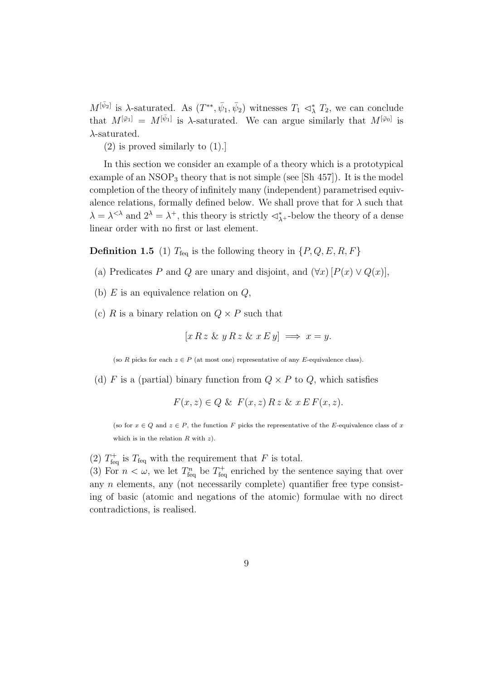$M^{[\bar{\psi}_2]}$  is  $\lambda$ -saturated. As  $(T^{**}, \bar{\psi}_1, \bar{\psi}_2)$  witnesses  $T_1 \prec^*_{\lambda} T_2$ , we can conclude that  $M^{[\bar{\varphi}_1]} = M^{[\bar{\psi}_1]}$  is  $\lambda$ -saturated. We can argue similarly that  $M^{[\bar{\varphi}_0]}$  is  $\lambda$ -saturated.

(2) is proved similarly to (1).]

In this section we consider an example of a theory which is a prototypical example of an  $NSOP_3$  theory that is not simple (see [Sh 457]). It is the model completion of the theory of infinitely many (independent) parametrised equivalence relations, formally defined below. We shall prove that for  $\lambda$  such that  $\lambda = \lambda^{<\lambda}$  and  $2^{\lambda} = \lambda^{+}$ , this theory is strictly  $\langle \lambda^{*} \rangle$  -below the theory of a dense linear order with no first or last element.

**Definition 1.5** (1)  $T_{\text{feq}}$  is the following theory in  $\{P, Q, E, R, F\}$ 

- (a) Predicates P and Q are unary and disjoint, and  $(\forall x)$  [ $P(x) \vee Q(x)$ ],
- (b)  $E$  is an equivalence relation on  $Q$ ,
- (c) R is a binary relation on  $Q \times P$  such that

$$
[x R z \& y R z \& x E y] \implies x = y.
$$

(so R picks for each  $z \in P$  (at most one) representative of any E-equivalence class).

(d) F is a (partial) binary function from  $Q \times P$  to  $Q$ , which satisfies

$$
F(x, z) \in Q \& F(x, z) \, R \, z \& x \, E \, F(x, z).
$$

(so for  $x \in Q$  and  $z \in P$ , the function F picks the representative of the E-equivalence class of x which is in the relation  $R$  with  $z$ ).

(2)  $T_{\text{feq}}^{+}$  is  $T_{\text{feq}}$  with the requirement that F is total.

(3) For  $n < \omega$ , we let  $T_{\text{feq}}^n$  be  $T_{\text{feq}}^+$  enriched by the sentence saying that over any  $n$  elements, any (not necessarily complete) quantifier free type consisting of basic (atomic and negations of the atomic) formulae with no direct contradictions, is realised.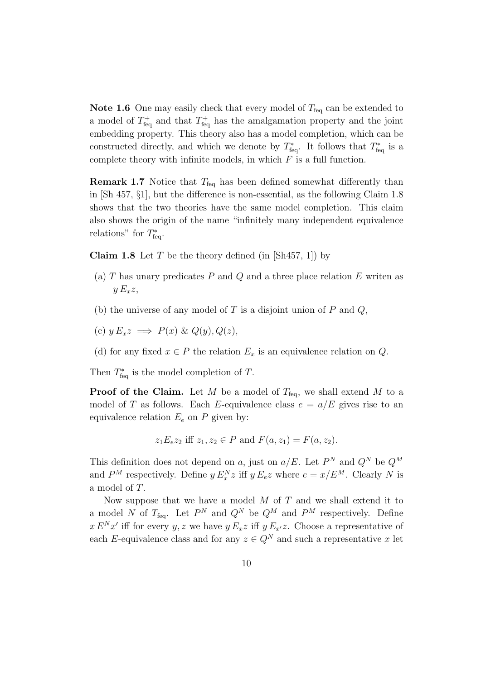**Note 1.6** One may easily check that every model of  $T_{\text{feq}}$  can be extended to a model of  $T_{\text{feq}}^+$  and that  $T_{\text{feq}}^+$  has the amalgamation property and the joint embedding property. This theory also has a model completion, which can be constructed directly, and which we denote by  $T_{\text{feq}}^*$ . It follows that  $T_{\text{feq}}^*$  is a complete theory with infinite models, in which  $F$  is a full function.

**Remark 1.7** Notice that  $T_{\text{feq}}$  has been defined somewhat differently than in [Sh 457, §1], but the difference is non-essential, as the following Claim 1.8 shows that the two theories have the same model completion. This claim also shows the origin of the name "infinitely many independent equivalence relations" for  $T^*_{\text{feq}}$ .

**Claim 1.8** Let T be the theory defined (in  $[Sh457, 1]$ ) by

- (a)  $T$  has unary predicates  $P$  and  $Q$  and a three place relation  $E$  writen as  $y E_x z$ ,
- (b) the universe of any model of  $T$  is a disjoint union of  $P$  and  $Q$ ,
- (c)  $y E_x z \implies P(x) \& Q(y), Q(z),$
- (d) for any fixed  $x \in P$  the relation  $E_x$  is an equivalence relation on Q.

Then  $T_{\text{feq}}^*$  is the model completion of T.

**Proof of the Claim.** Let M be a model of  $T_{\text{fea}}$ , we shall extend M to a model of T as follows. Each E-equivalence class  $e = a/E$  gives rise to an equivalence relation  $E_e$  on P given by:

$$
z_1 E_e z_2
$$
 iff  $z_1, z_2 \in P$  and  $F(a, z_1) = F(a, z_2)$ .

This definition does not depend on a, just on  $a/E$ . Let  $P<sup>N</sup>$  and  $Q<sup>N</sup>$  be  $Q<sup>M</sup>$ and  $P^M$  respectively. Define  $y E_x^N z$  iff  $y E_e z$  where  $e = x/E^M$ . Clearly N is a model of T.

Now suppose that we have a model  $M$  of  $T$  and we shall extend it to a model N of  $T_{\text{feq}}$ . Let  $P^N$  and  $Q^N$  be  $Q^M$  and  $P^M$  respectively. Define  $x E^{N} x'$  iff for every y, z we have  $y E_x z$  iff  $y E_{x'} z$ . Choose a representative of each E-equivalence class and for any  $z \in Q^N$  and such a representative x let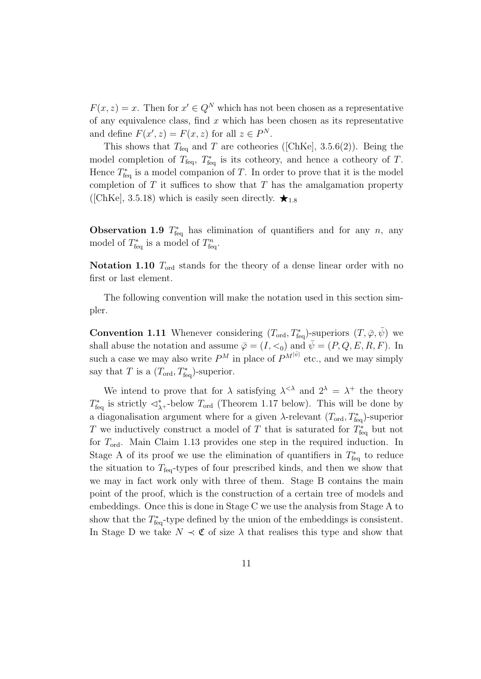$F(x, z) = x$ . Then for  $x' \in Q^N$  which has not been chosen as a representative of any equivalence class, find  $x$  which has been chosen as its representative and define  $F(x', z) = F(x, z)$  for all  $z \in P^N$ .

This shows that  $T_{\text{feq}}$  and T are cotheories ([ChKe], 3.5.6(2)). Being the model completion of  $T_{\text{feq}}$ ,  $T_{\text{feq}}^*$  is its cotheory, and hence a cotheory of T. Hence  $T_{\text{feq}}^*$  is a model companion of T. In order to prove that it is the model completion of  $T$  it suffices to show that  $T$  has the amalgamation property ([ChKe], 3.5.18) which is easily seen directly.  $\star_{1.8}$ 

**Observation 1.9**  $T_{\text{feq}}^*$  has elimination of quantifiers and for any n, any model of  $T_{\text{feq}}^*$  is a model of  $T_{\text{feq}}^n$ .

Notation 1.10  $T_{\text{ord}}$  stands for the theory of a dense linear order with no first or last element.

The following convention will make the notation used in this section simpler.

**Convention 1.11** Whenever considering  $(T_{\text{ord}}, T_{\text{feq}}^*)$ -superiors  $(T, \bar{\varphi}, \bar{\psi})$  we shall abuse the notation and assume  $\bar{\varphi} = (I, \leq_0)$  and  $\bar{\psi} = (P, Q, E, R, F)$ . In such a case we may also write  $P^M$  in place of  $P^{M[\bar{\psi}]}$  etc., and we may simply say that T is a  $(T_{\text{ord}}, T_{\text{feq}})$ -superior.

We intend to prove that for  $\lambda$  satisfying  $\lambda^{\langle \lambda \rangle}$  and  $2^{\lambda} = \lambda^+$  the theory  $T^*_{\text{feq}}$  is strictly  $\triangleleft^*_{\lambda^+}$ -below  $T_{\text{ord}}$  (Theorem 1.17 below). This will be done by a diagonalisation argument where for a given  $\lambda$ -relevant  $(T_{\text{ord}}, T_{\text{feq}}^*)$ -superior T we inductively construct a model of T that is saturated for  $T_{\text{feq}}^*$  but not for  $T_{\text{ord}}$ . Main Claim 1.13 provides one step in the required induction. In Stage A of its proof we use the elimination of quantifiers in  $T_{\text{feq}}^*$  to reduce the situation to  $T_{\text{feq}}$ -types of four prescribed kinds, and then we show that we may in fact work only with three of them. Stage B contains the main point of the proof, which is the construction of a certain tree of models and embeddings. Once this is done in Stage C we use the analysis from Stage A to show that the  $T_{\text{feq}}^*$ -type defined by the union of the embeddings is consistent. In Stage D we take  $N \prec \mathfrak{C}$  of size  $\lambda$  that realises this type and show that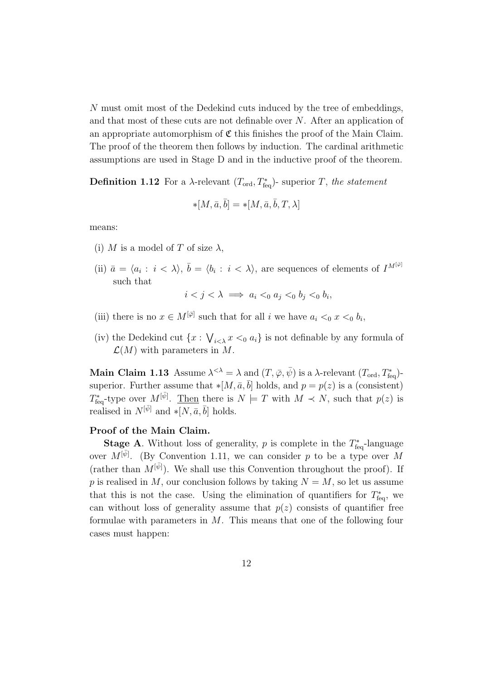N must omit most of the Dedekind cuts induced by the tree of embeddings, and that most of these cuts are not definable over N. After an application of an appropriate automorphism of  $\mathfrak C$  this finishes the proof of the Main Claim. The proof of the theorem then follows by induction. The cardinal arithmetic assumptions are used in Stage D and in the inductive proof of the theorem.

**Definition 1.12** For a  $\lambda$ -relevant  $(T_{\text{ord}}, T_{\text{feq}}^*)$ - superior T, the statement

$$
*[M, \bar{a}, \bar{b}] = *[M, \bar{a}, \bar{b}, T, \lambda]
$$

means:

- (i) M is a model of T of size  $\lambda$ ,
- (ii)  $\bar{a} = \langle a_i : i \langle \lambda \rangle, \bar{b} = \langle b_i : i \langle \lambda \rangle$ , are sequences of elements of  $I^{M^{[\bar{\varphi}]}}$ such that

$$
i < j < \lambda \implies a_i <_0 a_j <_0 b_j <_0 b_i,
$$

- (iii) there is no  $x \in M^{[\bar{\varphi}]}$  such that for all i we have  $a_i <_0 x <_0 b_i$ ,
- (iv) the Dedekind cut  $\{x: \bigvee_{i < \lambda} x <_0 a_i\}$  is not definable by any formula of  $\mathcal{L}(M)$  with parameters in M.

Main Claim 1.13 Assume  $\lambda^{<\lambda} = \lambda$  and  $(T, \bar{\varphi}, \bar{\psi})$  is a  $\lambda$ -relevant  $(T_{\text{ord}}, T_{\text{feq}}^*)$ superior. Further assume that  $\ast [M, \bar{a}, \bar{b}]$  holds, and  $p = p(z)$  is a (consistent)  $T^*_{\text{feq}}$ -type over  $M^{[\bar{\psi}]}$ . Then there is  $N \models T$  with  $M \prec N$ , such that  $p(z)$  is realised in  $N^{[\bar{\psi}]}$  and  $\ast [N, \bar{a}, \bar{b}]$  holds.

#### Proof of the Main Claim.

**Stage A**. Without loss of generality, p is complete in the  $T_{\text{feq}}^*$ -language over  $M^{[\bar{\psi}]}$ . (By Convention 1.11, we can consider p to be a type over M (rather than  $M^{[\bar{\psi}]}$ ). We shall use this Convention throughout the proof). If p is realised in M, our conclusion follows by taking  $N = M$ , so let us assume that this is not the case. Using the elimination of quantifiers for  $T_{\text{feq}}^*$ , we can without loss of generality assume that  $p(z)$  consists of quantifier free formulae with parameters in M. This means that one of the following four cases must happen: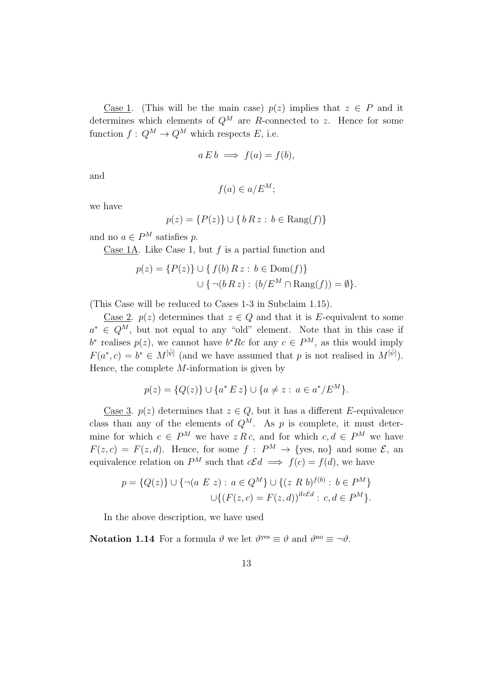Case 1. (This will be the main case)  $p(z)$  implies that  $z \in P$  and it determines which elements of  $Q^M$  are R-connected to z. Hence for some function  $f: Q^M \to Q^M$  which respects E, i.e.

$$
a E b \implies f(a) = f(b),
$$

and

$$
f(a) \in a/E^M;
$$

we have

$$
p(z) = \{P(z)\} \cup \{b R z : b \in \text{Rang}(f)\}\
$$

and no  $a \in P^M$  satisfies p.

Case 1A. Like Case 1, but  $f$  is a partial function and

$$
p(z) = \{P(z)\} \cup \{f(b) R z : b \in \text{Dom}(f)\}
$$
  

$$
\cup \{ \neg (b R z) : (b/E^M \cap \text{Rang}(f)) = \emptyset \}.
$$

(This Case will be reduced to Cases 1-3 in Subclaim 1.15).

Case 2.  $p(z)$  determines that  $z \in Q$  and that it is E-equivalent to some  $a^* \in Q^M$ , but not equal to any "old" element. Note that in this case if  $b^*$  realises  $p(z)$ , we cannot have  $b^*Rc$  for any  $c \in P^M$ , as this would imply  $F(a^*, c) = b^* \in M^{[\bar{\psi}]}$  (and we have assumed that p is not realised in  $M^{[\bar{\psi}]}$ ). Hence, the complete  $M$ -information is given by

$$
p(z) = \{Q(z)\} \cup \{a^* E z\} \cup \{a \neq z : a \in a^*/E^M\}.
$$

Case 3.  $p(z)$  determines that  $z \in Q$ , but it has a different E-equivalence class than any of the elements of  $Q^M$ . As p is complete, it must determine for which  $c \in P^M$  we have  $z R c$ , and for which  $c, d \in P^M$  we have  $F(z, c) = F(z, d)$ . Hence, for some  $f : P^M \to \{$ yes, no and some  $\mathcal{E}$ , an equivalence relation on  $P^M$  such that  $c\mathcal{E}d \implies f(c) = f(d)$ , we have

$$
p = \{Q(z)\} \cup \{\neg(a \ E \ z) : a \in Q^M\} \cup \{(z \ R \ b)^{f(b)} : b \in P^M\}
$$

$$
\cup \{(F(z, c) = F(z, d))^{if c\mathcal{E}d} : c, d \in P^M\}.
$$

In the above description, we have used

**Notation 1.14** For a formula  $\vartheta$  we let  $\vartheta^{yes} \equiv \vartheta$  and  $\vartheta^{no} \equiv \neg \vartheta$ .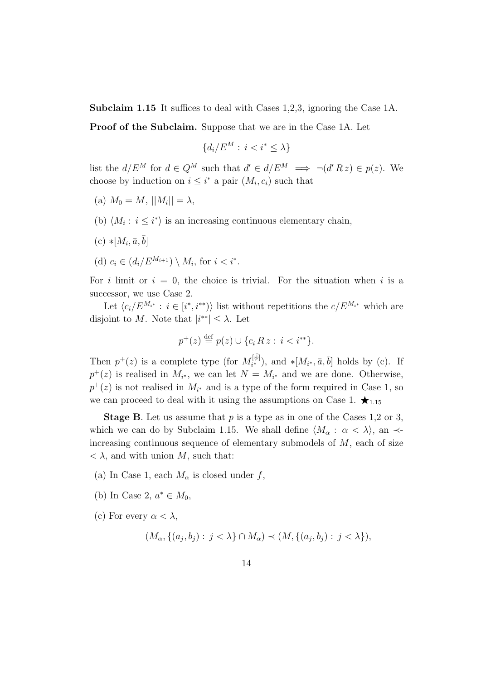Subclaim 1.15 It suffices to deal with Cases 1,2,3, ignoring the Case 1A.

Proof of the Subclaim. Suppose that we are in the Case 1A. Let

$$
\{d_i/E^M : i < i^* \le \lambda\}
$$

list the  $d/E^M$  for  $d \in Q^M$  such that  $d' \in d/E^M \implies \neg(d'Rz) \in p(z)$ . We choose by induction on  $i \leq i^*$  a pair  $(M_i, c_i)$  such that

- (a)  $M_0 = M$ ,  $||M_i|| = \lambda$ ,
- (b)  $\langle M_i : i \leq i^* \rangle$  is an increasing continuous elementary chain,
- $(c) * [M_i, \bar{a}, \bar{b}]$
- (d)  $c_i \in (d_i/E^{M_{i+1}}) \setminus M_i$ , for  $i < i^*$ .

For i limit or  $i = 0$ , the choice is trivial. For the situation when i is a successor, we use Case 2.

Let  $\langle c_i/E^{M_{i^*}} : i \in [i^*, i^{**}) \rangle$  list without repetitions the  $c/E^{M_{i^*}}$  which are disjoint to M. Note that  $|i^{**}| \leq \lambda$ . Let

$$
p^+(z) \stackrel{\text{def}}{=} p(z) \cup \{c_i R z : i < i^{**}\}.
$$

Then  $p^+(z)$  is a complete type (for  $M_{i^*}^{[\bar{\psi}]}$  $\mathcal{F}_{i^*}^{[\psi]}$ ), and  $\mathcal{F}[M_{i^*}, \bar{a}, \bar{b}]$  holds by (c). If  $p^+(z)$  is realised in  $M_{i^*}$ , we can let  $N = M_{i^*}$  and we are done. Otherwise,  $p^+(z)$  is not realised in  $M_{i^*}$  and is a type of the form required in Case 1, so we can proceed to deal with it using the assumptions on Case 1.  $\star_{1.15}$ 

**Stage B**. Let us assume that  $p$  is a type as in one of the Cases 1,2 or 3, which we can do by Subclaim 1.15. We shall define  $\langle M_{\alpha} : \alpha < \lambda \rangle$ , an  $\prec$ increasing continuous sequence of elementary submodels of M, each of size  $\langle \lambda \rangle$ , and with union M, such that:

- (a) In Case 1, each  $M_{\alpha}$  is closed under f,
- (b) In Case 2,  $a^* \in M_0$ ,
- (c) For every  $\alpha < \lambda$ ,

$$
(M_{\alpha}, \{(a_j, b_j) : j < \lambda\} \cap M_{\alpha}) \prec (M, \{(a_j, b_j) : j < \lambda\}),
$$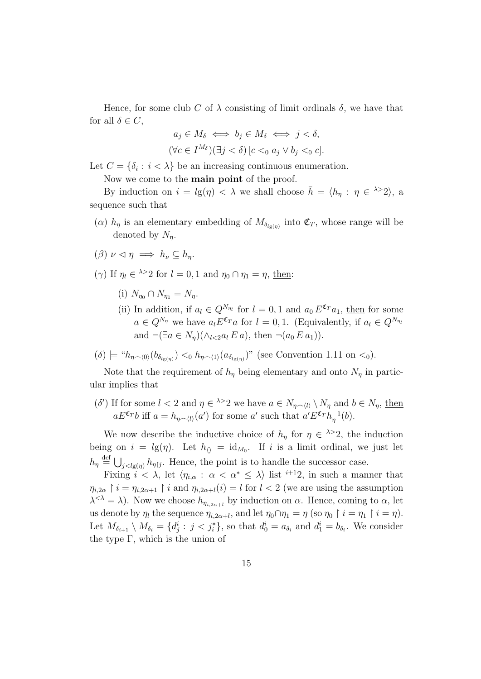Hence, for some club C of  $\lambda$  consisting of limit ordinals  $\delta$ , we have that for all  $\delta \in C$ ,

$$
a_j \in M_\delta \iff b_j \in M_\delta \iff j < \delta,
$$
  

$$
(\forall c \in I^{M_\delta})(\exists j < \delta) \left[c <_0 a_j \lor b_j <_0 c\right].
$$

Let  $C = \{\delta_i : i < \lambda\}$  be an increasing continuous enumeration.

Now we come to the main point of the proof.

By induction on  $i = lg(\eta) < \lambda$  we shall choose  $\bar{h} = \langle h_{\eta} : \eta \in \lambda > 2 \rangle$ , a sequence such that

- ( $\alpha$ )  $h_{\eta}$  is an elementary embedding of  $M_{\delta_{lg(\eta)}}$  into  $\mathfrak{C}_T$ , whose range will be denoted by  $N_n$ .
- $(\beta) \nu \lhd n \implies h_{\nu} \subset h_n$ .
- ( $\gamma$ ) If  $\eta_l \in$   $\lambda > 2$  for  $l = 0, 1$  and  $\eta_0 \cap \eta_1 = \eta$ , then:
	- (i)  $N_{n_0} \cap N_{n_1} = N_n$ .
	- (ii) In addition, if  $a_l \in Q^{N_{\eta_l}}$  for  $l = 0, 1$  and  $a_0 E^{\mathfrak{C}_T} a_1$ , then for some  $a \in Q^{N_{\eta}}$  we have  $a_l E^{\mathfrak{C}_T} a$  for  $l = 0, 1$ . (Equivalently, if  $a_l \in Q^{N_{\eta_l}}$ and  $\neg(\exists a \in N_n)(\land_{l \leq 2} a_l E a)$ , then  $\neg(a_0 E a_1)$ .
- $(\delta) \models "h_{\eta \smallfrown \langle 0 \rangle}(b_{\delta_{lg(\eta)}}) \langle b_{\eta \smallfrown \langle 1 \rangle}(a_{\delta_{lg(\eta)}})$ " (see Convention 1.11 on  $\langle 0 \rangle$ ).

Note that the requirement of  $h_{\eta}$  being elementary and onto  $N_{\eta}$  in particular implies that

(δ') If for some  $l < 2$  and  $\eta \in \lambda > 2$  we have  $a \in N_{\eta \smallfrown \langle l \rangle} \setminus N_{\eta}$  and  $b \in N_{\eta}$ , then  $aE^{\mathfrak{C}_T}b$  iff  $a = h_{\eta \frown \langle l \rangle}(a')$  for some a' such that  $a'E^{\mathfrak{C}_T}h_{\eta}^{-1}(b)$ .

We now describe the inductive choice of  $h_{\eta}$  for  $\eta \in \lambda > 2$ , the induction being on  $i = lg(\eta)$ . Let  $h_{\langle\rangle} = id_{M_0}$ . If i is a limit ordinal, we just let  $h_{\eta} \stackrel{\text{def}}{=} \bigcup_{j < l g(\eta)} h_{\eta \upharpoonright j}$ . Hence, the point is to handle the successor case.

Fixing  $i < \lambda$ , let  $\langle \eta_{i,\alpha} : \alpha < \alpha^* \leq \lambda \rangle$  list  $^{i+1}2$ , in such a manner that  $\eta_{i,2\alpha} \restriction i = \eta_{i,2\alpha+1} \restriction i$  and  $\eta_{i,2\alpha+l}(i) = l$  for  $l < 2$  (we are using the assumption  $\lambda^{<\lambda} = \lambda$ ). Now we choose  $h_{\eta_{i,2\alpha+l}}$  by induction on  $\alpha$ . Hence, coming to  $\alpha$ , let us denote by  $\eta_l$  the sequence  $\eta_{i,2\alpha+l}$ , and let  $\eta_0 \cap \eta_1 = \eta$  (so  $\eta_0 \upharpoonright i = \eta_1 \upharpoonright i = \eta$ ). Let  $M_{\delta_{i+1}} \setminus M_{\delta_i} = \{d_j^i : j < j_i^*\}$ , so that  $d_0^i = a_{\delta_i}$  and  $d_1^i = b_{\delta_i}$ . We consider the type Γ, which is the union of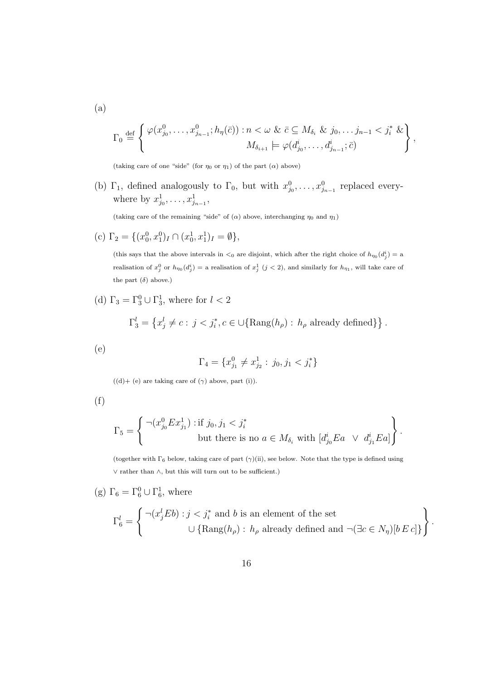$$
\Gamma_0 \stackrel{\text{def}}{=} \left\{ \begin{array}{c} \varphi(x_{j_0}^0, \dots, x_{j_{n-1}}^0; h_{\eta}(\bar{c})) : n < \omega \ \& \ \bar{c} \subseteq M_{\delta_i} \ \& \ j_0, \dots, j_{n-1} < j_i^* \ \& \\ M_{\delta_{i+1}} \models \varphi(d_{j_0}^i, \dots, d_{j_{n-1}}^i; \bar{c}) \end{array} \right\},
$$

(taking care of one "side" (for  $\eta_0$  or  $\eta_1$ ) of the part  $(\alpha)$  above)

(b)  $\Gamma_1$ , defined analogously to  $\Gamma_0$ , but with  $x_{j_0}^0, \ldots, x_{j_{n-1}}^0$  replaced everywhere by  $x_{j_0}^1, \ldots, x_{j_{n-1}}^1$ ,

(taking care of the remaining "side" of ( $\alpha$ ) above, interchanging  $\eta_0$  and  $\eta_1$ )

(c)  $\Gamma_2 = \{ (x_0^0, x_1^0)_I \cap (x_0^1, x_1^1)_I = \emptyset \},\$ 

(this says that the above intervals in  $\lt_0$  are disjoint, which after the right choice of  $h_{\eta_0}(d_j^i) = a$ realisation of  $x_j^0$  or  $h_{\eta_0}(d_j^i) =$  a realisation of  $x_j^1$   $(j < 2)$ , and similarly for  $h_{\eta_1}$ , will take care of the part  $(\delta)$  above.)

(d)  $\Gamma_3 = \Gamma_3^0 \cup \Gamma_3^1$ , where for  $l < 2$ 

$$
\Gamma_3^l = \left\{ x_j^l \neq c : j < j_i^*, c \in \bigcup \{ \text{Rang}(h_\rho) : h_\rho \text{ already defined} \} \right\}.
$$

(e)

$$
\Gamma_4 = \{ x_{j_1}^0 \neq x_{j_2}^1 : j_0, j_1 < j_i^* \}
$$

 $((d) + (e)$  are taking care of  $(\gamma)$  above, part (i)).

$$
(f)
$$

$$
\Gamma_5 = \left\{ \begin{array}{c} \neg (x_{j_0}^0 E x_{j_1}^1) : \text{if } j_0, j_1 < j_i^* \\ \text{but there is no } a \in M_{\delta_i} \text{ with } [d_{j_0}^i E a \ \lor \ d_{j_1}^i E a] \end{array} \right\}.
$$

(together with  $\Gamma_6$  below, taking care of part  $(\gamma)(ii)$ , see below. Note that the type is defined using ∨ rather than ∧, but this will turn out to be sufficient.)

(g)  $\Gamma_6 = \Gamma_6^0 \cup \Gamma_6^1$ , where

$$
\Gamma_6^l = \left\{ \begin{array}{c} \neg(x_j^l E b) : j < j_i^* \text{ and } b \text{ is an element of the set} \\ \bigcup \{ \text{Rang}(h_\rho) : h_\rho \text{ already defined and } \neg(\exists c \in N_\eta) [b \, E \, c] \} \end{array} \right\}.
$$

(a)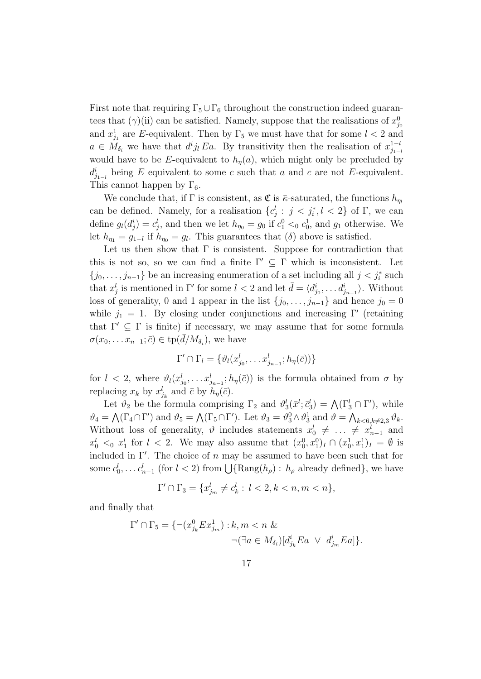First note that requiring  $\Gamma_5 \cup \Gamma_6$  throughout the construction indeed guarantees that  $(\gamma)$ (ii) can be satisfied. Namely, suppose that the realisations of  $x_{j_0}^0$ and  $x_{j_1}^1$  are E-equivalent. Then by  $\Gamma_5$  we must have that for some  $l < 2$  and  $a \in M_{\delta_i}$  we have that  $d^i j_l E a$ . By transitivity then the realisation of  $x_{j_1}^{1-l}$  $j_{1-l}$ would have to be E-equivalent to  $h<sub>\eta</sub>(a)$ , which might only be precluded by  $d_{j_{1-l}}^i$  being E equivalent to some c such that a and c are not E-equivalent. This cannot happen by  $\Gamma_6$ .

We conclude that, if  $\Gamma$  is consistent, as  $\mathfrak{C}$  is  $\bar{\kappa}$ -saturated, the functions  $h_{\eta_l}$ can be defined. Namely, for a realisation  $\{c_j^l : j < j_i^*, l < 2\}$  of  $\Gamma$ , we can define  $g_l(d_j^i) = c_j^l$ , and then we let  $h_{\eta_0} = g_0$  if  $c_1^0 < 0$ ,  $c_0^1$ , and  $g_1$  otherwise. We let  $h_{\eta_1} = g_{1-l}$  if  $h_{\eta_0} = g_l$ . This guarantees that  $(\delta)$  above is satisfied.

Let us then show that  $\Gamma$  is consistent. Suppose for contradiction that this is not so, so we can find a finite  $\Gamma' \subseteq \Gamma$  which is inconsistent. Let  $\{j_0, \ldots, j_{n-1}\}\$ be an increasing enumeration of a set including all  $j < j_i^*$  such that  $x_j^l$  is mentioned in  $\Gamma'$  for some  $l < 2$  and let  $\bar{d} = \langle d_{j_0}^i, \ldots, d_{j_{n-1}}^i \rangle$ . Without loss of generality, 0 and 1 appear in the list  $\{j_0, \ldots, j_{n-1}\}\$  and hence  $j_0 = 0$ while  $j_1 = 1$ . By closing under conjunctions and increasing  $\Gamma'$  (retaining that  $\Gamma' \subseteq \Gamma$  is finite) if necessary, we may assume that for some formula  $\sigma(x_0, \ldots, x_{n-1}; \bar{c}) \in \text{tp}(\bar{d}/M_{\delta_i}),$  we have

$$
\Gamma' \cap \Gamma_l = \{ \vartheta_l(x_{j_0}^l, \dots x_{j_{n-1}}^l; h_{\eta}(\bar{c})) \}
$$

for  $l < 2$ , where  $\vartheta_l(x_{j_0}^l, \ldots x_{j_{n-1}}^l; h_\eta(\bar{c}))$  is the formula obtained from  $\sigma$  by replacing  $x_k$  by  $x_{j_k}^l$  and  $\bar{c}$  by  $h_{\eta}(\bar{c})$ .

Let  $\vartheta_2$  be the formula comprising  $\Gamma_2$  and  $\vartheta_3^l(\bar{x}^l; \bar{c}_3^l) = \bigwedge(\Gamma_3^l \cap \Gamma^{\prime}),$  while  $\vartheta_4 = \bigwedge(\Gamma_4 \cap \Gamma')$  and  $\vartheta_5 = \bigwedge(\Gamma_5 \cap \Gamma')$ . Let  $\vartheta_3 = \vartheta_3^0 \wedge \vartheta_3^1$  and  $\vartheta = \bigwedge_{k \le 6, k \neq 2,3} \vartheta_k$ . Without loss of generality,  $\vartheta$  includes statements  $x_0^l \neq \ldots \neq x_{n-1}^l$  and  $x_0^l$   $\lt_0$   $x_1^l$  for  $l \lt 2$ . We may also assume that  $(x_0^0, x_1^0)_I \cap (x_0^1, x_1^1)_I = \emptyset$  is included in  $\Gamma'$ . The choice of n may be assumed to have been such that for some  $c_0^l, \ldots c_{n-1}^l$  (for  $l < 2$ ) from  $\bigcup {\text{Rang}}(h_\rho)$ :  $h_\rho$  already defined}, we have

$$
\Gamma' \cap \Gamma_3 = \{x_{j_m}^l \neq c_k^l : \ l < 2, k < n, m < n\},\
$$

and finally that

$$
\Gamma' \cap \Gamma_5 = \{ \neg (x_{j_k}^0 E x_{j_m}^1) : k, m < n \& \neg (\exists a \in M_{\delta_i}) [d_{j_k}^i E a \lor d_{j_m}^i E a] \}.
$$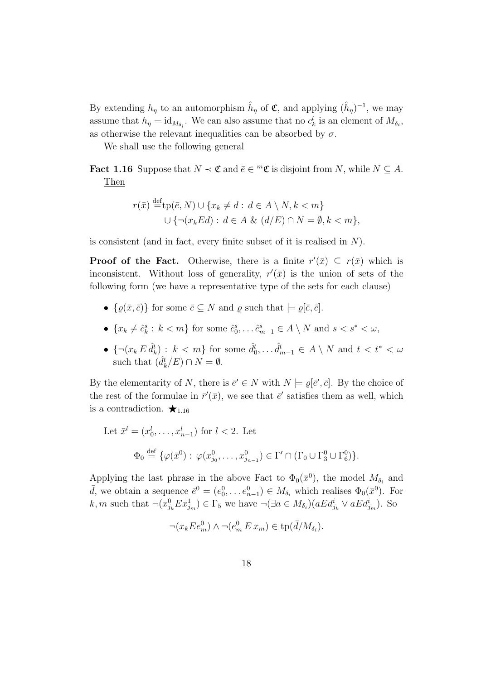By extending  $h_{\eta}$  to an automorphism  $\hat{h}_{\eta}$  of  $\mathfrak{C}$ , and applying  $(\hat{h}_{\eta})^{-1}$ , we may assume that  $h_{\eta} = id_{M_{\delta_i}}$ . We can also assume that no  $c_k^l$  is an element of  $M_{\delta_i}$ , as otherwise the relevant inequalities can be absorbed by  $\sigma$ .

We shall use the following general

**Fact 1.16** Suppose that  $N \prec \mathfrak{C}$  and  $\bar{e} \in {}^m\mathfrak{C}$  is disjoint from N, while  $N \subseteq A$ . Then

$$
r(\bar{x}) \stackrel{\text{def}}{=} \operatorname{tp}(\bar{e}, N) \cup \{x_k \neq d : d \in A \setminus N, k < m\}
$$

$$
\cup \{ \neg(x_k \, \text{Ed}) : d \in A \ \& (d/E) \cap N = \emptyset, k < m \},
$$

is consistent (and in fact, every finite subset of it is realised in  $N$ ).

**Proof of the Fact.** Otherwise, there is a finite  $r'(\bar{x}) \subseteq r(\bar{x})$  which is inconsistent. Without loss of generality,  $r'(\bar{x})$  is the union of sets of the following form (we have a representative type of the sets for each clause)

- $\{\varrho(\bar{x}, \bar{c})\}$  for some  $\bar{c} \subseteq N$  and  $\varrho$  such that  $\models \varrho[\bar{e}, \bar{c}]$ .
- $\{x_k \neq \hat{c}_k^s : k < m\}$  for some  $\hat{c}_0^s, \dots, \hat{c}_{m-1}^s \in A \setminus N$  and  $s < s^* < \omega$ ,
- $\{\neg(x_k \, \hat{a}_k^t) : k < m\}$  for some  $\hat{d}_0^t, \dots \hat{d}_{m-1}^t \in A \setminus N$  and  $t < t^* < \omega$ such that  $(\hat{d}_k^t/E) \cap N = \emptyset$ .

By the elementarity of N, there is  $\bar{e}' \in N$  with  $N \models \varrho[\bar{e}', \bar{c}]$ . By the choice of the rest of the formulae in  $\bar{r}'(\bar{x})$ , we see that  $\bar{e}'$  satisfies them as well, which is a contradiction.  $\star_{1.16}$ 

Let 
$$
\bar{x}^l = (x_0^l, \dots, x_{n-1}^l)
$$
 for  $l < 2$ . Let  
\n
$$
\Phi_0 \stackrel{\text{def}}{=} \{ \varphi(\bar{x}^0) : \varphi(x_{j_0}^0, \dots, x_{j_{n-1}}^0) \in \Gamma' \cap (\Gamma_0 \cup \Gamma_3^0 \cup \Gamma_6^0) \}.
$$

Applying the last phrase in the above Fact to  $\Phi_0(\bar{x}^0)$ , the model  $M_{\delta_i}$  and  $\bar{d}$ , we obtain a sequence  $\bar{e}^0 = (e_0^0, \dots e_{n-1}^0) \in M_{\delta_i}$  which realises  $\Phi_0(\bar{x}^0)$ . For k, m such that  $\neg(x_{j_k}^0Ex_{j_m}^1) \in \Gamma_5$  we have  $\neg(\exists a \in M_{\delta_i})(aEd_{j_k}^i \lor aEd_{j_m}^i)$ . So

$$
\neg(x_k E e_m^0) \land \neg(e_m^0 E x_m) \in \text{tp}(\bar{d}/M_{\delta_i}).
$$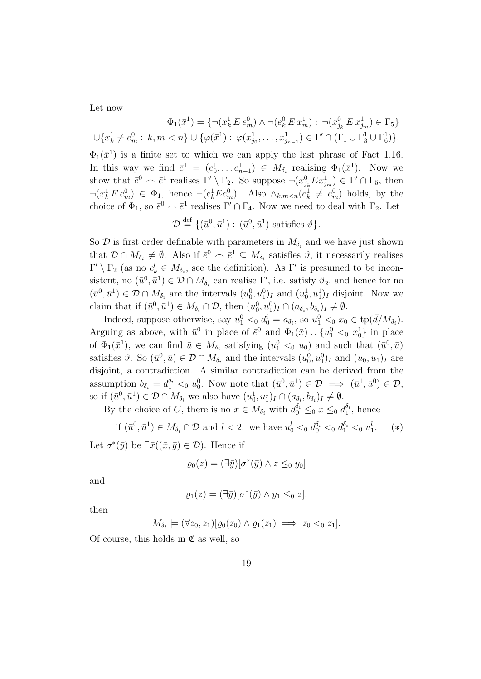Let now

$$
\Phi_1(\bar{x}^1) = \{ \neg (x_k^1 \, E \, e_m^0) \land \neg (e_k^0 \, E \, x_m^1) : \ \neg (x_{j_k}^0 \, E \, x_{j_m}^1) \in \Gamma_5 \}
$$
  

$$
\cup \{ x_k^1 \neq e_m^0 : \ k, m < n \} \cup \{ \varphi(\bar{x}^1) : \ \varphi(x_{j_0}^1, \dots, x_{j_{n-1}}^1) \in \Gamma' \cap (\Gamma_1 \cup \Gamma_3^1 \cup \Gamma_6^1) \}.
$$

 $\Phi_1(\bar{x}^1)$  is a finite set to which we can apply the last phrase of Fact 1.16. In this way we find  $\bar{e}^1 = (e_0^1, \dots e_{n-1}^1) \in M_{\delta_i}$  realising  $\Phi_1(\bar{x}^1)$ . Now we show that  $\bar{e}^0 \frown \bar{e}^1$  realises  $\Gamma' \setminus \Gamma_2$ . So suppose  $\neg(x_{j_k}^0 E x_{j_m}^1) \in \Gamma' \cap \Gamma_5$ , then  $\neg(x_k^1 E e_m^0) \in \Phi_1$ , hence  $\neg(e_k^1 E e_m^0)$ . Also  $\wedge_{k,m \le n} (e_k^1 \ne e_m^0)$  holds, by the choice of  $\Phi_1$ , so  $\bar{e}^0 \frown \bar{e}^1$  realises  $\Gamma' \cap \Gamma_4$ . Now we need to deal with  $\Gamma_2$ . Let

$$
\mathcal{D} \stackrel{\text{def}}{=} \{(\bar{u}^0, \bar{u}^1): (\bar{u}^0, \bar{u}^1) \text{ satisfies } \vartheta\}.
$$

So  $\mathcal{D}$  is first order definable with parameters in  $M_{\delta_i}$  and we have just shown that  $\mathcal{D} \cap M_{\delta_i} \neq \emptyset$ . Also if  $\bar{e}^0 \frown \bar{e}^1 \subseteq M_{\delta_i}$  satisfies  $\vartheta$ , it necessarily realises  $\Gamma' \setminus \Gamma_2$  (as no  $c_k^l \in M_{\delta_i}$ , see the definition). As  $\Gamma'$  is presumed to be inconsistent, no  $(\bar{u}^0, \bar{u}^1) \in \mathcal{D} \cap M_{\delta_i}$  can realise  $\Gamma'$ , i.e. satisfy  $\vartheta_2$ , and hence for no  $(\bar{u}^0, \bar{u}^1) \in \mathcal{D} \cap M_{\delta_i}$  are the intervals  $(u_0^0, u_1^0)_I$  and  $(u_0^1, u_1^1)_I$  disjoint. Now we claim that if  $(\bar{u}^0, \bar{u}^1) \in M_{\delta_i} \cap \mathcal{D}$ , then  $(u_0^0, u_1^0)_I \cap (a_{\delta_i}, b_{\delta_i})_I \neq \emptyset$ .

Indeed, suppose otherwise, say  $u_1^0 <_0 d_0^i = a_{\delta_i}$ , so  $u_1^0 <_0 x_0 \in \text{tp}(\bar{d}/M_{\delta_i})$ . Arguing as above, with  $\bar{u}^0$  in place of  $\bar{e}^0$  and  $\Phi_1(\bar{x}) \cup \{u_1^0 \leq_0 x_0^1\}$  in place of  $\Phi_1(\bar{x}^1)$ , we can find  $\bar{u} \in M_{\delta_i}$  satisfying  $(u_1^0 \leq_0 u_0)$  and such that  $(\bar{u}^0, \bar{u})$ satisfies  $\vartheta$ . So  $(\bar{u}^0, \bar{u}) \in \mathcal{D} \cap M_{\delta_i}$  and the intervals  $(u_0^0, u_1^0)_I$  and  $(u_0, u_1)_I$  are disjoint, a contradiction. A similar contradiction can be derived from the assumption  $b_{\delta_i} = d_1^{\delta_i} \leq_0 u_0^0$ . Now note that  $(\bar{u}^0, \bar{u}^1) \in \mathcal{D} \implies (\bar{u}^1, \bar{u}^0) \in \mathcal{D}$ , so if  $(\bar{u}^0, \bar{u}^1) \in \mathcal{D} \cap M_{\delta_i}$  we also have  $(u_0^1, u_1^1)_I \cap (a_{\delta_i}, b_{\delta_i})_I \neq \emptyset$ .

By the choice of C, there is no  $x \in M_{\delta_i}$  with  $d_0^{\delta_i} \leq_0 x \leq_0 d_1^{\delta_i}$ , hence

if 
$$
(\bar{u}^0, \bar{u}^1) \in M_{\delta_i} \cap \mathcal{D}
$$
 and  $l < 2$ , we have  $u_0^l <_0 d_0^{\delta_i} <_0 d_1^{\delta_i} <_0 u_1^l$ . (\*)

Let  $\sigma^*(\bar{y})$  be  $\exists \bar{x}((\bar{x}, \bar{y}) \in \mathcal{D})$ . Hence if

$$
\varrho_0(z) = (\exists \bar{y}) [\sigma^*(\bar{y}) \land z \leq_0 y_0]
$$

and

$$
\varrho_1(z) = (\exists \bar{y}) [\sigma^*(\bar{y}) \wedge y_1 \leq_0 z],
$$

then

$$
M_{\delta_i} \models (\forall z_0, z_1)[\varrho_0(z_0) \land \varrho_1(z_1) \implies z_0 <_0 z_1].
$$

Of course, this holds in  $\mathfrak C$  as well, so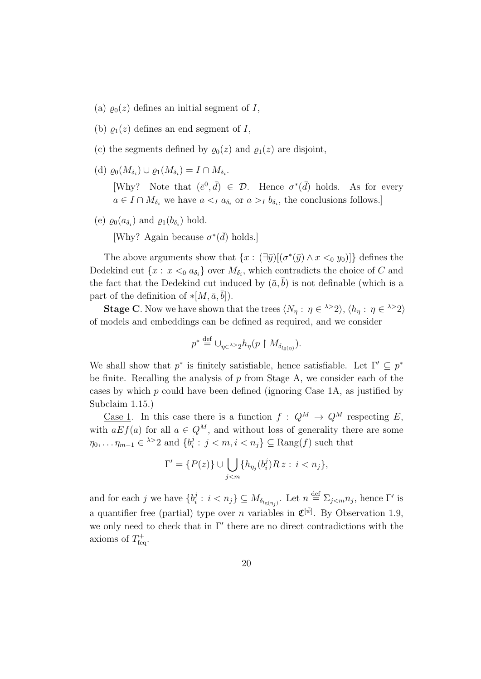- (a)  $\varrho_0(z)$  defines an initial segment of I,
- (b)  $\rho_1(z)$  defines an end segment of I,
- (c) the segments defined by  $\varrho_0(z)$  and  $\varrho_1(z)$  are disjoint,
- (d)  $\varrho_0(M_{\delta_i}) \cup \varrho_1(M_{\delta_i}) = I \cap M_{\delta_i}$ .

[Why? Note that  $(\bar{e}^0, \bar{d}) \in \mathcal{D}$ . Hence  $\sigma^*(\bar{d})$  holds. As for every  $a \in I \cap M_{\delta_i}$  we have  $a \leq_I a_{\delta_i}$  or  $a >_I b_{\delta_i}$ , the conclusions follows.]

(e)  $\varrho_0(a_{\delta_i})$  and  $\varrho_1(b_{\delta_i})$  hold.

[Why? Again because  $\sigma^*(\bar{d})$  holds.]

The above arguments show that  $\{x: (\exists \bar{y})[(\sigma^*(\bar{y}) \wedge x \leq_0 y_0)]\}$  defines the Dedekind cut  $\{x : x <_0 a_{\delta_i}\}$  over  $M_{\delta_i}$ , which contradicts the choice of C and the fact that the Dedekind cut induced by  $(\bar{a}, b)$  is not definable (which is a part of the definition of  $\ast [M, \bar{a}, \bar{b}]$ .

**Stage C**. Now we have shown that the trees  $\langle N_{\eta} : \eta \in \{1\} \rangle$ ,  $\langle h_{\eta} : \eta \in \{1\} \rangle$ of models and embeddings can be defined as required, and we consider

$$
p^* \stackrel{\text{def}}{=} \cup_{\eta \in \lambda > 2} h_{\eta}(p \upharpoonright M_{\delta_{lg(\eta)}}).
$$

We shall show that  $p^*$  is finitely satisfiable, hence satisfiable. Let  $\Gamma' \subseteq p^*$ be finite. Recalling the analysis of  $p$  from Stage A, we consider each of the cases by which  $p$  could have been defined (ignoring Case 1A, as justified by Subclaim 1.15.)

<u>Case 1</u>. In this case there is a function  $f: Q^M \to Q^M$  respecting E, with  $aEf(a)$  for all  $a \in Q^M$ , and without loss of generality there are some  $\eta_0, \ldots \eta_{m-1} \in \lambda > 2$  and  $\{b_i^j\}$  $i_i^j : j < m, i < n_j$   $\subseteq$  Rang(*f*) such that

$$
\Gamma' = \{P(z)\} \cup \bigcup_{j < m} \{h_{\eta_j}(b_i^j) R z : i < n_j\},\
$$

and for each j we have  ${b_i^j}$  $i : i < n_j$ }  $\subseteq M_{\delta_{lg(\eta_j)}}$ . Let  $n \stackrel{\text{def}}{=} \Sigma_{j \le m} n_j$ , hence  $\Gamma'$  is a quantifier free (partial) type over *n* variables in  $\mathfrak{C}^{[\bar{\psi}]}$ . By Observation 1.9, we only need to check that in  $\Gamma'$  there are no direct contradictions with the axioms of  $T_{\text{feq}}^+$ .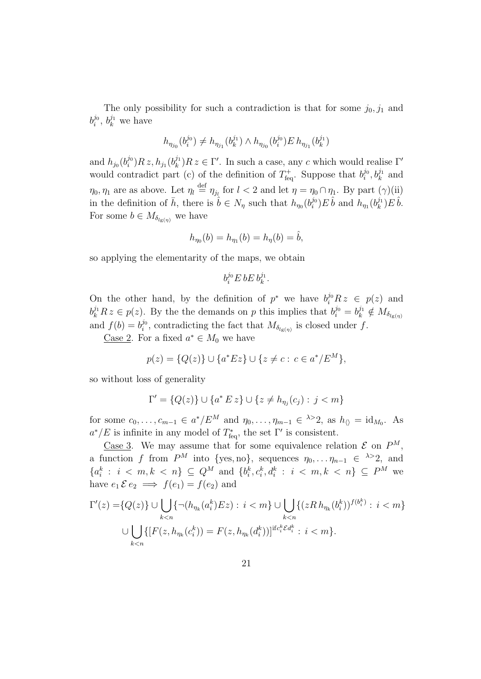The only possibility for such a contradiction is that for some  $j_0, j_1$  and  $b_i^{j_0}$  $i^{j_0}$ ,  $b_k^{j_1}$  we have

$$
h_{\eta_{j_0}}(b_i^{j_0}) \neq h_{\eta_{j_1}}(b_k^{j_1}) \wedge h_{\eta_{j_0}}(b_i^{j_0}) E\, h_{\eta_{j_1}}(b_k^{j_1})
$$

and  $h_{j_0}(b_i^{j_0})$  $i^{j_0})Rz, h_{j_1}(b_k^{j_1})$  $(k)$ <sup>j<sub>1</sub></sup>) $R z \in \Gamma'$ . In such a case, any c which would realise  $\Gamma'$ would contradict part (c) of the definition of  $T_{\text{feq}}^+$ . Suppose that  $b_i^{j_0}$  $b_i^{j_0}, b_k^{j_1}$  and  $\eta_0, \eta_1$  are as above. Let  $\eta_l \stackrel{\text{def}}{=} \eta_{j_l}$  for  $l < 2$  and let  $\eta = \eta_0 \cap \eta_1$ . By part  $(\gamma)(ii)$ in the definition of  $\bar{h}$ , there is  $\hat{b} \in N_{\eta}$  such that  $h_{\eta_0}(b_i^{j_0})$  $\hat{h}^{j_0}_{i}$ ) E  $\hat{b}$  and  $h_{\eta_1}(b_k^{j_1})$  $\hat{h}^{j_1}_k)E\,\hat{b}.$ For some  $b \in M_{\delta_{l\epsilon(n)}}$  we have

$$
h_{\eta_0}(b) = h_{\eta_1}(b) = h_{\eta}(b) = \hat{b},
$$

so applying the elementarity of the maps, we obtain

$$
b_i^{j_0} E b E b_k^{j_1}.
$$

On the other hand, by the definition of  $p^*$  we have  $b_i^{j_0} R z \in p(z)$  and  $b_k^{j_1} R z \in p(z)$ . By the the demands on p this implies that  $b_i^{j_0} = b_k^{j_1} \notin M_{\delta_{lg(\eta)}}$ and  $f(b) = b_i^{j_0}$  $i^0$ , contradicting the fact that  $M_{\delta_{\lg(\eta)}}$  is closed under f.

<u>Case 2</u>. For a fixed  $a^* \in M_0$  we have

$$
p(z) = \{Q(z)\} \cup \{a^*Ez\} \cup \{z \neq c : c \in a^*/E^M\},\
$$

so without loss of generality

$$
\Gamma' = \{Q(z)\} \cup \{a^* \, E \, z\} \cup \{z \neq h_{\eta_j}(c_j) : j < m\}
$$

for some  $c_0, \ldots, c_{m-1} \in a^*/E^M$  and  $\eta_0, \ldots, \eta_{m-1} \in \lambda > 2$ , as  $h_{\langle\rangle} = id_{M_0}$ . As  $a^*/E$  is infinite in any model of  $T^*_{\text{feq}}$ , the set  $\Gamma'$  is consistent.

Case 3. We may assume that for some equivalence relation  $\mathcal E$  on  $P^M$ , a function f from  $P^M$  into {yes, no}, sequences  $\eta_0, \ldots \eta_{n-1} \in \lambda > 2$ , and  ${a_i^k : i < m, k < n} \subseteq Q^M$  and  ${b_i^k, c_i^k, d_i^k : i < m, k < n} \subseteq P^M$  we have  $e_1 \mathcal{E} e_2 \implies f(e_1) = f(e_2)$  and

$$
\Gamma'(z) = \{Q(z)\} \cup \bigcup_{k < n} \{ \neg(h_{\eta_k}(a_i^k)Ez) : i < m \} \cup \bigcup_{k < n} \{ (zR \, h_{\eta_k}(b_i^k))^{f(b_i^k)} : i < m \}
$$
\n
$$
\cup \bigcup_{k < n} \{ [F(z, h_{\eta_k}(c_i^k)) = F(z, h_{\eta_k}(d_i^k))]^{\text{if } c_i^k \mathcal{E} d_i^k} : i < m \}.
$$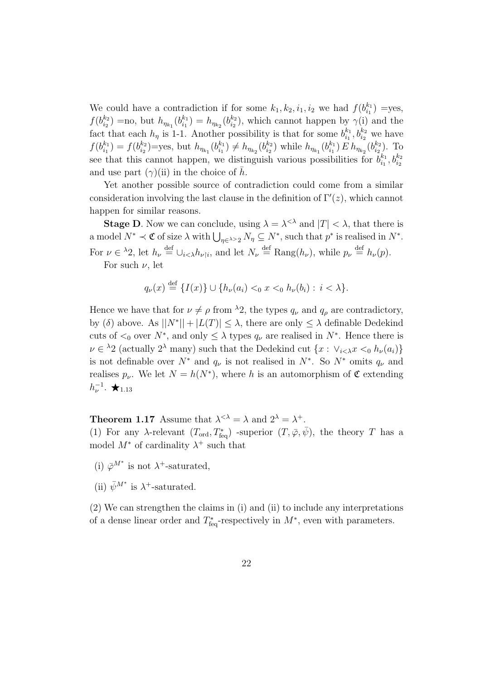We could have a contradiction if for some  $k_1, k_2, i_1, i_2$  we had  $f(b_{i_1}^{k_1})$  $j_{i_1}^{k_1}$ ) =yes,  $f(b_{i_2}^{k_2})$  $\binom{k_2}{i_2}$  = no, but  $h_{\eta_{k_1}}(b_{i_1}^{k_1})$  $\lambda_{i_1}^{k_1}$ ) =  $h_{\eta_{k_2}}(b_{i_2}^{k_2})$  $\binom{k_2}{i_2}$ , which cannot happen by  $\gamma(i)$  and the fact that each  $h_{\eta}$  is 1-1. Another possibility is that for some  $b_{i_1}^{k_1}$  $i_1^{k_1}, b_{i_2}^{k_2}$  we have  $f(b_{i_1}^{k_1})$  $\binom{k_1}{i_1} = f(b_{i_2}^{k_2})$  $\binom{k_2}{i_2}$ =yes, but  $h_{\eta_{k_1}}(b_{i_1}^{k_1})$  $\binom{k_1}{i_1} \neq h_{\eta_{k_2}}(b_{i_2}^{k_2})$  $\binom{k_2}{i_2}$  while  $h_{\eta_{k_1}}(b_{i_1}^{k_1})$  $\binom{k_1}{i_1} E\, h_{\eta_{k_2}}(b_{i_2}^{k_2})$  $i_2^{k_2}$ ). To see that this cannot happen, we distinguish various possibilities for  $b_{i_1}^{k_1}$  $\substack{k_1\i_1}$  ,  $b_{i_2}^{k_2}$ and use part  $(\gamma)(ii)$  in the choice of  $\bar{h}$ .

Yet another possible source of contradiction could come from a similar consideration involving the last clause in the definition of  $\Gamma'(z)$ , which cannot happen for similar reasons.

**Stage D**. Now we can conclude, using  $\lambda = \lambda^{< \lambda}$  and  $|T| < \lambda$ , that there is a model  $N^* \prec \mathfrak{C}$  of size  $\lambda$  with  $\bigcup_{\eta \in \lambda > 2} N_\eta \subseteq N^*$ , such that  $p^*$  is realised in  $N^*$ . For  $\nu \in {}^{\lambda}2$ , let  $h_{\nu} \stackrel{\text{def}}{=} \cup_{i \leq \lambda} h_{\nu|i}$ , and let  $N_{\nu} \stackrel{\text{def}}{=} \text{Rang}(h_{\nu})$ , while  $p_{\nu} \stackrel{\text{def}}{=} h_{\nu}(p)$ .

For such  $\nu$ , let

$$
q_{\nu}(x) \stackrel{\text{def}}{=} \{I(x)\} \cup \{h_{\nu}(a_i) <_0 x <_0 h_{\nu}(b_i) : i < \lambda\}.
$$

Hence we have that for  $\nu \neq \rho$  from  $\lambda_2$ , the types  $q_{\nu}$  and  $q_{\rho}$  are contradictory, by (δ) above. As  $||N^*|| + |L(T)| \leq \lambda$ , there are only  $\leq \lambda$  definable Dedekind cuts of  $\lt_0$  over  $N^*$ , and only  $\leq \lambda$  types  $q_{\nu}$  are realised in  $N^*$ . Hence there is  $\nu \in \lambda_2$  (actually  $2^{\lambda}$  many) such that the Dedekind cut  $\{x: \vee_{i \leq \lambda} x \leq_0 h_{\nu}(a_i)\}\$ is not definable over  $N^*$  and  $q_{\nu}$  is not realised in  $N^*$ . So  $N^*$  omits  $q_{\nu}$  and realises  $p_{\nu}$ . We let  $N = h(N^*)$ , where h is an automorphism of  $\mathfrak C$  extending  $h_{\nu}^{-1}$ .  $\bigstar_{1.13}$ 

**Theorem 1.17** Assume that  $\lambda^{<\lambda} = \lambda$  and  $2^{\lambda} = \lambda^{+}$ . (1) For any  $\lambda$ -relevant  $(T_{\text{ord}}, T_{\text{feq}}^*)$  -superior  $(T, \bar{\varphi}, \bar{\psi})$ , the theory T has a model  $M^*$  of cardinality  $\lambda^+$  such that

- (i)  $\bar{\varphi}^{M^*}$  is not  $\lambda^+$ -saturated,
- (ii)  $\bar{\psi}^{M*}$  is  $\lambda^+$ -saturated.

(2) We can strengthen the claims in (i) and (ii) to include any interpretations of a dense linear order and  $T_{\text{feq}}^*$ -respectively in  $M^*$ , even with parameters.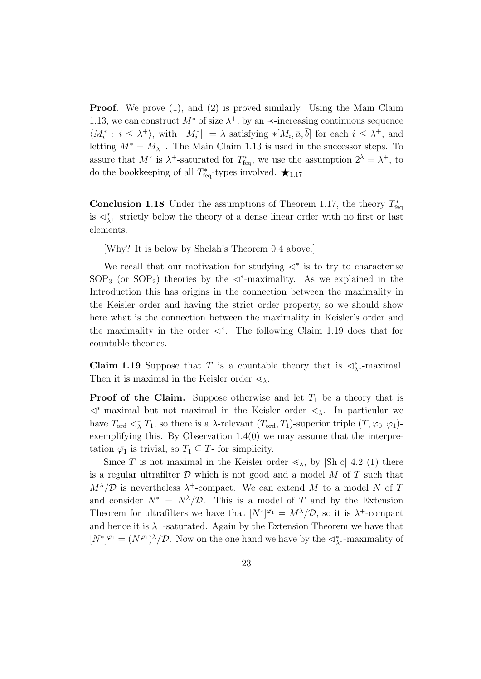**Proof.** We prove (1), and (2) is proved similarly. Using the Main Claim 1.13, we can construct  $M^*$  of size  $\lambda^+$ , by an  $\prec$ -increasing continuous sequence  $\langle M_i^* : i \leq \lambda^+ \rangle$ , with  $||M_i^*|| = \lambda$  satisfying  $\ast [M_i, \bar{a}, \bar{b}]$  for each  $i \leq \lambda^+$ , and letting  $M^* = M_{\lambda^+}$ . The Main Claim 1.13 is used in the successor steps. To assure that  $M^*$  is  $\lambda^+$ -saturated for  $T^*_{\text{feq}}$ , we use the assumption  $2^{\lambda} = \lambda^+$ , to do the bookkeeping of all  $T_{\text{feq}}^*$ -types involved.  $\bigstar_{1.17}$ 

**Conclusion 1.18** Under the assumptions of Theorem 1.17, the theory  $T_{\text{feq}}^*$ is  $\lhd^*_{\lambda^+}$  strictly below the theory of a dense linear order with no first or last elements.

[Why? It is below by Shelah's Theorem 0.4 above.]

We recall that our motivation for studying  $\langle \cdot \rangle^*$  is to try to characterise SOP<sub>3</sub> (or SOP<sub>2</sub>) theories by the  $\prec$ <sup>\*</sup>-maximality. As we explained in the Introduction this has origins in the connection between the maximality in the Keisler order and having the strict order property, so we should show here what is the connection between the maximality in Keisler's order and the maximality in the order  $\triangleleft^*$ . The following Claim 1.19 does that for countable theories.

**Claim 1.19** Suppose that T is a countable theory that is  $\langle \cdot \rangle^*$ -maximal. Then it is maximal in the Keisler order  $\leq_{\lambda}$ .

**Proof of the Claim.** Suppose otherwise and let  $T_1$  be a theory that is  $\lhd^*$ -maximal but not maximal in the Keisler order  $\lhd_\lambda$ . In particular we have  $T_{\text{ord}} \lhd^*_{\lambda} T_1$ , so there is a  $\lambda$ -relevant  $(T_{\text{ord}}, T_1)$ -superior triple  $(T, \bar{\varphi}_0, \bar{\varphi}_1)$ exemplifying this. By Observation  $1.4(0)$  we may assume that the interpretation  $\bar{\varphi}_1$  is trivial, so  $T_1 \subseteq T$ - for simplicity.

Since T is not maximal in the Keisler order  $\leq_{\lambda}$ , by [Sh c] 4.2 (1) there is a regular ultrafilter  $D$  which is not good and a model  $M$  of  $T$  such that  $M^{\lambda}/\mathcal{D}$  is nevertheless  $\lambda^{+}$ -compact. We can extend M to a model N of T and consider  $N^* = N^{\lambda}/\mathcal{D}$ . This is a model of T and by the Extension Theorem for ultrafilters we have that  $[N^*]^\bar{\varphi_1} = M^\lambda/\mathcal{D}$ , so it is  $\lambda^+$ -compact and hence it is  $\lambda^+$ -saturated. Again by the Extension Theorem we have that  $[N^*]^{\bar{\varphi}_1} = (N^{\bar{\varphi}_1})^{\lambda}/\mathcal{D}$ . Now on the one hand we have by the  $\triangleleft_{\lambda^*}^*$ -maximality of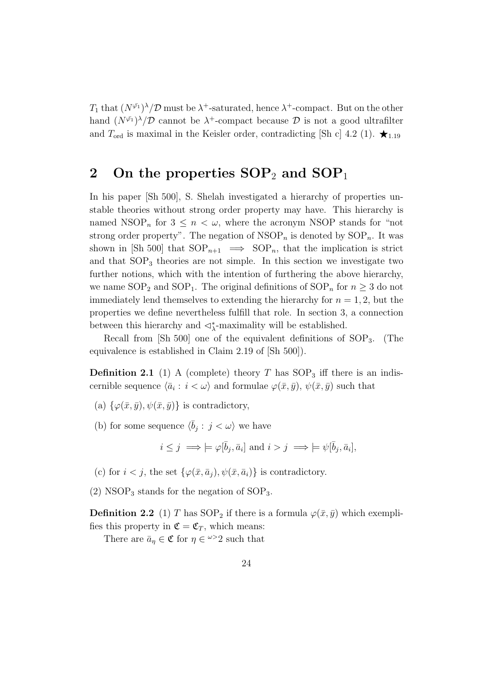$T_1$  that  $(N^{\bar{\varphi_1}})$ <sup> $\lambda$ </sup>/ $\mathcal D$  must be  $\lambda^+$ -saturated, hence  $\lambda^+$ -compact. But on the other hand  $(N^{\bar{\varphi}_1})^{\lambda}/\mathcal{D}$  cannot be  $\lambda^+$ -compact because  $\mathcal D$  is not a good ultrafilter and  $T_{\text{ord}}$  is maximal in the Keisler order, contradicting [Sh c] 4.2 (1).  $\star$ <sub>1.19</sub>

## 2 On the properties  $SOP_2$  and  $SOP_1$

In his paper [Sh 500], S. Shelah investigated a hierarchy of properties unstable theories without strong order property may have. This hierarchy is named NSOP<sub>n</sub> for  $3 \leq n < \omega$ , where the acronym NSOP stands for "not" strong order property". The negation of  $\text{NSOP}_n$  is denoted by  $\text{SOP}_n$ . It was shown in [Sh 500] that  $SOP_{n+1} \implies SOP_n$ , that the implication is strict and that  $SOP_3$  theories are not simple. In this section we investigate two further notions, which with the intention of furthering the above hierarchy, we name  $SOP_2$  and  $SOP_1$ . The original definitions of  $SOP_n$  for  $n \geq 3$  do not immediately lend themselves to extending the hierarchy for  $n = 1, 2$ , but the properties we define nevertheless fulfill that role. In section 3, a connection between this hierarchy and  $\langle \cdot \rangle^*$ -maximality will be established.

Recall from  $\lbrack Sh\ 500\rbrack$  one of the equivalent definitions of  $\text{SOP}_3$ . (The equivalence is established in Claim 2.19 of [Sh 500]).

**Definition 2.1** (1) A (complete) theory T has  $SOP_3$  iff there is an indiscernible sequence  $\langle \bar{a}_i : i < \omega \rangle$  and formulae  $\varphi(\bar{x}, \bar{y}), \psi(\bar{x}, \bar{y})$  such that

- (a)  $\{\varphi(\bar{x}, \bar{y}), \psi(\bar{x}, \bar{y})\}$  is contradictory,
- (b) for some sequence  $\langle \bar{b}_j : j < \omega \rangle$  we have

$$
i \leq j \implies \models \varphi[\overline{b}_j, \overline{a}_i] \text{ and } i > j \implies \models \psi[\overline{b}_j, \overline{a}_i],
$$

(c) for  $i < j$ , the set  $\{\varphi(\bar{x}, \bar{a}_i), \psi(\bar{x}, \bar{a}_i)\}\$ is contradictory.

(2) NSOP<sub>3</sub> stands for the negation of  $SOP_3$ .

**Definition 2.2** (1) T has  $\text{SOP}_2$  if there is a formula  $\varphi(\bar{x}, \bar{y})$  which exemplifies this property in  $\mathfrak{C} = \mathfrak{C}_T$ , which means:

There are  $\bar{a}_{\eta} \in \mathfrak{C}$  for  $\eta \in \mathfrak{\omega} > 2$  such that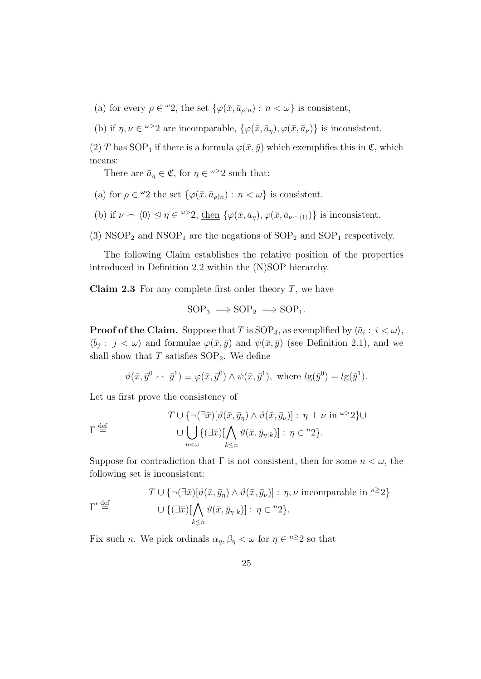- (a) for every  $\rho \in {}^{\omega}2$ , the set  $\{\varphi(\bar{x}, \bar{a}_{\rho|n}) : n < \omega\}$  is consistent,
- (b) if  $\eta, \nu \in \mathbb{Z}^{\infty}$  are incomparable,  $\{\varphi(\bar{x}, \bar{a}_{\eta}), \varphi(\bar{x}, \bar{a}_{\nu})\}$  is inconsistent.

(2) T has SOP<sub>1</sub> if there is a formula  $\varphi(\bar{x}, \bar{y})$  which exemplifies this in  $\mathfrak{C}$ , which means:

There are  $\bar{a}_{\eta} \in \mathfrak{C}$ , for  $\eta \in \mathfrak{\omega} > 2$  such that:

- (a) for  $\rho \in {}^{\omega}2$  the set  $\{\varphi(\bar{x}, \bar{a}_{\rho \upharpoonright n}) : n < \omega\}$  is consistent.
- (b) if  $\nu \frown \langle 0 \rangle \leq \eta \in \omega > 2$ , then  $\{\varphi(\bar{x}, \bar{a}_{\eta}), \varphi(\bar{x}, \bar{a}_{\nu \frown \langle 1 \rangle})\}$  is inconsistent.
- (3) NSOP<sub>2</sub> and NSOP<sub>1</sub> are the negations of  $SOP_2$  and  $SOP_1$  respectively.

The following Claim establishes the relative position of the properties introduced in Definition 2.2 within the (N)SOP hierarchy.

**Claim 2.3** For any complete first order theory  $T$ , we have

$$
SOP_3 \implies SOP_2 \implies SOP_1.
$$

**Proof of the Claim.** Suppose that T is SOP<sub>3</sub>, as exemplified by  $\langle \bar{a}_i : i < \omega \rangle$ ,  $\langle \bar{b}_j : j < \omega \rangle$  and formulae  $\varphi(\bar{x}, \bar{y})$  and  $\psi(\bar{x}, \bar{y})$  (see Definition 2.1), and we shall show that  $T$  satisfies  $SOP_2$ . We define

$$
\vartheta(\bar{x}, \bar{y}^0 \frown \bar{y}^1) \equiv \varphi(\bar{x}, \bar{y}^0) \land \psi(\bar{x}, \bar{y}^1), \text{ where } l g(\bar{y}^0) = l g(\bar{y}^1).
$$

Let us first prove the consistency of

$$
T \cup \{\neg(\exists \bar{x})[\vartheta(\bar{x}, \bar{y}_{\eta}) \land \vartheta(\bar{x}, \bar{y}_{\nu})]: \eta \perp \nu \text{ in } \omega > 2\} \cup
$$
  

$$
\cup \bigcup_{n < \omega} \{(\exists \bar{x})[\bigwedge_{k \leq n} \vartheta(\bar{x}, \bar{y}_{\eta \restriction k})]: \eta \in {}^{n}2\}.
$$

Suppose for contradiction that  $\Gamma$  is not consistent, then for some  $n < \omega$ , the following set is inconsistent:

$$
T \cup \{ \neg(\exists \bar{x})[\vartheta(\bar{x}, \bar{y}_{\eta}) \land \vartheta(\bar{x}, \bar{y}_{\nu})]: \eta, \nu \text{ incomparable in } {}^{n \geq} 2 \}
$$
  

$$
\cup \{ (\exists \bar{x})[\bigwedge_{k \leq n} \vartheta(\bar{x}, \bar{y}_{\eta \restriction k})]: \eta \in {}^{n} 2 \}.
$$

Fix such *n*. We pick ordinals  $\alpha_{\eta}, \beta_{\eta} < \omega$  for  $\eta \in \infty$  2 so that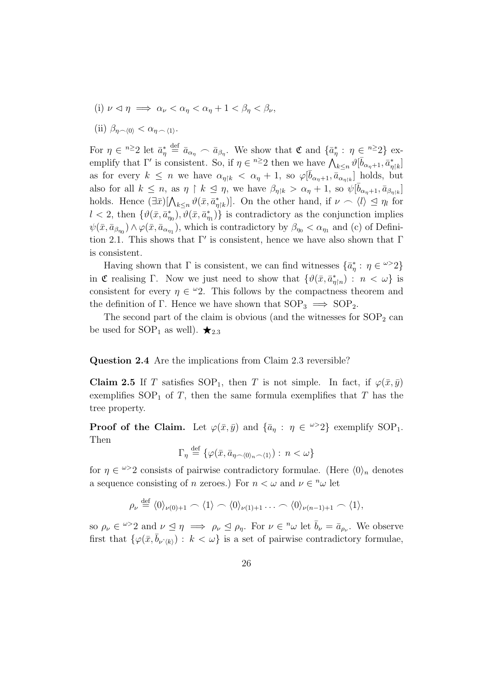- (i)  $\nu \triangleleft \eta \implies \alpha_{\nu} < \alpha_{\eta} < \alpha_{\eta} + 1 < \beta_{\eta} < \beta_{\nu}$
- (ii)  $\beta_{\eta \smallfrown \langle 0 \rangle} < \alpha_{\eta \smallfrown \langle 1 \rangle}$ .

For  $\eta \in \infty$  2 let  $\bar{a}_{\eta}^* \triangleq \bar{a}_{\alpha_{\eta}} \frown \bar{a}_{\beta_{\eta}}$ . We show that  $\mathfrak{C}$  and  $\{\bar{a}_{\eta}^* : \eta \in \infty\}$  exemplify that  $\Gamma'$  is consistent. So, if  $\eta \in {}^{n \geq 2}$  then we have  $\bigwedge_{k \leq n} {}^{i \geq 0} [\bar{b}_{\alpha_{\eta}+1}, \bar{a}^*_{\eta}]_k]$ as for every  $k \leq n$  we have  $\alpha_{\eta k} < \alpha_{\eta} + 1$ , so  $\varphi[\bar{b}_{\alpha_{\eta}+1}, \bar{a}_{\alpha_{\eta}+k}]$  holds, but also for all  $k \leq n$ , as  $\eta \restriction k \leq \eta$ , we have  $\beta_{\eta|k} > \alpha_{\eta} + 1$ , so  $\psi[\bar{b}_{\alpha_{\eta}+1}, \bar{a}_{\beta_{\eta|k}}]$ holds. Hence  $(\exists \bar{x})[\bigwedge_{k\leq n}\vartheta(\bar{x},\bar{a}_{\eta|k}^*)]$ . On the other hand, if  $\nu \frown \langle l \rangle \leq \eta_l$  for  $l < 2$ , then  $\{\vartheta(\bar{x}, \bar{a}_{\eta_0}^*), \vartheta(\bar{x}, \bar{a}_{\eta_1}^*)\}$  is contradictory as the conjunction implies  $\psi(\bar{x}, \bar{a}_{\beta_{\eta_0}}) \wedge \varphi(\bar{x}, \bar{a}_{\alpha_{\eta_1}})$ , which is contradictory by  $\beta_{\eta_0} < \alpha_{\eta_1}$  and (c) of Definition 2.1. This shows that  $\Gamma'$  is consistent, hence we have also shown that  $\Gamma$ is consistent.

Having shown that  $\Gamma$  is consistent, we can find witnesses  $\{\bar{a}_\eta^* : \eta \in \omega > 2\}$ in C realising Γ. Now we just need to show that  $\{\vartheta(\bar{x}, \bar{a}_{\eta|n}^*) : n < \omega\}$  is consistent for every  $\eta \in \mathcal{L}2$ . This follows by the compactness theorem and the definition of Γ. Hence we have shown that  $SOP_3 \implies SOP_2$ .

The second part of the claim is obvious (and the witnesses for  $SOP<sub>2</sub>$  can be used for SOP<sub>1</sub> as well).  $\star_{2.3}$ 

#### Question 2.4 Are the implications from Claim 2.3 reversible?

**Claim 2.5** If T satisfies SOP<sub>1</sub>, then T is not simple. In fact, if  $\varphi(\bar{x}, \bar{y})$ exemplifies  $SOP_1$  of T, then the same formula exemplifies that T has the tree property.

**Proof of the Claim.** Let  $\varphi(\bar{x}, \bar{y})$  and  $\{\bar{a}_\eta : \eta \in \mathbb{R}^2\}$  exemplify SOP<sub>1</sub>. Then

$$
\Gamma_{\eta} \stackrel{\text{def}}{=} \{ \varphi(\bar{x}, \bar{a}_{\eta \smallfrown \langle 0 \rangle_n \smallfrown \langle 1 \rangle}) : n < \omega \}
$$

for  $\eta \in \mathbb{Z}^2$  consists of pairwise contradictory formulae. (Here  $\langle 0 \rangle_n$  denotes a sequence consisting of *n* zeroes.) For  $n < \omega$  and  $\nu \in \mathbb{R}^n$  let

$$
\rho_{\nu} \stackrel{\text{def}}{=} \langle 0 \rangle_{\nu(0)+1} \frown \langle 1 \rangle \frown \langle 0 \rangle_{\nu(1)+1} \dots \frown \langle 0 \rangle_{\nu(n-1)+1} \frown \langle 1 \rangle,
$$

so  $\rho_{\nu} \in {}^{\omega >}2$  and  $\nu \leq \eta \implies \rho_{\nu} \leq \rho_{\eta}$ . For  $\nu \in {}^n\omega$  let  $\bar{b}_{\nu} = \bar{a}_{\rho_{\nu}}$ . We observe first that  $\{\varphi(\bar{x}, b_{\nu(k)}) : k < \omega\}$  is a set of pairwise contradictory formulae,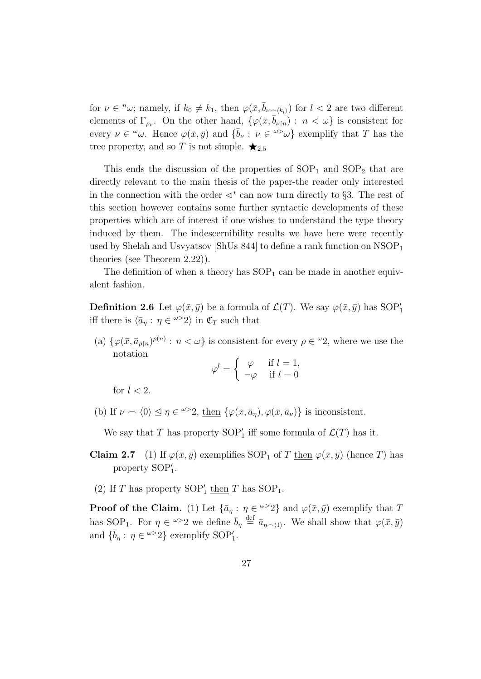for  $\nu \in \nu$ ; namely, if  $k_0 \neq k_1$ , then  $\varphi(\bar{x}, \bar{b}_{\nu \wedge k_l})$  for  $l < 2$  are two different elements of  $\Gamma_{\rho_{\nu}}$ . On the other hand,  $\{\varphi(\bar{x}, \bar{b}_{\nu|n}) : n < \omega\}$  is consistent for every  $\nu \in \omega$ . Hence  $\varphi(\bar{x}, \bar{y})$  and  $\{\bar{b}_{\nu} : \nu \in \omega > \omega\}$  exemplify that T has the tree property, and so T is not simple.  $\bigstar_{2.5}$ 

This ends the discussion of the properties of  $SOP_1$  and  $SOP_2$  that are directly relevant to the main thesis of the paper-the reader only interested in the connection with the order  $\langle \cdot \rangle^*$  can now turn directly to §3. The rest of this section however contains some further syntactic developments of these properties which are of interest if one wishes to understand the type theory induced by them. The indescernibility results we have here were recently used by Shelah and Usvyatsov [ShUs  $844$ ] to define a rank function on  $NSOP<sub>1</sub>$ theories (see Theorem 2.22)).

The definition of when a theory has  $SOP_1$  can be made in another equivalent fashion.

**Definition 2.6** Let  $\varphi(\bar{x}, \bar{y})$  be a formula of  $\mathcal{L}(T)$ . We say  $\varphi(\bar{x}, \bar{y})$  has SOP'<sub>1</sub> iff there is  $\langle \bar{a}_\eta : \eta \in \infty^{\infty}2 \rangle$  in  $\mathfrak{C}_T$  such that

(a)  $\{\varphi(\bar{x}, \bar{a}_{\rho|\bar{n}})^{\rho(\bar{n})}: n < \omega\}$  is consistent for every  $\rho \in {}^{\omega}2$ , where we use the notation

$$
\varphi^l = \begin{cases} \varphi & \text{if } l = 1, \\ \neg \varphi & \text{if } l = 0 \end{cases}
$$

for  $l < 2$ .

(b) If  $\nu \frown \langle 0 \rangle \leq \eta \in \omega > 2$ , then  $\{\varphi(\bar{x}, \bar{a}_{\eta}), \varphi(\bar{x}, \bar{a}_{\nu})\}$  is inconsistent.

We say that T has property  $SOP'_1$  iff some formula of  $\mathcal{L}(T)$  has it.

- **Claim 2.7** (1) If  $\varphi(\bar{x}, \bar{y})$  exemplifies SOP<sub>1</sub> of T then  $\varphi(\bar{x}, \bar{y})$  (hence T) has property  $SOP'_{1}$ .
- (2) If  $T$  has property  $SOP'_{1}$  then  $T$  has  $SOP_{1}$ .

**Proof of the Claim.** (1) Let  $\{\bar{a}_\eta : \eta \in \mathbb{R}^2\}$  and  $\varphi(\bar{x}, \bar{y})$  exemplify that T has SOP<sub>1</sub>. For  $\eta \in \omega > 2$  we define  $\bar{b}_{\eta} \stackrel{\text{def}}{=} \bar{a}_{\eta \sim (1)}$ . We shall show that  $\varphi(\bar{x}, \bar{y})$ and  $\{\bar{b}_\eta: \eta \in \omega > 2\}$  exemplify SOP'<sub>1</sub>.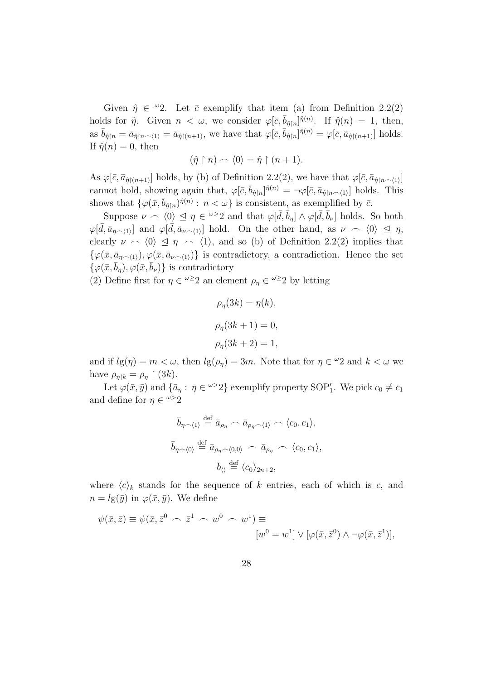Given  $\hat{\eta} \in {}^{\omega}2$ . Let  $\bar{c}$  exemplify that item (a) from Definition 2.2(2) holds for  $\hat{\eta}$ . Given  $n < \omega$ , we consider  $\varphi[\bar{c}, \bar{b}_{\hat{\eta}|n}]^{\hat{\eta}(n)}$ . If  $\hat{\eta}(n) = 1$ , then, as  $\bar{b}_{\hat{\eta}\upharpoonright n} = \bar{a}_{\hat{\eta}\upharpoonright n\to\{1\}} = \bar{a}_{\hat{\eta}\upharpoonright (n+1)}$ , we have that  $\varphi[\bar{c}, \bar{b}_{\hat{\eta}\upharpoonright n}]^{\hat{\eta}(n)} = \varphi[\bar{c}, \bar{a}_{\hat{\eta}\upharpoonright (n+1)}]$  holds. If  $\hat{\eta}(n) = 0$ , then

$$
(\hat{\eta} \restriction n) \frown \langle 0 \rangle = \hat{\eta} \restriction (n+1).
$$

As  $\varphi[\bar{c}, \bar{a}_{\hat{\eta}[(n+1)]}]$  holds, by (b) of Definition 2.2(2), we have that  $\varphi[\bar{c}, \bar{a}_{\hat{\eta}[n-1]}]$ cannot hold, showing again that,  $\varphi[\bar{c}, \bar{b}_{\hat{\eta}[n]}]^{\hat{\eta}(n)} = -\varphi[\bar{c}, \bar{a}_{\hat{\eta}[n]}^{\dagger}]}$  holds. This shows that  $\{\varphi(\bar{x}, \bar{b}_{\hat{\eta}|n})^{\hat{\eta}(n)} : n < \omega\}$  is consistent, as exemplified by  $\bar{c}$ .

Suppose  $\nu \sim \langle 0 \rangle \leq \eta \in \omega > 2$  and that  $\varphi[\bar{d}, \bar{b}_{\eta}] \wedge \varphi[\bar{d}, \bar{b}_{\nu}]$  holds. So both  $\varphi[\bar{d}, \bar{a}_{\eta \sim \langle 1 \rangle}]$  and  $\varphi[\bar{d}, \bar{a}_{\nu \sim \langle 1 \rangle}]$  hold. On the other hand, as  $\nu \sim \langle 0 \rangle \leq \eta$ , clearly  $\nu \sim \langle 0 \rangle \leq \eta \sim \langle 1 \rangle$ , and so (b) of Definition 2.2(2) implies that  $\{\varphi(\bar{x}, \bar{a}_{n\sim(1)}), \varphi(\bar{x}, \bar{a}_{\nu\sim(1)})\}$  is contradictory, a contradiction. Hence the set  $\{\varphi(\bar{x}, \bar{b}_\eta), \varphi(\bar{x}, \bar{b}_\nu)\}\$ is contradictory

(2) Define first for  $\eta \in \mathbb{R}^{\infty}$  an element  $\rho_{\eta} \in \mathbb{R}^{\infty}$  by letting

$$
\rho_{\eta}(3k) = \eta(k),
$$
  

$$
\rho_{\eta}(3k+1) = 0,
$$
  

$$
\rho_{\eta}(3k+2) = 1,
$$

and if  $lg(\eta) = m < \omega$ , then  $lg(\rho_{\eta}) = 3m$ . Note that for  $\eta \in \mathcal{L}_2$  and  $k < \omega$  we have  $\rho_{\eta|k} = \rho_{\eta} \restriction (3k)$ .

Let  $\varphi(\bar{x}, \bar{y})$  and  $\{\bar{a}_\eta : \eta \in \omega > 2\}$  exemplify property SOP'<sub>1</sub>. We pick  $c_0 \neq c_1$ and define for  $\eta \in \mathbb{R}^2$ 

$$
\bar{b}_{\eta \smallfrown \langle 1 \rangle} \stackrel{\text{def}}{=} \bar{a}_{\rho_{\eta}} \frown \bar{a}_{\rho_{\eta} \smallfrown \langle 1 \rangle} \frown \langle c_0, c_1 \rangle,
$$
\n
$$
\bar{b}_{\eta \smallfrown \langle 0 \rangle} \stackrel{\text{def}}{=} \bar{a}_{\rho_{\eta} \smallfrown \langle 0, 0 \rangle} \frown \bar{a}_{\rho_{\eta}} \frown \langle c_0, c_1 \rangle,
$$
\n
$$
\bar{b}_{\langle \rangle} \stackrel{\text{def}}{=} \langle c_0 \rangle_{2n+2},
$$

where  $\langle c \rangle_k$  stands for the sequence of k entries, each of which is c, and  $n = lg(\bar{y})$  in  $\varphi(\bar{x}, \bar{y})$ . We define

$$
\psi(\bar{x}, \bar{z}) \equiv \psi(\bar{x}, \bar{z}^0 \frown \bar{z}^1 \frown w^0 \frown w^1) \equiv
$$

$$
[w^0 = w^1] \vee [\varphi(\bar{x}, \bar{z}^0) \wedge \neg \varphi(\bar{x}, \bar{z}^1)],
$$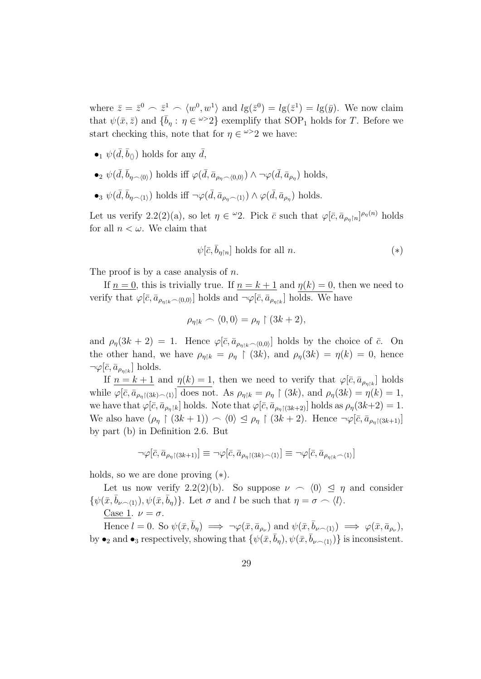where  $\bar{z} = \bar{z}^0 \sim \bar{z}^1 \sim \langle w^0, w^1 \rangle$  and  $lg(\bar{z}^0) = lg(\bar{z}^1) = lg(\bar{y})$ . We now claim that  $\psi(\bar{x}, \bar{z})$  and  $\{\bar{b}_{\eta} : \eta \in \omega > 2\}$  exemplify that SOP<sub>1</sub> holds for T. Before we start checking this, note that for  $\eta \in \omega > 2$  we have:

- $\bullet_1 \psi(\bar{d}, \bar{b}_{\langle\rangle})$  holds for any  $\bar{d}$ ,
- •<sub>2</sub>  $\psi(\bar{d}, \bar{b}_{\eta \frown \langle 0 \rangle})$  holds iff  $\varphi(\bar{d}, \bar{a}_{\rho_{\eta} \frown \langle 0,0 \rangle}) \wedge \neg \varphi(\bar{d}, \bar{a}_{\rho_{\eta}})$  holds,
- •<sub>3</sub>  $\psi(\bar{d}, \bar{b}_{\eta \smallfrown \langle 1 \rangle})$  holds iff  $\neg \varphi(\bar{d}, \bar{a}_{\rho_{\eta} \smallfrown \langle 1 \rangle}) \wedge \varphi(\bar{d}, \bar{a}_{\rho_{\eta}})$  holds.

Let us verify 2.2(2)(a), so let  $\eta \in \mathcal{L}$ . Pick  $\bar{c}$  such that  $\varphi[\bar{c}, \bar{a}_{\rho_{\eta}[n]}]^{\rho_{\eta}(n)}$  holds for all  $n < \omega$ . We claim that

$$
\psi[\bar{c}, \bar{b}_{\eta\upharpoonright n}] \text{ holds for all } n. \tag{*}
$$

The proof is by a case analysis of  $n$ .

If  $n = 0$ , this is trivially true. If  $n = k + 1$  and  $\eta(k) = 0$ , then we need to verify that  $\varphi[\bar{c}, \bar{a}_{\rho_{\eta\restriction k}\frown(0,0)}]$  holds and  $\neg\varphi[\bar{c}, \bar{a}_{\rho_{\eta\restriction k}}]$  holds. We have

$$
\rho_{\eta|k} \frown \langle 0, 0 \rangle = \rho_{\eta} \upharpoonright (3k+2),
$$

and  $\rho_{\eta}(3k+2) = 1$ . Hence  $\varphi[\bar{c}, \bar{a}_{\rho_{\eta}\circ k}(\gamma_{0,0})]$  holds by the choice of  $\bar{c}$ . On the other hand, we have  $\rho_{\eta|k} = \rho_{\eta} \restriction (3k)$ , and  $\rho_{\eta}(3k) = \eta(k) = 0$ , hence  $\neg \varphi[\bar{c}, \bar{a}_{\rho_{\eta\restriction k}}]$  holds.

If  $n = k + 1$  and  $\eta(k) = 1$ , then we need to verify that  $\varphi[\bar{c}, \bar{a}_{\rho_{\eta\restriction k}}]$  holds while  $\varphi[\bar{c}, \bar{a}_{\rho_{\eta}[(3k)\frown\langle 1\rangle]}]$  does not. As  $\rho_{\eta|k} = \rho_{\eta} \restriction (3k)$ , and  $\rho_{\eta}(3k) = \eta(k) = 1$ , we have that  $\varphi[\bar{c}, \bar{a}_{\rho_{\eta}[k]}]$  holds. Note that  $\varphi[\bar{c}, \bar{a}_{\rho_{\eta}[3k+2]}]$  holds as  $\rho_{\eta}(3k+2) = 1$ . We also have  $(\rho_{\eta} \restriction (3k+1)) \frown \langle 0 \rangle \leq \rho_{\eta} \restriction (3k+2)$ . Hence  $\neg \varphi[\bar{c}, \bar{a}_{\rho_n[(3k+1)}]$ by part (b) in Definition 2.6. But

$$
\neg \varphi[\bar{c}, \bar{a}_{\rho_{\eta}\restriction (3k+1)}] \equiv \neg \varphi[\bar{c}, \bar{a}_{\rho_{\eta}\restriction (3k)\frown \langle 1 \rangle}] \equiv \neg \varphi[\bar{c}, \bar{a}_{\rho_{\eta}\restriction k}\frown \langle 1 \rangle]
$$

holds, so we are done proving (∗).

Let us now verify 2.2(2)(b). So suppose  $\nu \sim \langle 0 \rangle \leq \eta$  and consider  $\{\psi(\bar{x}, \bar{b}_{\nu\sim(1)}), \psi(\bar{x}, \bar{b}_n)\}\.$  Let  $\sigma$  and l be such that  $\eta = \sigma \frown \langle l \rangle$ .

Case 1.  $\nu = \sigma$ .

Hence  $l = 0$ . So  $\psi(\bar{x}, \bar{b}_{\eta}) \implies \neg \varphi(\bar{x}, \bar{a}_{\rho_{\nu}})$  and  $\psi(\bar{x}, \bar{b}_{\nu \smallfrown \langle 1 \rangle}) \implies \varphi(\bar{x}, \bar{a}_{\rho_{\nu}})$ , by  $\bullet_2$  and  $\bullet_3$  respectively, showing that  $\{\psi(\bar{x}, \bar{b}_\eta), \psi(\bar{x}, \bar{b}_{\nu\sim(1)})\}$  is inconsistent.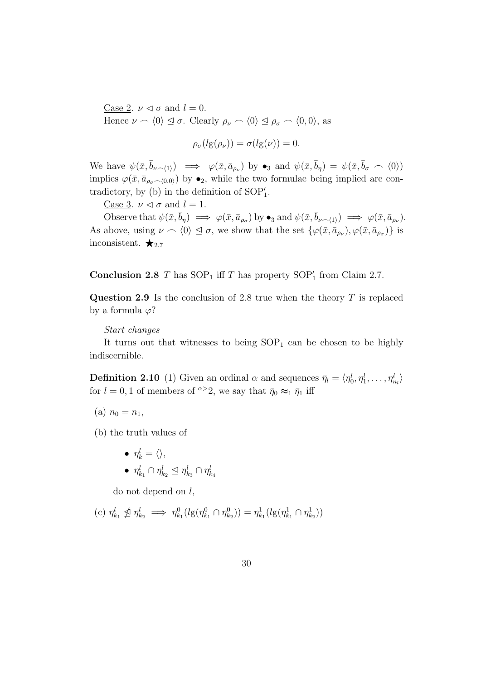Case 2.  $\nu \triangleleft \sigma$  and  $l = 0$ . Hence  $\nu \sim \langle 0 \rangle \leq \sigma$ . Clearly  $\rho_{\nu} \sim \langle 0 \rangle \leq \rho_{\sigma} \sim \langle 0, 0 \rangle$ , as

$$
\rho_{\sigma}(l\mathrm{g}(\rho_{\nu})) = \sigma(l\mathrm{g}(\nu)) = 0.
$$

We have  $\psi(\bar{x}, \bar{b}_{\nu \frown \langle 1 \rangle}) \implies \varphi(\bar{x}, \bar{a}_{\rho_{\nu}})$  by  $\bullet_3$  and  $\psi(\bar{x}, \bar{b}_{\eta}) = \psi(\bar{x}, \bar{b}_{\sigma} \frown \langle 0 \rangle)$ implies  $\varphi(\bar{x}, \bar{a}_{\rho_{\sigma} \frown \langle 0,0\rangle})$  by  $\bullet_2$ , while the two formulae being implied are contradictory, by (b) in the definition of  $SOP'_{1}$ .

Case 3.  $\nu \leq \sigma$  and  $l = 1$ .

Observe that  $\psi(\bar{x}, \bar{b}_{\eta}) \implies \varphi(\bar{x}, \bar{a}_{\rho_{\sigma}})$  by  $\bullet_3$  and  $\psi(\bar{x}, \bar{b}_{\nu \curvearrowleft \{1\}}) \implies \varphi(\bar{x}, \bar{a}_{\rho_{\nu}})$ . As above, using  $\nu \sim \langle 0 \rangle \leq \sigma$ , we show that the set  $\{\varphi(\bar{x}, \bar{a}_{\rho_{\nu}}), \varphi(\bar{x}, \bar{a}_{\rho_{\sigma}})\}\$ is inconsistent.  $\bigstar_{2.7}$ 

**Conclusion 2.8**  $T$  has  $SOP_1$  iff  $T$  has property  $SOP'_1$  from Claim 2.7.

Question 2.9 Is the conclusion of 2.8 true when the theory  $T$  is replaced by a formula  $\varphi$ ?

#### Start changes

It turns out that witnesses to being  $SOP_1$  can be chosen to be highly indiscernible.

**Definition 2.10** (1) Given an ordinal  $\alpha$  and sequences  $\bar{\eta}_l = \langle \eta_0^l, \eta_1^l, \dots, \eta_{n_l}^l \rangle$ for  $l = 0, 1$  of members of  $\infty$  2, we say that  $\bar{\eta}_0 \approx_1 \bar{\eta}_1$  iff

(a)  $n_0 = n_1$ ,

(b) the truth values of

$$
\bullet \ \ \eta^l_k = \langle \rangle,
$$

$$
\bullet \ \eta^l_{k_1} \cap \eta^l_{k_2} \trianglelefteq \eta^l_{k_3} \cap \eta^l_{k_4}
$$

do not depend on  $l$ ,

(c) 
$$
\eta_{k_1}^l \nleq \eta_{k_2}^l \implies \eta_{k_1}^0(lg(\eta_{k_1}^0 \cap \eta_{k_2}^0)) = \eta_{k_1}^1(lg(\eta_{k_1}^1 \cap \eta_{k_2}^1))
$$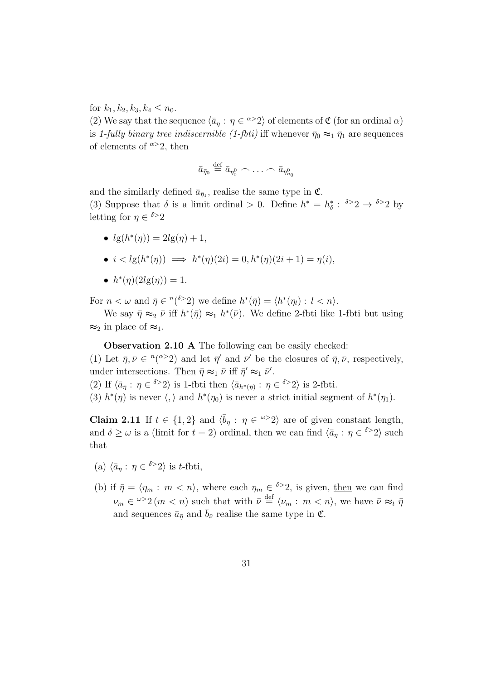for  $k_1, k_2, k_3, k_4 \leq n_0$ .

(2) We say that the sequence  $\langle \bar{a}_\eta : \eta \in \infty^{\infty}2 \rangle$  of elements of  $\mathfrak{C}$  (for an ordinal  $\alpha$ ) is 1-fully binary tree indiscernible (1-fbti) iff whenever  $\bar{\eta}_0 \approx_1 \bar{\eta}_1$  are sequences of elements of  $\alpha > 2$ , then

$$
\bar{a}_{\bar{\eta}_0} \stackrel{\text{def}}{=} \bar{a}_{\eta_0^0} \frown \ldots \frown \bar{a}_{\eta_{n_0}^0}
$$

and the similarly defined  $\bar{a}_{\bar{\eta}_1}$ , realise the same type in  $\mathfrak{C}$ . (3) Suppose that  $\delta$  is a limit ordinal > 0. Define  $h^* = h^*_{\delta} : \delta > 2 \rightarrow \delta > 2$  by letting for  $\eta \in \delta > 2$ 

- $lg(h^{*}(\eta)) = 2lg(\eta) + 1$ ,
- $i < lg(h^*(\eta)) \implies h^*(\eta)(2i) = 0, h^*(\eta)(2i+1) = \eta(i),$
- $h^*(\eta)(2lg(\eta)) = 1.$

For  $n < \omega$  and  $\bar{\eta} \in {}^{n}({}^{\delta>2})$  we define  $h^*(\bar{\eta}) = \langle h^*(\eta_l) : l < n \rangle$ .

We say  $\bar{\eta} \approx_2 \bar{\nu}$  iff  $h^*(\bar{\eta}) \approx_1 h^*(\bar{\nu})$ . We define 2-fbti like 1-fbti but using  $\approx_2$  in place of  $\approx_1$ .

Observation 2.10 A The following can be easily checked:

(1) Let  $\bar{\eta}, \bar{\nu} \in {}^n({}^{\alpha>2})$  and let  $\bar{\eta}'$  and  $\bar{\nu}'$  be the closures of  $\bar{\eta}, \bar{\nu}$ , respectively, under intersections. Then  $\bar{\eta} \approx_1 \bar{\nu}$  iff  $\bar{\eta}' \approx_1 \bar{\nu}'$ .

(2) If  $\langle \bar{a}_{\bar{\eta}} : \eta \in {}^{\delta >} 2 \rangle$  is 1-fbti then  $\langle \bar{a}_{h^*(\bar{\eta})} : \eta \in {}^{\delta >} 2 \rangle$  is 2-fbti.

(3)  $h^*(\eta)$  is never  $\langle, \rangle$  and  $h^*(\eta_0)$  is never a strict initial segment of  $h^*(\eta_1)$ .

**Claim 2.11** If  $t \in \{1, 2\}$  and  $\langle \bar{b}_\eta : \eta \in \infty \rangle$  are of given constant length, and  $\delta \geq \omega$  is a (limit for  $t = 2$ ) ordinal, then we can find  $\langle \bar{a}_\eta : \eta \in \delta > 2 \rangle$  such that

- (a)  $\langle \bar{a}_\eta : \eta \in {}^{\delta >} 2 \rangle$  is t-fbti,
- (b) if  $\bar{\eta} = \langle \eta_m : m \langle n \rangle$ , where each  $\eta_m \in {\delta}^> 2$ , is given, then we can find  $\nu_m \in \mathbb{Z}^{\omega} \geq 2$  (*m < n*) such that with  $\bar{\nu} \stackrel{\text{def}}{=} \langle \nu_m : m \langle n \rangle$ , we have  $\bar{\nu} \approx_t \bar{\eta}$ and sequences  $\bar{a}_{\bar{\eta}}$  and  $\bar{b}_{\bar{\nu}}$  realise the same type in  $\mathfrak{C}$ .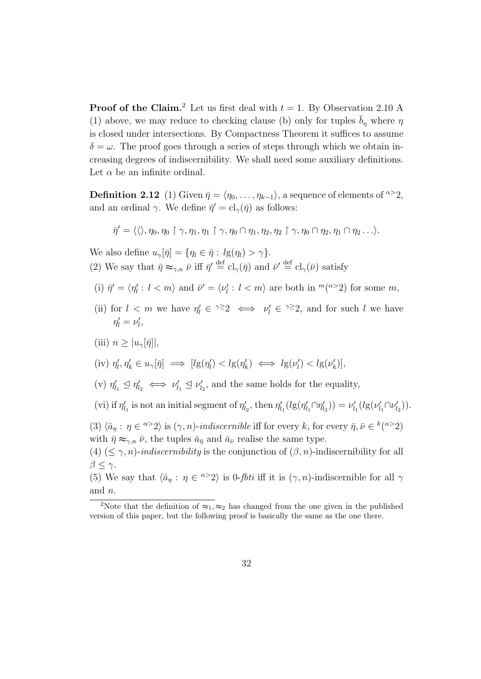**Proof of the Claim.**<sup>2</sup> Let us first deal with  $t = 1$ . By Observation 2.10 A (1) above, we may reduce to checking clause (b) only for tuples  $\bar{b}_n$  where  $\eta$ is closed under intersections. By Compactness Theorem it suffices to assume  $\delta = \omega$ . The proof goes through a series of steps through which we obtain increasing degrees of indiscernibility. We shall need some auxiliary definitions. Let  $\alpha$  be an infinite ordinal.

**Definition 2.12** (1) Given  $\bar{\eta} = \langle \eta_0, \ldots, \eta_{k-1} \rangle$ , a sequence of elements of  $\alpha > 2$ , and an ordinal  $\gamma$ . We define  $\bar{\eta}' = \text{cl}_{\gamma}(\bar{\eta})$  as follows:

$$
\bar{\eta}'=\langle\langle\rangle,\eta_0,\eta_0\restriction\gamma,\eta_1,\eta_1\restriction\gamma,\eta_0\cap\eta_1,\eta_2,\eta_2\restriction\gamma,\eta_0\cap\eta_2,\eta_1\cap\eta_2\dots\rangle.
$$

We also define  $u_{\gamma}[\bar{\eta}] = {\eta_l \in \bar{\eta} : l g(\eta_l) > \gamma}.$ 

(2) We say that  $\bar{\eta} \approx_{\gamma,n} \bar{\nu}$  iff  $\bar{\eta}' \stackrel{\text{def}}{=} cl_{\gamma}(\bar{\eta})$  and  $\bar{\nu}' \stackrel{\text{def}}{=} cl_{\gamma}(\bar{\nu})$  satisfy

- (i)  $\bar{\eta}' = \langle \eta'_l : l < m \rangle$  and  $\bar{\nu}' = \langle \nu'_l : l < m \rangle$  are both in  $^m(^{\alpha > 2})$  for some m,
- (ii) for  $l < m$  we have  $\eta'_l \in \gamma \geq 2 \iff \nu'_l \in \gamma \geq 2$ , and for such l we have  $\eta'_l = \nu'_l,$

### (iii)  $n \geq |u_{\gamma}[\bar{\eta}]|$ ,

$$
(iv) \ \eta'_l, \eta'_k \in u_\gamma[\bar{\eta}] \implies [lg(\eta'_l) < lg(\eta'_k) \iff lg(\nu'_l) < lg(\nu'_k)],
$$

(v)  $\eta'_{l_1} \leq \eta'_{l_2} \iff \nu'_{l_1} \leq \nu'_{l_2}$ , and the same holds for the equality,

(vi) if  $\eta'_{l_1}$  is not an initial segment of  $\eta'_{l_2}$ , then  $\eta'_{l_1}(lg(\eta'_{l_1}\cap \eta'_{l_2})) = \nu'_{l_1}(lg(\nu'_{l_1}\cap \nu'_{l_2}))$ .

(3)  $\langle \bar{a}_\eta : \eta \in \alpha > 2 \rangle$  is  $(\gamma, n)$ -indiscernible iff for every k, for every  $\bar{\eta}, \bar{\nu} \in {^k(\alpha > 2)}$ with  $\bar{\eta} \approx_{\gamma,n} \bar{\nu}$ , the tuples  $\bar{a}_{\bar{n}}$  and  $\bar{a}_{\bar{\nu}}$  realise the same type.

(4) ( $\leq \gamma$ , *n*)-*indiscernibility* is the conjunction of  $(\beta, n)$ -indiscernibility for all  $β ≤ γ.$ 

(5) We say that  $\langle \bar{a}_\eta : \eta \in \infty^{\infty}2 \rangle$  is 0-*fbti* iff it is  $(\gamma, n)$ -indiscernible for all  $\gamma$ and n.

<sup>&</sup>lt;sup>2</sup>Note that the definition of  $\approx_1$ ,  $\approx_2$  has changed from the one given in the published version of this paper, but the following proof is basically the same as the one there.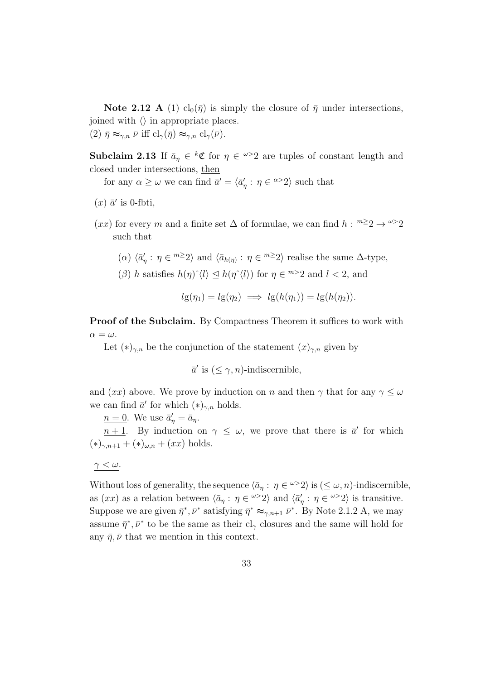**Note 2.12 A** (1)  $cl_0(\bar{\eta})$  is simply the closure of  $\bar{\eta}$  under intersections, joined with  $\langle \rangle$  in appropriate places. (2)  $\bar{\eta} \approx_{\gamma,n} \bar{\nu}$  iff  $\text{cl}_{\gamma}(\bar{\eta}) \approx_{\gamma,n} \text{cl}_{\gamma}(\bar{\nu}).$ 

**Subclaim 2.13** If  $\bar{a}_{\eta} \in {}^{k} \mathfrak{C}$  for  $\eta \in {}^{\omega >} 2$  are tuples of constant length and closed under intersections, then

for any  $\alpha \geq \omega$  we can find  $\bar{a}' = \langle \bar{a}'_{\eta} : \eta \in {}^{\alpha >} 2 \rangle$  such that

- $(x)$   $\bar{a}'$  is 0-fbti,
- $(xx)$  for every m and a finite set  $\Delta$  of formulae, we can find  $h: \mathbb{R}^2 \to \mathbb{R}^2$ such that

(
$$
\alpha
$$
)  $\langle \bar{a}'_{\eta} : \eta \in {}^{m \geq} 2 \rangle$  and  $\langle \bar{a}_{h(\eta)} : \eta \in {}^{m \geq} 2 \rangle$  realise the same  $\Delta$ -type,

( $\beta$ ) h satisfies  $h(\eta)^{\hat{ }} \langle l \rangle \leq h(\eta^{\hat{ }} \langle l \rangle)$  for  $\eta \in {}^{m>2}2$  and  $l < 2$ , and

$$
lg(\eta_1) = lg(\eta_2) \implies lg(h(\eta_1)) = lg(h(\eta_2)).
$$

Proof of the Subclaim. By Compactness Theorem it suffices to work with  $\alpha = \omega$ .

Let  $(*)_{\gamma,n}$  be the conjunction of the statement  $(x)_{\gamma,n}$  given by

$$
\bar{a}'
$$
 is  $(\leq \gamma, n)$ -indiscernible,

and  $(xx)$  above. We prove by induction on n and then  $\gamma$  that for any  $\gamma \leq \omega$ we can find  $\bar{a}'$  for which  $(*)_{\gamma,n}$  holds.

 $n=0$ . We use  $\bar{a}'_{\eta} = \bar{a}_{\eta}$ .

 $n+1$ . By induction on  $\gamma \leq \omega$ , we prove that there is  $\bar{a}'$  for which  $(*)_{\gamma,n+1} + (*)_{\omega,n} + (xx)$  holds.

$$
\underline{\gamma < \omega}.
$$

Without loss of generality, the sequence  $\langle \bar{a}_\eta : \eta \in \omega > 2 \rangle$  is  $(\leq \omega, n)$ -indiscernible, as  $(xx)$  as a relation between  $\langle \bar{a}_\eta : \eta \in \omega > 2 \rangle$  and  $\langle \bar{a}'_\eta : \eta \in \omega > 2 \rangle$  is transitive. Suppose we are given  $\bar{\eta}^*, \bar{\nu}^*$  satisfying  $\bar{\eta}^* \approx_{\gamma,n+1} \bar{\nu}^*$ . By Note 2.1.2 A, we may assume  $\bar{\eta}^*, \bar{\nu}^*$  to be the same as their cl<sub>γ</sub> closures and the same will hold for any  $\bar{\eta}, \bar{\nu}$  that we mention in this context.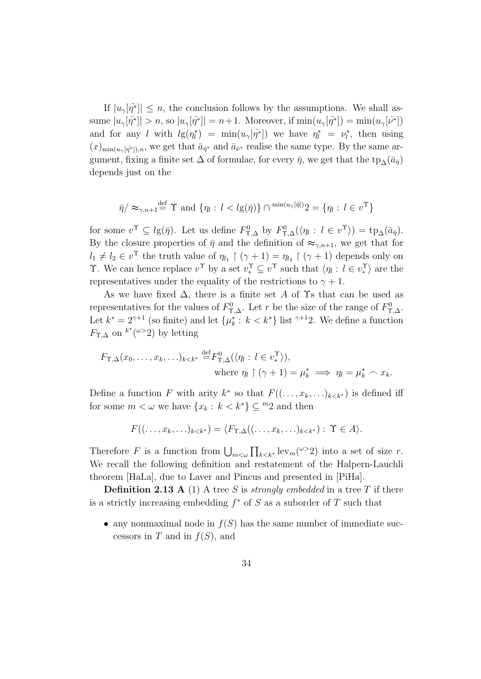If  $|u_{\gamma}[\bar{\eta}^*]| \leq n$ , the conclusion follows by the assumptions. We shall assume  $|u_{\gamma}[\bar{\eta}^*]| > n$ , so  $|u_{\gamma}[\bar{\eta}^*]| = n+1$ . Moreover, if  $\min(u_{\gamma}[\bar{\eta}^*]) = \min(u_{\gamma}[\bar{\nu}^*])$ and for any l with  $lg(\eta_l^*) = \min(u_\gamma[\bar{\eta^*}])$  we have  $\eta_l^* = \nu_l^*$ , then using  $(x)_{\min(u_\gamma[\bar{\eta^*}]),n}$ , we get that  $\bar{a}_{\bar{\eta}^*}$  and  $\bar{a}_{\bar{\nu}^*}$  realise the same type. By the same argument, fixing a finite set  $\Delta$  of formulae, for every  $\bar{\eta}$ , we get that the tp<sub>∆</sub>( $\bar{a}_{\bar{\eta}}$ ) depends just on the

$$
\bar{\eta}/\approx_{\gamma,n+1} \stackrel{\text{def}}{=} \Upsilon \text{ and } \{\eta_l: l < l \mathfrak{g}(\bar{\eta})\} \cap \min(u_\gamma[\bar{\eta}]) \mathfrak{g} = \{\eta_l: l \in v^\Upsilon\}
$$

for some  $v^{\Upsilon} \subseteq l_{\mathcal{B}}(\bar{\eta})$ . Let us define  $F^0_{\Upsilon,\Delta}$  by  $F^0_{\Upsilon,\Delta}(\langle \eta_l : l \in v^{\Upsilon} \rangle) = \text{tp}_{\Delta}(\bar{a}_{\bar{\eta}})$ . By the closure properties of  $\bar{\eta}$  and the definition of  $\approx_{\gamma,n+1}$ , we get that for  $l_1 \neq l_2 \in v^{\Upsilon}$  the truth value of  $\eta_{l_1} \upharpoonright (\gamma + 1) = \eta_{l_2} \upharpoonright (\gamma + 1)$  depends only on T. We can hence replace  $v^{\Upsilon}$  by a set  $v^{\Upsilon} \subseteq v^{\Upsilon}$  such that  $\langle \eta_l : l \in v^{\Upsilon} \rangle$  are the representatives under the equality of the restrictions to  $\gamma + 1$ .

As we have fixed  $\Delta$ , there is a finite set A of  $\Upsilon$ s that can be used as representatives for the values of  $F^0_{\Upsilon,\Delta}$ . Let r be the size of the range of  $F^0_{\Upsilon,\Delta}$ . Let  $k^* = 2^{\gamma+1}$  (so finite) and let  $\{\mu_k^* : k < k^*\}$  list  $\gamma^{+1}2$ . We define a function  $F_{\Upsilon,\Delta}$  on  $k^*(\omega>2)$  by letting

$$
F_{\Upsilon,\Delta}(x_0,\ldots,x_k,\ldots)_{k  
where  $\eta_l \upharpoonright (\gamma+1) = \mu_k^* \implies \eta_l = \mu_k^* \frown x_k.$
$$

Define a function F with arity  $k^*$  so that  $F((\ldots,x_k,\ldots)_{k\leq k^*})$  is defined iff for some  $m < \omega$  we have  $\{x_k : k < k^*\} \subseteq {}^m 2$  and then

$$
F((\ldots,x_k,\ldots)_{k\lt k^*})=\langle F_{\Upsilon,\Delta}((\ldots,x_k,\ldots)_{k\lt k^*}): \Upsilon\in A\rangle.
$$

Therefore F is a function from  $\bigcup_{m<\omega}\prod_{k< k^*} \operatorname{lev}_m({}^{\omega>2})$  into a set of size r. We recall the following definition and restatement of the Halpern-Lauchli theorem [HaLa], due to Laver and Pincus and presented in [PiHa].

**Definition 2.13 A** (1) A tree S is *strongly embedded* in a tree T if there is a strictly increasing embedding  $f^*$  of S as a suborder of T such that

• any nonmaximal node in  $f(S)$  has the same number of immediate successors in T and in  $f(S)$ , and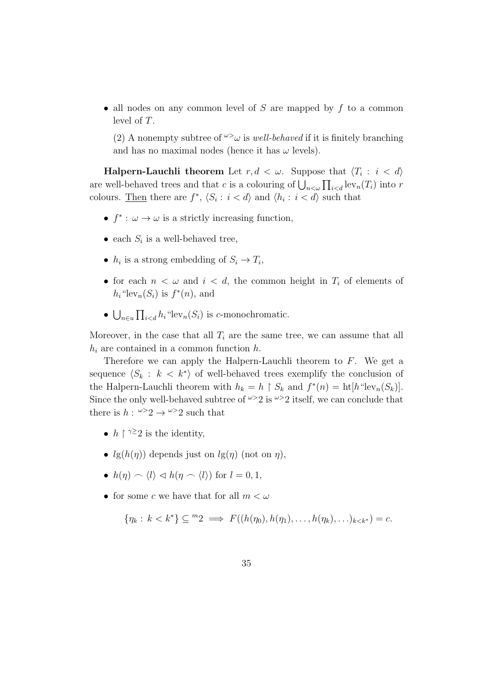• all nodes on any common level of  $S$  are mapped by  $f$  to a common level of T.

(2) A nonempty subtree of  $\omega > \omega$  is well-behaved if it is finitely branching and has no maximal nodes (hence it has  $\omega$  levels).

 $\bf{Halpern-Lauchli\,\,\, theorem} \,\,\, Let \,\, r,d\, < \, \omega. \,\,\, Suppose \,\, that \,\, \langle T_i\, : \,\, i\, < \, d\rangle$ are well-behaved trees and that c is a colouring of  $\bigcup_{n<\omega}\prod_{i into r$ colours. Then there are  $f^*$ ,  $\langle S_i : i < d \rangle$  and  $\langle h_i : i < d \rangle$  such that

- $f^*$ :  $\omega \to \omega$  is a strictly increasing function,
- each  $S_i$  is a well-behaved tree,
- $h_i$  is a strong embedding of  $S_i \to T_i$ ,
- for each  $n < \omega$  and  $i < d$ , the common height in  $T_i$  of elements of  $h_i$ "lev<sub>n</sub> $(S_i)$  is  $f^*(n)$ , and
- $\bigcup_{n\in\mathcal{U}}\prod_{i "lev<sub>n</sub> $(S_i)$  is c-monochromatic.$

Moreover, in the case that all  $T_i$  are the same tree, we can assume that all  $h_i$  are contained in a common function h.

Therefore we can apply the Halpern-Lauchli theorem to  $F$ . We get a sequence  $\langle S_k : k \langle k^* \rangle$  of well-behaved trees exemplify the conclusion of the Halpern-Lauchli theorem with  $h_k = h \restriction S_k$  and  $f^*(n) = \text{ht}[h^* \text{lev}_n(S_k)]$ . Since the only well-behaved subtree of  $\omega > 2$  is  $\omega > 2$  itself, we can conclude that there is  $h: \omega > 2 \rightarrow \omega > 2$  such that

- $h \restriction \gamma \geq 2$  is the identity,
- $lg(h(\eta))$  depends just on  $lg(\eta)$  (not on  $\eta$ ),
- $h(\eta) \frown \langle l \rangle \lhd h(\eta \frown \langle l \rangle)$  for  $l = 0, 1$ ,
- for some c we have that for all  $m < \omega$

$$
\{\eta_k: k < k^*\} \subseteq {}^m2 \implies F((h(\eta_0), h(\eta_1), \ldots, h(\eta_k), \ldots)_{k < k^*}) = c.
$$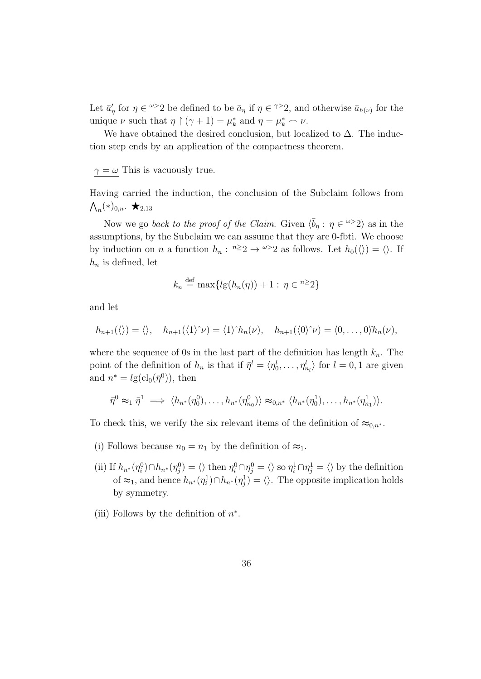Let  $\bar{a}'_{\eta}$  for  $\eta \in \infty$  be defined to be  $\bar{a}_{\eta}$  if  $\eta \in \infty$  and otherwise  $\bar{a}_{h(\nu)}$  for the unique  $\nu$  such that  $\eta \restriction (\gamma + 1) = \mu_k^*$  and  $\eta = \mu_k^* \frown \nu$ .

We have obtained the desired conclusion, but localized to  $\Delta$ . The induction step ends by an application of the compactness theorem.

 $\gamma = \omega$  This is vacuously true.

Having carried the induction, the conclusion of the Subclaim follows from  $\bigwedge_n (*)_{0,n}$ .  $\bigstar_{2.13}$ 

Now we go back to the proof of the Claim. Given  $\langle \bar{b}_\eta : \eta \in \mathbb{R}^2 \rangle$  as in the assumptions, by the Subclaim we can assume that they are 0-fbti. We choose by induction on *n* a function  $h_n$ :  $n \geq 2 \rightarrow \infty$  as follows. Let  $h_0(\langle \rangle) = \langle \rangle$ . If  $h_n$  is defined, let

$$
k_n \stackrel{\text{def}}{=} \max\{l g(h_n(\eta)) + 1 : \eta \in \mathbb{R}^2\}
$$

and let

$$
h_{n+1}(\langle\rangle)=\langle\rangle, \quad h_{n+1}(\langle 1\rangle^{\wedge}\nu)=\langle 1\rangle^{\wedge}h_n(\nu), \quad h_{n+1}(\langle 0\rangle^{\wedge}\nu)=\langle 0,\ldots,0\rangle h_n(\nu),
$$

where the sequence of 0s in the last part of the definition has length  $k_n$ . The point of the definition of  $h_n$  is that if  $\bar{\eta}^l = \langle \eta_0^l, \ldots, \eta_{n_l}^l \rangle$  for  $l = 0, 1$  are given and  $n^* = lg(cl_0(\bar{\eta}^0))$ , then

$$
\bar{\eta}^0 \approx_1 \bar{\eta}^1 \implies \langle h_{n^*}(\eta_0^0), \dots, h_{n^*}(\eta_{n_0}^0) \rangle \approx_{0,n^*} \langle h_{n^*}(\eta_0^1), \dots, h_{n^*}(\eta_{n_1}^1) \rangle.
$$

To check this, we verify the six relevant items of the definition of  $\approx_{0,n^*}$ .

- (i) Follows because  $n_0 = n_1$  by the definition of  $\approx_1$ .
- (ii) If  $h_{n^*}(\eta_i^0) \cap h_{n^*}(\eta_j^0) = \langle \rangle$  then  $\eta_i^0 \cap \eta_j^0 = \langle \rangle$  so  $\eta_i^1 \cap \eta_j^1 = \langle \rangle$  by the definition of  $\approx_1$ , and hence  $h_{n^*}(\eta_i^1) \cap h_{n^*}(\eta_j^1) = \langle \rangle$ . The opposite implication holds by symmetry.
- (iii) Follows by the definition of  $n^*$ .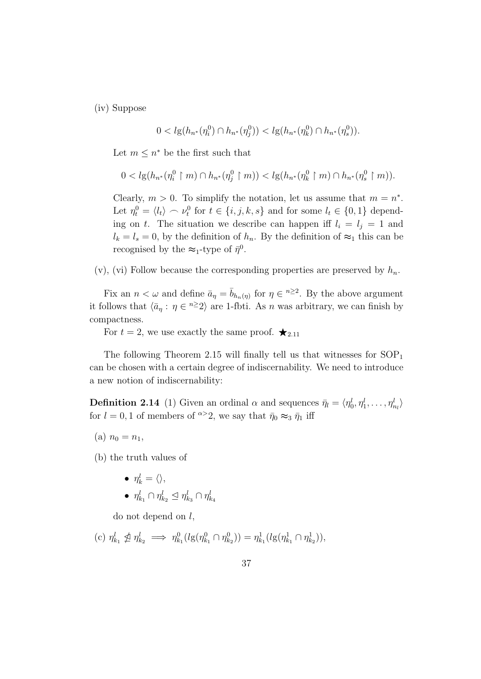(iv) Suppose

$$
0 < l_g(h_{n^*}(\eta_i^0) \cap h_{n^*}(\eta_j^0)) < l_g(h_{n^*}(\eta_k^0) \cap h_{n^*}(\eta_s^0)).
$$

Let  $m \leq n^*$  be the first such that

$$
0 < l g(h_{n^*}(\eta_i^0 \upharpoonright m) \cap h_{n^*}(\eta_j^0 \upharpoonright m)) < l g(h_{n^*}(\eta_k^0 \upharpoonright m) \cap h_{n^*}(\eta_s^0 \upharpoonright m)).
$$

Clearly,  $m > 0$ . To simplify the notation, let us assume that  $m = n^*$ . Let  $\eta_t^0 = \langle l_t \rangle \frown \nu_t^0$  for  $t \in \{i, j, k, s\}$  and for some  $l_t \in \{0, 1\}$  depending on t. The situation we describe can happen iff  $l_i = l_j = 1$  and  $l_k = l_s = 0$ , by the definition of  $h_n$ . By the definition of  $\approx_1$  this can be recognised by the  $\approx_1$ -type of  $\bar{\eta}^0$ .

(v), (vi) Follow because the corresponding properties are preserved by  $h_n$ .

Fix an  $n < \omega$  and define  $\bar{a}_{\eta} = \bar{b}_{h_n(\eta)}$  for  $\eta \in \mathbb{R}^2$ . By the above argument it follows that  $\langle \bar{a}_\eta : \eta \in \infty \rangle$  are 1-fbti. As n was arbitrary, we can finish by compactness.

For  $t = 2$ , we use exactly the same proof.  $\star_{2.11}$ 

The following Theorem 2.15 will finally tell us that witnesses for  $SOP<sub>1</sub>$ can be chosen with a certain degree of indiscernability. We need to introduce a new notion of indiscernability:

**Definition 2.14** (1) Given an ordinal  $\alpha$  and sequences  $\bar{\eta}_l = \langle \eta_0^l, \eta_1^l, \dots, \eta_{n_l}^l \rangle$ for  $l = 0, 1$  of members of  $\infty$ 2, we say that  $\bar{\eta}_0 \approx_3 \bar{\eta}_1$  iff

(a)  $n_0 = n_1$ ,

(b) the truth values of

$$
\bullet \ \ \eta_k^l = \langle \rangle,
$$

 $\bullet$   $\eta^l_{k_1} \cap \eta^l_{k_2} \trianglelefteq \eta^l_{k_3} \cap \eta^l_{k_4}$ 

do not depend on  $l$ ,

(c) 
$$
\eta_{k_1}^l \nleq \eta_{k_2}^l \implies \eta_{k_1}^0(lg(\eta_{k_1}^0 \cap \eta_{k_2}^0)) = \eta_{k_1}^1(lg(\eta_{k_1}^1 \cap \eta_{k_2}^1)),
$$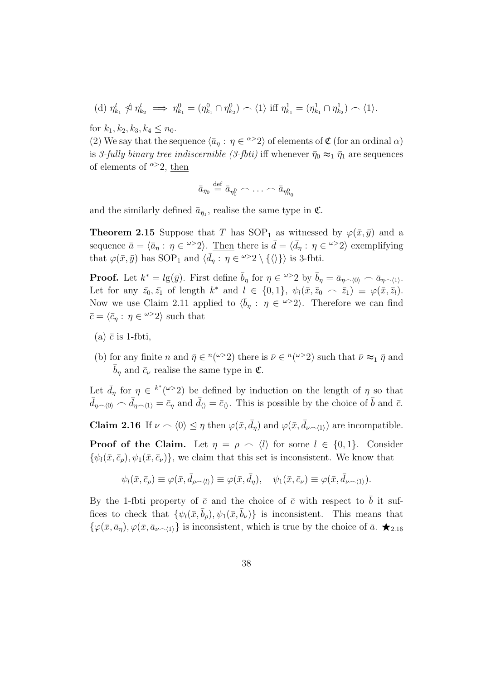(d) 
$$
\eta_{k_1}^l \nleq \eta_{k_2}^l \implies \eta_{k_1}^0 = (\eta_{k_1}^0 \cap \eta_{k_2}^0) \frown \langle 1 \rangle
$$
 iff  $\eta_{k_1}^1 = (\eta_{k_1}^1 \cap \eta_{k_2}^1) \frown \langle 1 \rangle$ .

for  $k_1, k_2, k_3, k_4 \leq n_0$ .

(2) We say that the sequence  $\langle \bar{a}_\eta : \eta \in \infty^{\infty}2 \rangle$  of elements of  $\mathfrak{C}$  (for an ordinal  $\alpha$ ) is 3-fully binary tree indiscernible (3-fbti) iff whenever  $\bar{\eta}_0 \approx_1 \bar{\eta}_1$  are sequences of elements of  $\alpha > 2$ , then

$$
\bar{a}_{\bar{\eta}_0} \stackrel{\text{def}}{=} \bar{a}_{\eta_0^0} \frown \ldots \frown \bar{a}_{\eta_{n_0}^0}
$$

and the similarly defined  $\bar{a}_{\bar{\eta}_1}$ , realise the same type in  $\mathfrak{C}$ .

**Theorem 2.15** Suppose that T has SOP<sub>1</sub> as witnessed by  $\varphi(\bar{x}, \bar{y})$  and a sequence  $\bar{a} = \langle \bar{a}_\eta : \eta \in \omega^>2 \rangle$ . Then there is  $\bar{d} = \langle \bar{d}_\eta : \eta \in \omega^>2 \rangle$  exemplifying that  $\varphi(\bar{x}, \bar{y})$  has SOP<sub>1</sub> and  $\langle \bar{d}_\eta : \eta \in \omega > 2 \setminus \{ \langle \rangle \} \rangle$  is 3-fbti.

**Proof.** Let  $k^* = lg(\bar{y})$ . First define  $\bar{b}_{\eta}$  for  $\eta \in \frac{\omega > 2}{2}$  by  $\bar{b}_{\eta} = \bar{a}_{\eta \sim (0)} \sim \bar{a}_{\eta \sim (1)}$ . Let for any  $\bar{z}_0, \bar{z}_1$  of length  $k^*$  and  $l \in \{0,1\}, \psi_l(\bar{x}, \bar{z}_0 \frown \bar{z}_1) \equiv \varphi(\bar{x}, \bar{z}_l).$ Now we use Claim 2.11 applied to  $\langle \bar{b}_\eta : \eta \in \ell^{\omega} \rangle$ . Therefore we can find  $\bar{c} = \langle \bar{c}_{\eta} : \eta \in {}^{\omega >} 2 \rangle$  such that

- (a)  $\bar{c}$  is 1-fbti,
- (b) for any finite n and  $\bar{\eta} \in {}^n(\omega > 2)$  there is  $\bar{\nu} \in {}^n(\omega > 2)$  such that  $\bar{\nu} \approx_1 \bar{\eta}$  and  $\bar{b}_n$  and  $\bar{c}_\nu$  realise the same type in  $\mathfrak{C}$ .

Let  $\bar{d}_{\eta}$  for  $\eta \in k^*(\omega > 2)$  be defined by induction on the length of  $\eta$  so that  $\bar{d}_{\eta \smallfrown \langle 0 \rangle} \frown \bar{d}_{\eta \smallfrown \langle 1 \rangle} = \bar{c}_{\eta}$  and  $\bar{d}_{\langle \rangle} = \bar{c}_{\langle \rangle}$ . This is possible by the choice of  $\bar{b}$  and  $\bar{c}$ .

**Claim 2.16** If  $\nu \sim \langle 0 \rangle \leq \eta$  then  $\varphi(\bar{x}, \bar{d}_{\eta})$  and  $\varphi(\bar{x}, \bar{d}_{\nu \sim \langle 1 \rangle})$  are incompatible.

**Proof of the Claim.** Let  $\eta = \rho \sim \langle l \rangle$  for some  $l \in \{0, 1\}$ . Consider  $\{\psi_l(\bar{x}, \bar{c}_\rho), \psi_1(\bar{x}, \bar{c}_\nu)\}\,$ , we claim that this set is inconsistent. We know that

$$
\psi_l(\bar{x}, \bar{c}_{\rho}) \equiv \varphi(\bar{x}, \bar{d}_{\rho \smallfrown \langle l \rangle}) \equiv \varphi(\bar{x}, \bar{d}_{\eta}), \quad \psi_1(\bar{x}, \bar{c}_{\nu}) \equiv \varphi(\bar{x}, \bar{d}_{\nu \smallfrown \langle 1 \rangle}).
$$

By the 1-fbti property of  $\bar{c}$  and the choice of  $\bar{c}$  with respect to  $\bar{b}$  it suffices to check that  $\{\psi_l(\bar{x}, \bar{b}_\rho), \psi_1(\bar{x}, \bar{b}_\nu)\}\$ is inconsistent. This means that  $\{\varphi(\bar{x}, \bar{a}_{\eta}), \varphi(\bar{x}, \bar{a}_{\nu \wedge 1})\}$  is inconsistent, which is true by the choice of  $\bar{a}$ .  $\star_{2.16}$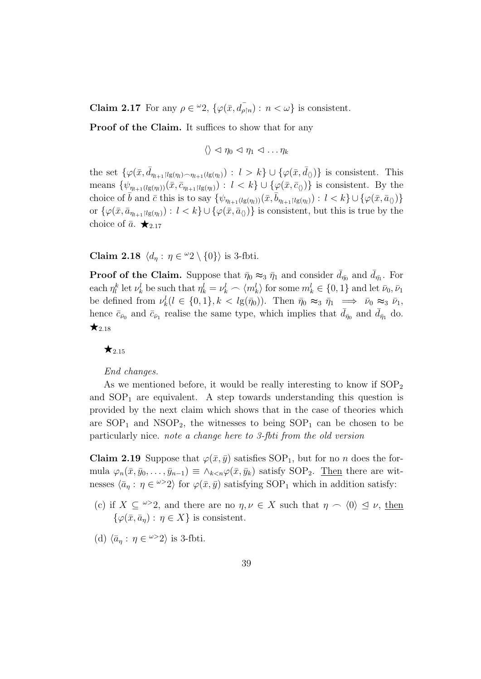**Claim 2.17** For any  $\rho \in {}^{\omega}2$ ,  $\{\varphi(\bar{x}, d_{\rho \restriction n}) : n < \omega\}$  is consistent.

Proof of the Claim. It suffices to show that for any

$$
\langle\rangle\vartriangleleft\eta_0\vartriangleleft\eta_1\vartriangleleft\ldots\eta_k
$$

the set  $\{\varphi(\bar{x}, \bar{d}_{\eta_{l+1}|lg(\eta_l)\frown\eta_{l+1}(lg(\eta_l))} : l > k\} \cup \{\varphi(\bar{x}, \bar{d}_{\langle\rangle})\}$  is consistent. This means  $\{\psi_{\eta_{l+1}(lg(\eta_l))}(\bar{x}, \bar{c}_{\eta_{l+1}|lg(\eta_l)}) : l < k\} \cup \{\varphi(\bar{x}, \bar{c}_{\langle\rangle})\}\$ is consistent. By the choice of  $\bar{b}$  and  $\bar{c}$  this is to say  $\{\psi_{\eta_{l+1}(lg(\eta_l))}(\bar{x}, \bar{b}_{\eta_{l+1}|lg(\eta_l)}) : l < k\} \cup \{\varphi(\bar{x}, \bar{a}_{\langle\rangle})\}$ or  $\{\varphi(\bar{x}, \bar{a}_{\eta_{l+1}|lg(\eta_l)}) : l < k\} \cup \{\varphi(\bar{x}, \bar{a}_{\langle \rangle})\}$  is consistent, but this is true by the choice of  $\bar{a}$ .  $\bigstar_{2.17}$ 

Claim 2.18  $\langle d_{\eta} : \eta \in {}^{\omega}2 \setminus \{0\} \rangle$  is 3-fbti.

**Proof of the Claim.** Suppose that  $\bar{\eta}_0 \approx_3 \bar{\eta}_1$  and consider  $\bar{d}_{\bar{\eta}_0}$  and  $\bar{d}_{\bar{\eta}_1}$ . For each  $\eta_l^k$  let  $\nu_k^l$  be such that  $\eta_k^l = \nu_k^l \frown \langle m_k^l \rangle$  for some  $m_k^l \in \{0, 1\}$  and let  $\bar{\nu}_0, \bar{\nu}_1$ be defined from  $\nu_k^l (l \in \{0,1\}, k < l g(\bar{\eta}_0))$ . Then  $\bar{\eta}_0 \approx_3 \bar{\eta}_1 \implies \bar{\nu}_0 \approx_3 \bar{\nu}_1$ , hence  $\bar{c}_{\bar{\nu}_0}$  and  $\bar{c}_{\bar{\nu}_1}$  realise the same type, which implies that  $\bar{d}_{\bar{\eta}_0}$  and  $\bar{d}_{\bar{\eta}_1}$  do.  $\bigstar_{2.18}$ 

#### $\star$ <sub>2.15</sub>

#### End changes.

As we mentioned before, it would be really interesting to know if  $SOP<sub>2</sub>$ and  $SOP<sub>1</sub>$  are equivalent. A step towards understanding this question is provided by the next claim which shows that in the case of theories which are  $SOP_1$  and  $NSOP_2$ , the witnesses to being  $SOP_1$  can be chosen to be particularly nice. note a change here to 3-fbti from the old version

**Claim 2.19** Suppose that  $\varphi(\bar{x}, \bar{y})$  satisfies SOP<sub>1</sub>, but for no *n* does the formula  $\varphi_n(\bar{x}, \bar{y}_0, \ldots, \bar{y}_{n-1}) \equiv \wedge_{k \leq n} \varphi(\bar{x}, \bar{y}_k)$  satisfy SOP<sub>2</sub>. <u>Then</u> there are witnesses  $\langle \bar{a}_\eta : \eta \in \omega > 2 \rangle$  for  $\varphi(\bar{x}, \bar{y})$  satisfying SOP<sub>1</sub> which in addition satisfy:

- (c) if  $X \subseteq \mathbb{Z}^n$ , and there are no  $\eta, \nu \in X$  such that  $\eta \cap \langle 0 \rangle \subseteq \nu$ , then  $\{\varphi(\bar{x}, \bar{a}_n) : \eta \in X\}$  is consistent.
- (d)  $\langle \bar{a}_\eta : \eta \in \omega > 2 \rangle$  is 3-fbti.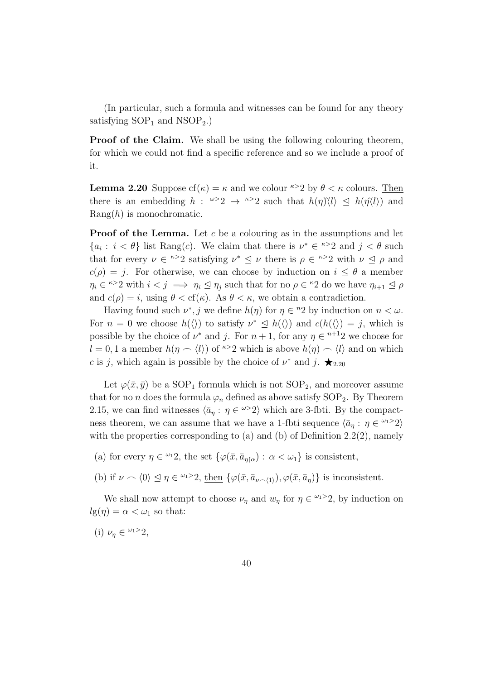(In particular, such a formula and witnesses can be found for any theory satisfying  $SOP_1$  and  $NSOP_2$ .

Proof of the Claim. We shall be using the following colouring theorem, for which we could not find a specific reference and so we include a proof of it.

**Lemma 2.20** Suppose  $cf(\kappa) = \kappa$  and we colour  $\kappa > 2$  by  $\theta < \kappa$  colours. Then there is an embedding  $h: \omega > 2 \rightarrow \infty$  such that  $h(\eta) \langle l \rangle \leq h(\eta \langle l \rangle)$  and  $\text{Rang}(h)$  is monochromatic.

**Proof of the Lemma.** Let c be a colouring as in the assumptions and let  ${a_i : i < \theta}$  list Rang(c). We claim that there is  $\nu^* \in \infty^2$  and  $j < \theta$  such that for every  $\nu \in k > 2$  satisfying  $\nu^* \leq \nu$  there is  $\rho \in k > 2$  with  $\nu \leq \rho$  and  $c(\rho) = i$ . For otherwise, we can choose by induction on  $i \leq \theta$  a member  $\eta_i \in \infty$  with  $i < j \implies \eta_i \leq \eta_j$  such that for no  $\rho \in \infty$  do we have  $\eta_{i+1} \leq \rho$ and  $c(\rho) = i$ , using  $\theta < \text{cf}(\kappa)$ . As  $\theta < \kappa$ , we obtain a contradiction.

Having found such  $\nu^*$ , j we define  $h(\eta)$  for  $\eta \in {}^{\text{n}}2$  by induction on  $n < \omega$ . For  $n = 0$  we choose  $h(\langle \rangle)$  to satisfy  $\nu^* \leq h(\langle \rangle)$  and  $c(h(\langle \rangle) = j$ , which is possible by the choice of  $\nu^*$  and j. For  $n+1$ , for any  $\eta \in \mathbb{R}^{n+1}$  we choose for  $l = 0, 1$  a member  $h(\eta \sim \langle l \rangle)$  of <sup> $\kappa > 2$ </sup> which is above  $h(\eta) \sim \langle l \rangle$  and on which c is j, which again is possible by the choice of  $\nu^*$  and j.  $\bigstar_{2.20}$ 

Let  $\varphi(\bar{x}, \bar{y})$  be a SOP<sub>1</sub> formula which is not SOP<sub>2</sub>, and moreover assume that for no *n* does the formula  $\varphi_n$  defined as above satisfy SOP<sub>2</sub>. By Theorem 2.15, we can find witnesses  $\langle \bar{a}_\eta : \eta \in \mathbb{R}^2 \rangle$  which are 3-fbti. By the compactness theorem, we can assume that we have a 1-fbti sequence  $\langle \bar{a}_\eta : \eta \in \mathbb{Z}^2 \rangle$ with the properties corresponding to (a) and (b) of Definition  $2.2(2)$ , namely

(a) for every  $\eta \in {}^{\omega_1}2$ , the set  $\{\varphi(\bar{x}, \bar{a}_{\eta|\alpha}) : \alpha < \omega_1\}$  is consistent,

(b) if  $\nu \frown \langle 0 \rangle \leq \eta \in \mathbb{Z}^{2}$ , then  $\{\varphi(\bar{x}, \bar{a}_{\nu \frown \langle 1 \rangle}), \varphi(\bar{x}, \bar{a}_{\eta})\}$  is inconsistent.

We shall now attempt to choose  $\nu_{\eta}$  and  $w_{\eta}$  for  $\eta \in \mathbb{Z}^{2}$ , by induction on  $lg(\eta) = \alpha < \omega_1$  so that:

(i)  $\nu_{\eta} \in {}^{\omega_1>2}2$ ,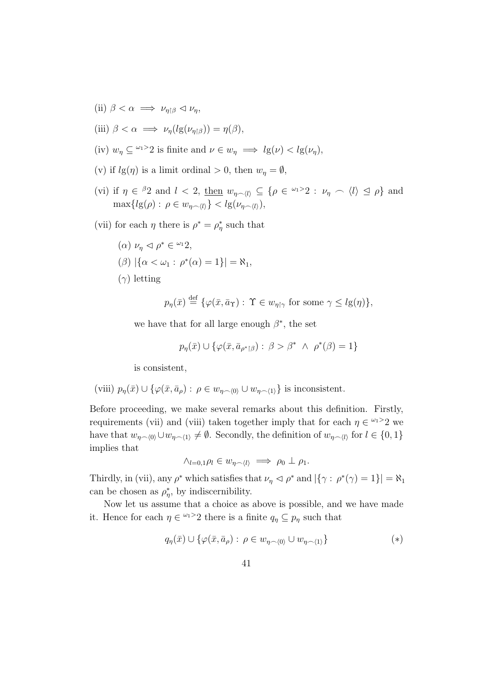(ii)  $\beta < \alpha \implies \nu_{\eta \upharpoonright \beta} \triangleleft \nu_{\eta}$ ,

(iii) 
$$
\beta < \alpha \implies \nu_{\eta}(lg(\nu_{\eta \upharpoonright \beta})) = \eta(\beta),
$$

- (iv)  $w_\eta \subseteq {}^{\omega_1>2}$  is finite and  $\nu \in w_\eta \implies l_g(\nu) < l_g(\nu_n)$ ,
- (v) if  $lg(\eta)$  is a limit ordinal  $> 0$ , then  $w_{\eta} = \emptyset$ ,
- (vi) if  $\eta \in {}^{\beta}2$  and  $l < 2$ , then  $w_{\eta \smallfrown \langle l \rangle} \subseteq {\rho \in {}^{\omega_1>2}} : \nu_{\eta} \smallfrown \langle l \rangle \supseteq {\rho}$  and  $\max\{lg(\rho): \rho \in w_{n\sim(l)}\} < lg(\nu_{n\sim(l)}),$
- (vii) for each  $\eta$  there is  $\rho^* = \rho^*_{\eta}$  such that
	- (a)  $\nu_{\eta} \lhd \rho^* \in {}^{\omega_1}2,$

$$
(\beta) | \{ \alpha < \omega_1 : \rho^*(\alpha) = 1 \} | = \aleph_1,
$$

 $(\gamma)$  letting

$$
p_{\eta}(\bar{x}) \stackrel{\text{def}}{=} \{ \varphi(\bar{x}, \bar{a}_{\Upsilon}) : \Upsilon \in w_{\eta \upharpoonright \gamma} \text{ for some } \gamma \leq l \mathfrak{g}(\eta) \},
$$

we have that for all large enough  $\beta^*$ , the set

$$
p_{\eta}(\bar{x}) \cup \{ \varphi(\bar{x}, \bar{a}_{\rho^* \upharpoonright \beta}) : \beta > \beta^* \land \rho^*(\beta) = 1 \}
$$

is consistent,

(viii) 
$$
p_{\eta}(\bar{x}) \cup \{ \varphi(\bar{x}, \bar{a}_{\rho}) : \rho \in w_{\eta \smallfrown \langle 0 \rangle} \cup w_{\eta \smallfrown \langle 1 \rangle} \}
$$
 is inconsistent.

Before proceeding, we make several remarks about this definition. Firstly, requirements (vii) and (viii) taken together imply that for each  $\eta \in \mathbb{Z}^{2}$  we have that  $w_{\eta\sim(0)}\cup w_{\eta\sim(1)}\neq\emptyset$ . Secondly, the definition of  $w_{\eta\sim(l)}$  for  $l\in\{0,1\}$ implies that

$$
\wedge_{l=0,1}\rho_l\in w_{\eta\smallfrown\langle l\rangle}\implies\rho_0\perp\rho_1.
$$

Thirdly, in (vii), any  $\rho^*$  which satisfies that  $\nu_\eta \vartriangleleft \rho^*$  and  $|\{\gamma : \rho^*(\gamma) = 1\}| = \aleph_1$ can be chosen as  $\rho_{\eta}^*$ , by indiscernibility.

Now let us assume that a choice as above is possible, and we have made it. Hence for each  $\eta \in \mathbb{Z}^{2}$  there is a finite  $q_{\eta} \subseteq p_{\eta}$  such that

$$
q_{\eta}(\bar{x}) \cup \{ \varphi(\bar{x}, \bar{a}_{\rho}) : \rho \in w_{\eta \sim \langle 0 \rangle} \cup w_{\eta \sim \langle 1 \rangle} \}
$$
(\*)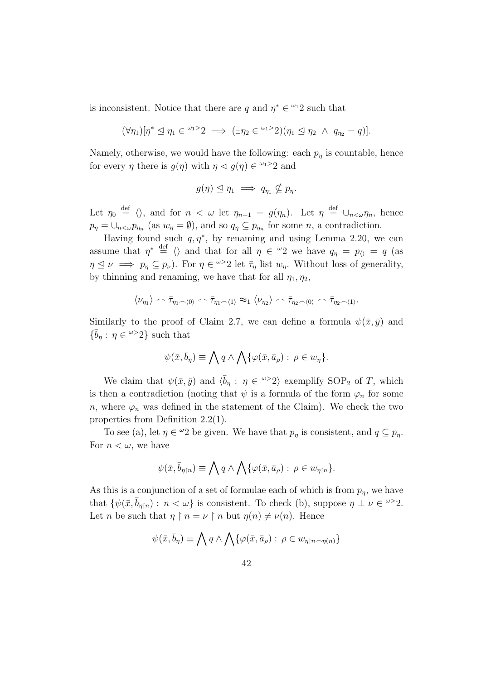is inconsistent. Notice that there are q and  $\eta^* \in \mathbb{Z}^2$  such that

$$
(\forall \eta_1)[\eta^* \leq \eta_1 \in {}^{\omega_1>2} \implies (\exists \eta_2 \in {}^{\omega_1>2})(\eta_1 \leq \eta_2 \ \wedge \ q_{\eta_2}=q)].
$$

Namely, otherwise, we would have the following: each  $p_{\eta}$  is countable, hence for every  $\eta$  there is  $g(\eta)$  with  $\eta \leq g(\eta) \in \mathbb{Z}^{2}$  and

$$
g(\eta) \leq \eta_1 \implies q_{\eta_1} \nsubseteq p_{\eta}.
$$

Let  $\eta_0 \stackrel{\text{def}}{=} \langle \rangle$ , and for  $n < \omega$  let  $\eta_{n+1} = g(\eta_n)$ . Let  $\eta \stackrel{\text{def}}{=} \cup_{n < \omega} \eta_n$ , hence  $p_{\eta} = \bigcup_{n < \omega} p_{\eta_n}$  (as  $w_{\eta} = \emptyset$ ), and so  $q_{\eta} \subseteq p_{\eta_n}$  for some n, a contradiction.

Having found such  $q, \eta^*$ , by renaming and using Lemma 2.20, we can assume that  $\eta^* \stackrel{\text{def}}{=} \langle \rangle$  and that for all  $\eta \in {}^{\omega}2$  we have  $q_{\eta} = p_{\langle} = q$  (as  $\eta \leq \nu \implies p_{\eta} \subseteq p_{\nu}$ ). For  $\eta \in \infty$  let  $\bar{\tau}_{\eta}$  list  $w_{\eta}$ . Without loss of generality, by thinning and renaming, we have that for all  $\eta_1, \eta_2$ ,

$$
\langle \nu_{\eta_1} \rangle \frown \bar{\tau}_{\eta_1 \frown \langle 0 \rangle} \frown \bar{\tau}_{\eta_1 \frown \langle 1 \rangle} \approx_1 \langle \nu_{\eta_2} \rangle \frown \bar{\tau}_{\eta_2 \frown \langle 0 \rangle} \frown \bar{\tau}_{\eta_2 \frown \langle 1 \rangle}.
$$

Similarly to the proof of Claim 2.7, we can define a formula  $\psi(\bar{x}, \bar{y})$  and  $\{\bar{b}_\eta : \eta \in \omega > 2\}$  such that

$$
\psi(\bar{x}, \bar{b}_{\eta}) \equiv \bigwedge q \wedge \bigwedge \{ \varphi(\bar{x}, \bar{a}_{\rho}) : \rho \in w_{\eta} \}.
$$

We claim that  $\psi(\bar{x}, \bar{y})$  and  $\langle \bar{b}_\eta : \eta \in \infty^{\infty}2 \rangle$  exemplify SOP<sub>2</sub> of T, which is then a contradiction (noting that  $\psi$  is a formula of the form  $\varphi_n$  for some n, where  $\varphi_n$  was defined in the statement of the Claim). We check the two properties from Definition 2.2(1).

To see (a), let  $\eta \in \mathcal{Q}$  be given. We have that  $p_{\eta}$  is consistent, and  $q \subseteq p_{\eta}$ . For  $n < \omega$ , we have

$$
\psi(\bar{x}, \bar{b}_{\eta \restriction n}) \equiv \bigwedge q \land \bigwedge \{ \varphi(\bar{x}, \bar{a}_{\rho}) : \rho \in w_{\eta \restriction n} \}.
$$

As this is a conjunction of a set of formulae each of which is from  $p_n$ , we have that  $\{\psi(\bar{x}, \bar{b}_{\eta\restriction n}) : n < \omega\}$  is consistent. To check (b), suppose  $\eta \perp \nu \in \omega > 2$ . Let n be such that  $\eta \restriction n = \nu \restriction n$  but  $\eta(n) \neq \nu(n)$ . Hence

$$
\psi(\bar{x}, \bar{b}_{\eta}) \equiv \bigwedge q \wedge \bigwedge \{ \varphi(\bar{x}, \bar{a}_{\rho}) : \rho \in w_{\eta \restriction n \frown \eta(n)} \}
$$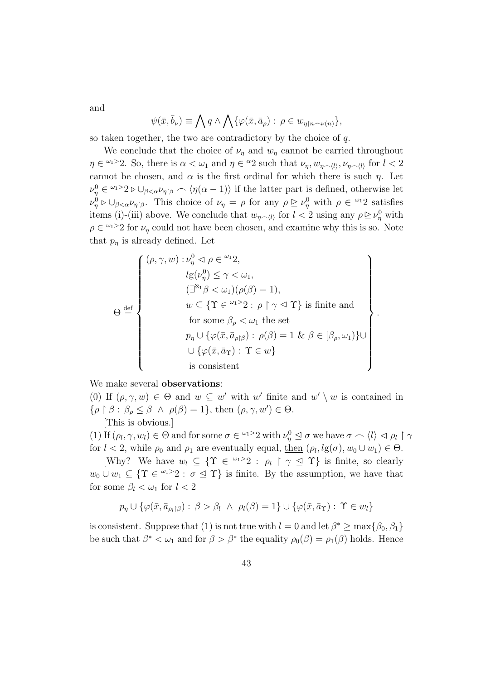and

$$
\psi(\bar{x}, \bar{b}_{\nu}) \equiv \bigwedge q \wedge \bigwedge \{ \varphi(\bar{x}, \bar{a}_{\rho}) : \rho \in w_{\eta \restriction n \sim \nu(n)} \},\
$$

so taken together, the two are contradictory by the choice of q.

We conclude that the choice of  $\nu_{\eta}$  and  $w_{\eta}$  cannot be carried throughout  $\eta \in \mathbb{Z}^{2}$ . So, there is  $\alpha < \omega_1$  and  $\eta \in \mathbb{Z}^2$  such that  $\nu_{\eta}, w_{\eta \sim \langle l \rangle}, \nu_{\eta \sim \langle l \rangle}$  for  $l < 2$ cannot be chosen, and  $\alpha$  is the first ordinal for which there is such  $\eta$ . Let  $\nu_{\eta}^0 \in {}^{\omega_1>2} \triangleright \cup_{\beta<\alpha} \nu_{\eta|\beta} \frown \langle \eta(\alpha-1)\rangle$  if the latter part is defined, otherwise let  $\nu_{\eta}^0 \triangleright \cup_{\beta < \alpha} \nu_{\eta}$ , This choice of  $\nu_{\eta} = \rho$  for any  $\rho \trianglerighteq \nu_{\eta}^0$  with  $\rho \in {}^{\omega_1}2$  satisfies items (i)-(iii) above. We conclude that  $w_{\eta \sim \langle l \rangle}$  for  $l < 2$  using any  $\rho \geq \nu_{\eta}^0$  with  $\rho \in \mathbb{Z}^{2}$  for  $\nu_{\eta}$  could not have been chosen, and examine why this is so. Note that  $p_n$  is already defined. Let

$$
\Theta \stackrel{\text{def}}{=} \left\{\n\begin{array}{c}\n(\rho, \gamma, w) : \nu_{\eta}^{0} \vartriangleleft \rho \in {}^{\omega_{1}} 2, \\
l g(\nu_{\eta}^{0}) \leq \gamma < \omega_{1}, \\
(\exists^{\aleph_{1}} \beta < \omega_{1})(\rho(\beta) = 1), \\
w \subseteq \{ \Upsilon \in {}^{\omega_{1}} 2 : \rho \upharpoonright \gamma \leq \Upsilon \} \text{ is finite and} \\
\text{for some } \beta_{\rho} < \omega_{1} \text{ the set} \\
p_{\eta} \cup \{ \varphi(\bar{x}, \bar{a}_{\rho \upharpoonright \beta}) : \rho(\beta) = 1 \ \& \ \beta \in [\beta_{\rho}, \omega_{1}) \} \cup \\
\cup \{ \varphi(\bar{x}, \bar{a}_{\Upsilon}) : \ \Upsilon \in w \} \\
\text{is consistent}\n\end{array}\n\right\}.
$$

We make several **observations**:

(0) If  $(\rho, \gamma, w) \in \Theta$  and  $w \subseteq w'$  with w' finite and  $w' \setminus w$  is contained in  $\{\rho \restriction \beta : \beta_{\rho} \leq \beta \land \rho(\beta) = 1\}, \underline{\text{then}} (\rho, \gamma, w') \in \Theta.$ [This is obvious.]

(1) If  $(\rho_l, \gamma, w_l) \in \Theta$  and for some  $\sigma \in \mathbb{R}^l$  and  $\sigma \rho_l \circ \sigma$  we have  $\sigma \sim \langle l \rangle \langle \rho_l | \gamma_l$ for  $l < 2$ , while  $\rho_0$  and  $\rho_1$  are eventually equal, then  $(\rho_l, lg(\sigma), w_0 \cup w_1) \in \Theta$ .

[Why? We have  $w_l \subseteq \{ \Upsilon \in {}^{\omega_1>2} : \rho_l \upharpoonright \gamma \leq \Upsilon \}$  is finite, so clearly  $w_0 \cup w_1 \subseteq \{ \Upsilon \in \mathbb{Z}^2 : \sigma \leq \Upsilon \}$  is finite. By the assumption, we have that for some  $\beta_l < \omega_1$  for  $l < 2$ 

$$
p_{\eta} \cup \{ \varphi(\bar{x}, \bar{a}_{\rho_l\upharpoonright \beta}) : \beta > \beta_l \ \wedge \ \rho_l(\beta) = 1 \} \cup \{ \varphi(\bar{x}, \bar{a}_{\Upsilon}) : \ \Upsilon \in w_l \}
$$

is consistent. Suppose that (1) is not true with  $l = 0$  and let  $\beta^* \ge \max\{\beta_0, \beta_1\}$ be such that  $\beta^* < \omega_1$  and for  $\beta > \beta^*$  the equality  $\rho_0(\beta) = \rho_1(\beta)$  holds. Hence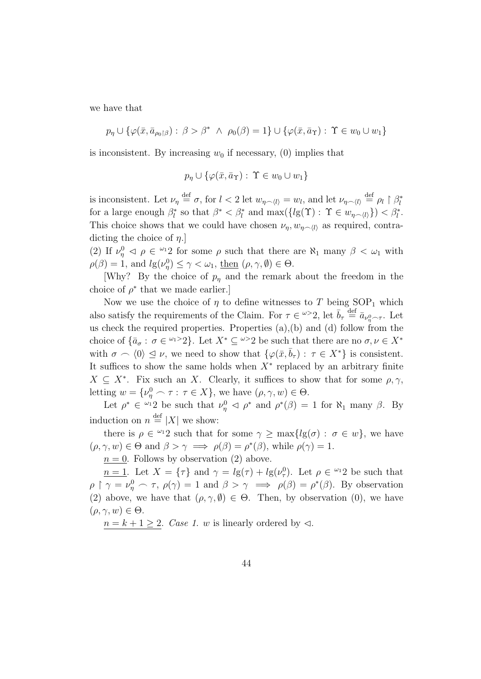we have that

$$
p_{\eta} \cup \{ \varphi(\bar{x}, \bar{a}_{\rho_0 \upharpoonright \beta}) : \beta > \beta^* \ \land \ \rho_0(\beta) = 1 \} \cup \{ \varphi(\bar{x}, \bar{a}_{\Upsilon}) : \ \Upsilon \in w_0 \cup w_1 \}
$$

is inconsistent. By increasing  $w_0$  if necessary, (0) implies that

$$
p_{\eta} \cup \{ \varphi(\bar{x}, \bar{a}_{\Upsilon}) : \Upsilon \in w_0 \cup w_1 \}
$$

is inconsistent. Let  $\nu_{\eta} \stackrel{\text{def}}{=} \sigma$ , for  $l < 2$  let  $w_{\eta \smallfrown \langle l \rangle} = w_l$ , and let  $\nu_{\eta \smallfrown \langle l \rangle} \stackrel{\text{def}}{=} \rho_l \upharpoonright \beta_l^*$ for a large enough  $\beta_l^*$  so that  $\beta^* < \beta_l^*$  and  $\max(\{lg(\Upsilon) : \Upsilon \in w_{\eta \smallfrown \langle l \rangle}\}) < \beta_l^*$ . This choice shows that we could have chosen  $\nu_{\eta}, w_{\eta \sim \langle l \rangle}$  as required, contradicting the choice of  $\eta$ .

(2) If  $\nu_{\eta}^0 \leq \rho \in \mathbb{Z}^12$  for some  $\rho$  such that there are  $\aleph_1$  many  $\beta \leq \omega_1$  with  $\rho(\beta) = 1$ , and  $l_g(\nu_\eta^0) \leq \gamma < \omega_1$ , then  $(\rho, \gamma, \emptyset) \in \Theta$ .

[Why? By the choice of  $p_n$  and the remark about the freedom in the choice of  $\rho^*$  that we made earlier.

Now we use the choice of  $\eta$  to define witnesses to T being SOP<sub>1</sub> which also satisfy the requirements of the Claim. For  $\tau \in \omega > 2$ , let  $\bar{b}_{\tau} \stackrel{\text{def}}{=} \bar{a}_{\nu_{\eta}^0 \frown \tau}$ . Let us check the required properties. Properties  $(a)$ , $(b)$  and  $(d)$  follow from the choice of  $\{\bar{a}_{\sigma} : \sigma \in \mathbb{R}^N : \Delta \geq 2\}$ . Let  $X^* \subseteq \mathbb{R}^N$  be such that there are no  $\sigma, \nu \in X^*$ with  $\sigma \frown \langle 0 \rangle \leq \nu$ , we need to show that  $\{\varphi(\bar{x}, \bar{b}_\tau) : \tau \in X^*\}$  is consistent. It suffices to show the same holds when  $X^*$  replaced by an arbitrary finite  $X \subseteq X^*$ . Fix such an X. Clearly, it suffices to show that for some  $\rho, \gamma$ , letting  $w = \{\nu_{\eta}^0 \frown \tau : \tau \in X\}$ , we have  $(\rho, \gamma, w) \in \Theta$ .

Let  $\rho^* \in \mathbb{Z}^2$  be such that  $\nu_\eta^0 \vartriangleleft \rho^*$  and  $\rho^*(\beta) = 1$  for  $\aleph_1$  many  $\beta$ . By induction on  $n \stackrel{\text{def}}{=} |X|$  we show:

there is  $\rho \in \mathbb{Z}^2$  such that for some  $\gamma \geq \max\{lg(\sigma) : \sigma \in w\}$ , we have  $(\rho, \gamma, w) \in \Theta$  and  $\beta > \gamma \implies \rho(\beta) = \rho^*(\beta)$ , while  $\rho(\gamma) = 1$ .

 $n = 0$ . Follows by observation (2) above.

 $n=1$ . Let  $X = {\tau}$  and  $\gamma = lg(\tau) + lg(\nu_{\tau}^{0})$ . Let  $\rho \in {}^{\omega_{1}}2$  be such that  $\rho \restriction \gamma = \nu_{\eta}^0 \frown \tau$ ,  $\rho(\gamma) = 1$  and  $\beta > \gamma \implies \rho(\beta) = \rho^*(\beta)$ . By observation (2) above, we have that  $(\rho, \gamma, \emptyset) \in \Theta$ . Then, by observation (0), we have  $(\rho, \gamma, w) \in \Theta.$ 

 $n = k + 1 \geq 2$ . Case 1. w is linearly ordered by  $\triangleleft$ .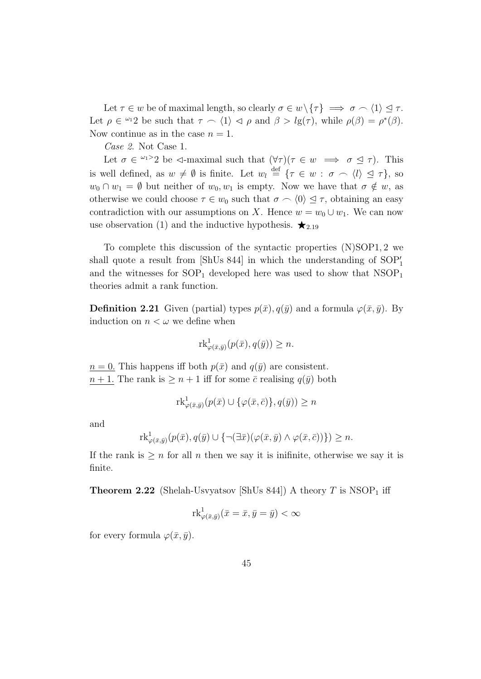Let  $\tau \in w$  be of maximal length, so clearly  $\sigma \in w \setminus {\tau} \implies \sigma \cap \langle 1 \rangle \leq \tau$ . Let  $\rho \in {}^{\omega_1}2$  be such that  $\tau \cap \langle 1 \rangle \triangleleft \rho$  and  $\beta > lg(\tau)$ , while  $\rho(\beta) = \rho^*(\beta)$ . Now continue as in the case  $n = 1$ .

Case 2. Not Case 1.

Let  $\sigma \in \mathbb{Z}^2$  be  $\lhd$ -maximal such that  $(\forall \tau)(\tau \in w \implies \sigma \leq \tau)$ . This is well defined, as  $w \neq \emptyset$  is finite. Let  $w_l \stackrel{\text{def}}{=} {\{\tau \in w : \sigma \cap \langle l \rangle \leq \tau\}}$ , so  $w_0 \cap w_1 = \emptyset$  but neither of  $w_0, w_1$  is empty. Now we have that  $\sigma \notin w$ , as otherwise we could choose  $\tau \in w_0$  such that  $\sigma \cap \langle 0 \rangle \subseteq \tau$ , obtaining an easy contradiction with our assumptions on X. Hence  $w = w_0 \cup w_1$ . We can now use observation (1) and the inductive hypothesis.  $\star_{2.19}$ 

To complete this discussion of the syntactic properties (N)SOP1, 2 we shall quote a result from [ShUs 844] in which the understanding of  $SOP'_1$ and the witnesses for  $SOP_1$  developed here was used to show that  $NSOP_1$ theories admit a rank function.

**Definition 2.21** Given (partial) types  $p(\bar{x}), q(\bar{y})$  and a formula  $\varphi(\bar{x}, \bar{y})$ . By induction on  $n < \omega$  we define when

$$
\mathrm{rk}^1_{\varphi(\bar{x}, \bar{y})}(p(\bar{x}), q(\bar{y})) \ge n.
$$

 $n = 0$ . This happens iff both  $p(\bar{x})$  and  $q(\bar{y})$  are consistent.  $n+1$ . The rank is  $\geq n+1$  iff for some  $\bar{c}$  realising  $q(\bar{y})$  both

$$
\mathrm{rk}^1_{\varphi(\bar{x},\bar{y})}(p(\bar{x})\cup\{\varphi(\bar{x},\bar{c})\},q(\bar{y}))\geq n
$$

and

$$
\mathrm{rk}^1_{\varphi(\bar{x}, \bar{y})}(p(\bar{x}), q(\bar{y}) \cup \{ \neg (\exists \bar{x}) (\varphi(\bar{x}, \bar{y}) \land \varphi(\bar{x}, \bar{c})) \}) \ge n.
$$

If the rank is  $\geq n$  for all n then we say it is inifinite, otherwise we say it is finite.

**Theorem 2.22** (Shelah-Usvyatsov [ShUs 844]) A theory T is  $NSOP<sub>1</sub>$  iff

$$
\mathrm{rk}^1_{\varphi(\bar{x},\bar{y})}(\bar{x}=\bar{x},\bar{y}=\bar{y})<\infty
$$

for every formula  $\varphi(\bar{x}, \bar{y})$ .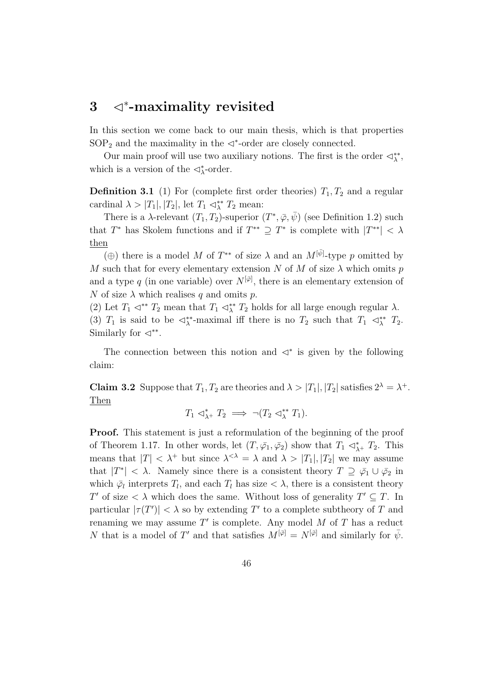## 3 √<sup>\*</sup>-maximality revisited

In this section we come back to our main thesis, which is that properties  $SOP<sub>2</sub>$  and the maximality in the  $\triangleleft^*$ -order are closely connected.

Our main proof will use two auxiliary notions. The first is the order  $\triangleleft^*_{\lambda}$ , which is a version of the  $\lhd^*_{\lambda}$ -order.

**Definition 3.1** (1) For (complete first order theories)  $T_1, T_2$  and a regular cardinal  $\lambda > |T_1|, |T_2|$ , let  $T_1 \lhd^*_{\lambda} T_2$  mean:

There is a  $\lambda$ -relevant  $(T_1, T_2)$ -superior  $(T^*, \overline{\varphi}, \overline{\psi})$  (see Definition 1.2) such that  $T^*$  has Skolem functions and if  $T^{**} \supseteq T^*$  is complete with  $|T^{**}| < \lambda$ then

(⊕) there is a model M of  $T^{**}$  of size  $\lambda$  and an  $M^{[\bar{\psi}]}$ -type p omitted by M such that for every elementary extension N of M of size  $\lambda$  which omits p and a type q (in one variable) over  $N^{[\bar{\varphi}]}$ , there is an elementary extension of N of size  $\lambda$  which realises q and omits p.

(2) Let  $T_1 \lhd^* T_2$  mean that  $T_1 \lhd^* T_2$  holds for all large enough regular  $\lambda$ . (3)  $T_1$  is said to be  $\triangleleft^*_{\lambda}$ -maximal iff there is no  $T_2$  such that  $T_1 \triangleleft^*_{\lambda} T_2$ . Similarly for  $\lhd$ <sup>\*\*</sup>.

The connection between this notion and  $\prec^*$  is given by the following claim:

**Claim 3.2** Suppose that  $T_1, T_2$  are theories and  $\lambda > |T_1|, |T_2|$  satisfies  $2^{\lambda} = \lambda^+$ . Then

$$
T_1 \triangleleft^*_{\lambda^+} T_2 \implies \neg (T_2 \triangleleft^*_{\lambda} T_1).
$$

Proof. This statement is just a reformulation of the beginning of the proof of Theorem 1.17. In other words, let  $(T, \bar{\varphi_1}, \bar{\varphi_2})$  show that  $T_1 \prec^*_{\lambda^+} T_2$ . This means that  $|T| < \lambda^+$  but since  $\lambda^{<\lambda} = \lambda$  and  $\lambda > |T_1|, |T_2|$  we may assume that  $|T^*| < \lambda$ . Namely since there is a consistent theory  $T \supseteq \bar{\varphi}_1 \cup \bar{\varphi}_2$  in which  $\bar{\varphi}_l$  interprets  $T_l$ , and each  $T_l$  has size  $\langle \lambda \rangle$ , there is a consistent theory T' of size  $\lt \lambda$  which does the same. Without loss of generality  $T' \subseteq T$ . In particular  $|\tau(T')| < \lambda$  so by extending T' to a complete subtheory of T and renaming we may assume  $T'$  is complete. Any model M of T has a reduct N that is a model of T' and that satisfies  $M^{[\bar{\varphi}]} = N^{[\bar{\varphi}]}$  and similarly for  $\bar{\psi}$ .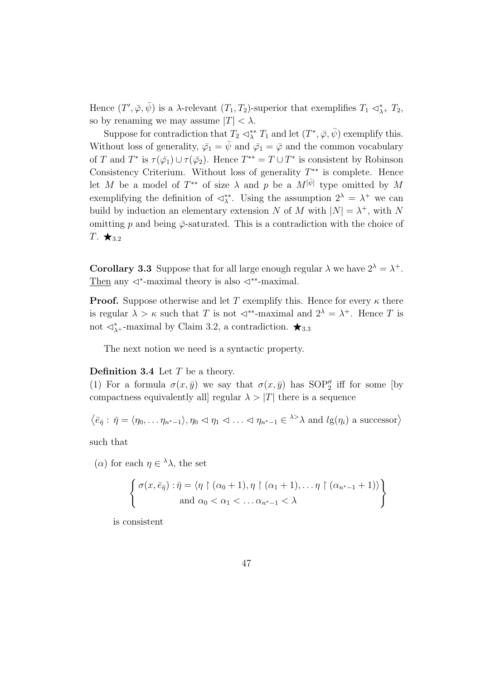Hence  $(T', \bar{\varphi}, \bar{\psi})$  is a  $\lambda$ -relevant  $(T_1, T_2)$ -superior that exemplifies  $T_1 \prec^*_{\lambda^+} T_2$ , so by renaming we may assume  $|T| < \lambda$ .

Suppose for contradiction that  $T_2 \lhd^*_{\lambda} T_1$  and let  $(T^*, \bar{\varphi}, \bar{\psi})$  exemplify this. Without loss of generality,  $\bar{\varphi}_1 = \bar{\psi}$  and  $\bar{\varphi}_1 = \bar{\varphi}$  and the common vocabulary of T and  $T^*$  is  $\tau(\bar{\varphi_1}) \cup \tau(\bar{\varphi_2})$ . Hence  $T^{**} = T \cup T^*$  is consistent by Robinson Consistency Criterium. Without loss of generality  $T^{**}$  is complete. Hence let M be a model of  $T^{**}$  of size  $\lambda$  and p be a  $M^{[\bar{\psi}]}$  type omitted by M exemplifying the definition of  $\langle \xi \rangle^*$ . Using the assumption  $2^{\lambda} = \lambda^+$  we can build by induction an elementary extension N of M with  $|N| = \lambda^+$ , with N omitting p and being  $\bar{\varphi}$ -saturated. This is a contradiction with the choice of T.  $\star_{3.2}$ 

**Corollary 3.3** Suppose that for all large enough regular  $\lambda$  we have  $2^{\lambda} = \lambda^{+}$ . Then any  $\triangleleft^*$ -maximal theory is also  $\triangleleft^{**}$ -maximal.

**Proof.** Suppose otherwise and let T exemplify this. Hence for every  $\kappa$  there is regular  $\lambda > \kappa$  such that T is not  $\triangleleft^{**}$ -maximal and  $2^{\lambda} = \lambda^+$ . Hence T is not  $\lhd^*_{\lambda^+}$ -maximal by Claim 3.2, a contradiction.  $\bigstar_{3.3}$ 

The next notion we need is a syntactic property.

#### **Definition 3.4** Let  $T$  be a theory.

(1) For a formula  $\sigma(x,\bar{y})$  we say that  $\sigma(x,\bar{y})$  has SOP'' iff for some [by compactness equivalently all regular  $\lambda > |T|$  there is a sequence

$$
\langle \bar{e}_{\bar{\eta}} : \bar{\eta} = \langle \eta_0, \dots \eta_{n^*-1} \rangle, \eta_0 \vartriangleleft \eta_1 \vartriangleleft \dots \vartriangleleft \eta_{n^*-1} \in {}^{\lambda >} \lambda
$$
 and  $lg(\eta_i)$  a successor

such that

(α) for each  $η ∈ <sup>λ</sup>λ$ , the set

$$
\left\{\n\begin{array}{l}\n\sigma(x,\bar{e}_{\bar{\eta}}):\bar{\eta} = \langle \eta \upharpoonright (\alpha_0+1), \eta \upharpoonright (\alpha_1+1), \ldots \eta \upharpoonright (\alpha_{n^*-1}+1) \rangle \\
\text{and } \alpha_0 < \alpha_1 < \ldots \alpha_{n^*-1} < \lambda\n\end{array}\n\right\}
$$

is consistent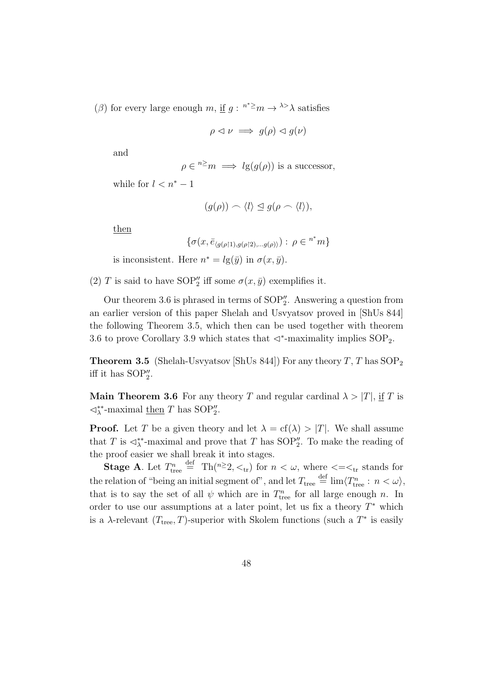(β) for every large enough m, <u>if</u>  $g: \n\begin{array}{c} \n\text{if } g: \n\end{array}$  >  $\lambda > \lambda$  satisfies

$$
\rho \vartriangleleft \nu \implies g(\rho) \vartriangleleft g(\nu)
$$

and

$$
\rho \in {}^{n \geq}m \implies l\mathrm{g}(g(\rho))
$$
 is a successor,

while for  $l < n^* - 1$ 

$$
(g(\rho)) \frown \langle l \rangle \leq g(\rho \frown \langle l \rangle),
$$

then

$$
\{\sigma(x,\bar{e}_{\langle g(\rho\restriction 1),g(\rho\restriction 2),...g(\rho)\rangle}): \rho\in {}^{n^*}m\}
$$

is inconsistent. Here  $n^* = lg(\bar{y})$  in  $\sigma(x, \bar{y})$ .

(2) T is said to have SOP'' iff some  $\sigma(x,\bar{y})$  exemplifies it.

Our theorem 3.6 is phrased in terms of  $SOP''_2$ . Answering a question from an earlier version of this paper Shelah and Usvyatsov proved in [ShUs 844] the following Theorem 3.5, which then can be used together with theorem 3.6 to prove Corollary 3.9 which states that  $\triangleleft^*$ -maximality implies SOP<sub>2</sub>.

**Theorem 3.5** (Shelah-Usvyatsov [ShUs 844]) For any theory  $T$ ,  $T$  has SOP<sub>2</sub> iff it has  $SOP_2''$ .

**Main Theorem 3.6** For any theory T and regular cardinal  $\lambda > |T|$ , if T is  $\lhd^*_{\lambda}$ -maximal then T has SOP".

**Proof.** Let T be a given theory and let  $\lambda = cf(\lambda) > |T|$ . We shall assume that T is  $\triangleleft^*_{\lambda}$ -maximal and prove that T has SOP''. To make the reading of the proof easier we shall break it into stages.

**Stage A**. Let  $T_{\text{tree}}^n \stackrel{\text{def}}{=} \text{Th}(n \geq 2, \lt_{\text{tr}})$  for  $n < \omega$ , where  $\lt = \lt_{\text{tr}}$  stands for the relation of "being an initial segment of", and let  $T_{\text{tree}} \stackrel{\text{def}}{=} \lim \langle T_{\text{tree}}^n : n < \omega \rangle$ , that is to say the set of all  $\psi$  which are in  $T_{\text{tree}}^n$  for all large enough n. In order to use our assumptions at a later point, let us fix a theory  $T^*$  which is a  $\lambda$ -relevant  $(T_{\text{tree}}, T)$ -superior with Skolem functions (such a  $T^*$  is easily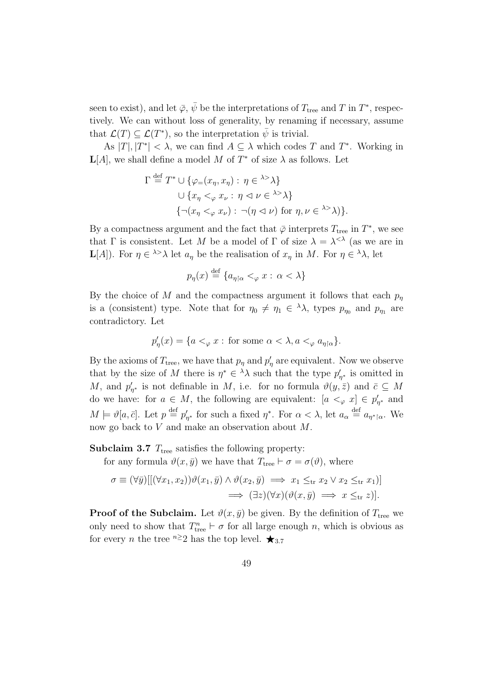seen to exist), and let  $\bar{\varphi}$ ,  $\bar{\psi}$  be the interpretations of  $T_{\text{tree}}$  and T in  $T^*$ , respectively. We can without loss of generality, by renaming if necessary, assume that  $\mathcal{L}(T) \subseteq \mathcal{L}(T^*)$ , so the interpretation  $\bar{\psi}$  is trivial.

As  $|T|, |T^*| < \lambda$ , we can find  $A \subseteq \lambda$  which codes T and T<sup>\*</sup>. Working in  $L[A]$ , we shall define a model M of  $T^*$  of size  $\lambda$  as follows. Let

$$
\Gamma \stackrel{\text{def}}{=} T^* \cup \{ \varphi_=(x_\eta, x_\eta) : \eta \in {}^{\lambda >} \lambda \}
$$
  

$$
\cup \{ x_\eta <_{\varphi} x_\nu : \eta \vartriangleleft \nu \in {}^{\lambda >} \lambda \}
$$
  

$$
\{ \neg (x_\eta <_{\varphi} x_\nu) : \neg (\eta \vartriangleleft \nu) \text{ for } \eta, \nu \in {}^{\lambda >} \lambda \} \}.
$$

By a compactness argument and the fact that  $\bar{\varphi}$  interprets  $T_{\text{tree}}$  in  $T^*$ , we see that  $\Gamma$  is consistent. Let M be a model of  $\Gamma$  of size  $\lambda = \lambda^{< \lambda}$  (as we are in **L**[A]). For  $\eta \in \lambda > \lambda$  let  $a_{\eta}$  be the realisation of  $x_{\eta}$  in M. For  $\eta \in \lambda$ , let

$$
p_{\eta}(x) \stackrel{\text{def}}{=} \{ a_{\eta \restriction \alpha} <_{\varphi} x : \alpha < \lambda \}
$$

By the choice of M and the compactness argument it follows that each  $p_{\eta}$ is a (consistent) type. Note that for  $\eta_0 \neq \eta_1 \in {}^{\lambda} \lambda$ , types  $p_{\eta_0}$  and  $p_{\eta_1}$  are contradictory. Let

$$
p'_{\eta}(x) = \{ a <_{\varphi} x : \text{ for some } \alpha < \lambda, a <_{\varphi} a_{\eta \upharpoonright \alpha} \}.
$$

By the axioms of  $T_{\text{tree}}$ , we have that  $p_{\eta}$  and  $p_{\eta}'$  are equivalent. Now we observe that by the size of M there is  $\eta^* \in {}^{\lambda} \lambda$  such that the type  $p'_{\eta^*}$  is omitted in M, and  $p'_{\eta^*}$  is not definable in M, i.e. for no formula  $\vartheta(y,\bar{z})$  and  $\bar{c} \subseteq M$ do we have: for  $a \in M$ , the following are equivalent:  $[a \lt_{\varphi} x] \in p'_{\eta^*}$  and  $M \models \vartheta[a, \bar{c}]$ . Let  $p \stackrel{\text{def}}{=} p'_{\eta^*}$  for such a fixed  $\eta^*$ . For  $\alpha < \lambda$ , let  $a_{\alpha} \stackrel{\text{def}}{=} a_{\eta^* \upharpoonright \alpha}$ . We now go back to V and make an observation about M.

**Subclaim 3.7**  $T_{\text{tree}}$  satisfies the following property:

for any formula  $\vartheta(x, \bar{y})$  we have that  $T_{\text{tree}} \vdash \sigma = \sigma(\vartheta)$ , where

$$
\sigma \equiv (\forall \bar{y}) [[(\forall x_1, x_2)) \vartheta(x_1, \bar{y}) \land \vartheta(x_2, \bar{y}) \implies x_1 \leq_{\text{tr}} x_2 \lor x_2 \leq_{\text{tr}} x_1)]
$$
  

$$
\implies (\exists z)(\forall x)(\vartheta(x, \bar{y}) \implies x \leq_{\text{tr}} z)].
$$

**Proof of the Subclaim.** Let  $\vartheta(x, \bar{y})$  be given. By the definition of  $T_{\text{tree}}$  we only need to show that  $T_{\text{tree}}^n \vdash \sigma$  for all large enough n, which is obvious as for every *n* the tree <sup>n≥</sup>2 has the top level.  $\star$ <sub>3.7</sub>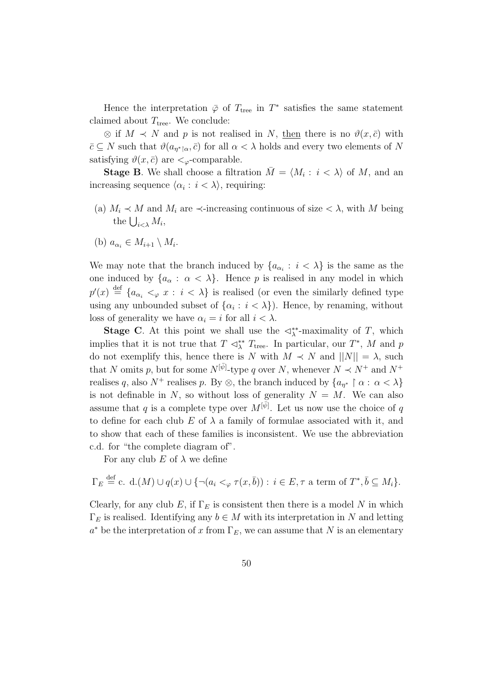Hence the interpretation  $\bar{\varphi}$  of  $T_{\text{tree}}$  in  $T^*$  satisfies the same statement claimed about  $T_{\text{tree}}$ . We conclude:

 $\otimes$  if  $M \prec N$  and p is not realised in N, then there is no  $\vartheta(x,\bar{c})$  with  $\bar{c} \subseteq N$  such that  $\vartheta(a_{\eta^*|\alpha}, \bar{c})$  for all  $\alpha < \lambda$  holds and every two elements of N satisfying  $\vartheta(x,\bar{c})$  are  $\lt_{\varphi}$ -comparable.

**Stage B**. We shall choose a filtration  $\overline{M} = \langle M_i : i \langle \lambda \rangle$  of M, and an increasing sequence  $\langle \alpha_i : i < \lambda \rangle$ , requiring:

- (a)  $M_i \prec M$  and  $M_i$  are  $\prec$ -increasing continuous of size  $\prec \lambda$ , with M being the  $\bigcup_{i<\lambda} M_i$ ,
- (b)  $a_{\alpha_i} \in M_{i+1} \setminus M_i$ .

We may note that the branch induced by  $\{a_{\alpha_i} : i < \lambda\}$  is the same as the one induced by  $\{a_{\alpha} : \alpha < \lambda\}$ . Hence p is realised in any model in which  $p'(x) \stackrel{\text{def}}{=} \{a_{\alpha_i} \lt_{\varphi} x : i \lt \lambda\}$  is realised (or even the similarly defined type using any unbounded subset of  $\{\alpha_i : i < \lambda\}$ . Hence, by renaming, without loss of generality we have  $\alpha_i = i$  for all  $i < \lambda$ .

**Stage C**. At this point we shall use the  $\triangleleft^*_{\lambda}$ -maximality of T, which implies that it is not true that  $T \lhd^*_{\lambda} T_{\text{tree}}$ . In particular, our  $T^*$ , M and p do not exemplify this, hence there is N with  $M \prec N$  and  $||N|| = \lambda$ , such that N omits p, but for some  $N^{[\bar{\psi}]}$ -type q over N, whenever  $N \prec N^+$  and  $N^+$ realises q, also  $N^+$  realises p. By  $\otimes$ , the branch induced by  $\{a_{\eta^*} \upharpoonright \alpha : \alpha < \lambda\}$ is not definable in N, so without loss of generality  $N = M$ . We can also assume that q is a complete type over  $M^{[\bar{\psi}]}$ . Let us now use the choice of q to define for each club E of  $\lambda$  a family of formulae associated with it, and to show that each of these families is inconsistent. We use the abbreviation c.d. for "the complete diagram of".

For any club E of  $\lambda$  we define

$$
\Gamma_E \stackrel{\text{def}}{=} c. \, \mathrm{d}\, \cdot \mathrm{d}\, \cdot \mathrm{d}\, \mathrm{d}\, \mathrm{d}\, \mathrm{d}\, \mathrm{d}\, \mathrm{d}\, \mathrm{d}\, \mathrm{d}\, \mathrm{d}\, \mathrm{d}\, \mathrm{d}\, \mathrm{d}\, \mathrm{d}\, \mathrm{d}\, \mathrm{d}\, \mathrm{d}\, \mathrm{d}\, \mathrm{d}\, \mathrm{d}\, \mathrm{d}\, \mathrm{d}\, \mathrm{d}\, \mathrm{d}\, \mathrm{d}\, \mathrm{d}\, \mathrm{d}\, \mathrm{d}\, \mathrm{d}\, \mathrm{d}\, \mathrm{d}\, \mathrm{d}\, \mathrm{d}\, \mathrm{d}\, \mathrm{d}\, \mathrm{d}\, \mathrm{d}\, \mathrm{d}\, \mathrm{d}\, \mathrm{d}\, \mathrm{d}\, \mathrm{d}\, \mathrm{d}\, \mathrm{d}\, \mathrm{d}\, \mathrm{d}\, \mathrm{d}\, \mathrm{d}\, \mathrm{d}\, \mathrm{d}\, \mathrm{d}\, \mathrm{d}\, \mathrm{d}\, \mathrm{d}\, \mathrm{d}\, \mathrm{d}\, \mathrm{d}\, \mathrm{d}\, \mathrm{d}\, \mathrm{d}\, \mathrm{d}\, \mathrm{d}\, \mathrm{d}\, \mathrm{d}\, \mathrm{d}\, \mathrm{d}\, \mathrm{d}\, \mathrm{d}\, \mathrm{d}\, \mathrm{d}\, \mathrm{d}\, \mathrm{d}\, \mathrm{d}\, \mathrm{d}\, \mathrm{d}\, \mathrm{d}\, \mathrm{d}\, \mathrm{d}\, \mathrm{d}\, \mathrm{d}\, \mathrm{d}\, \mathrm{d}\, \mathrm{d}\, \mathrm{d}\, \mathrm{d}\, \mathrm{d}\, \mathrm{d}\, \mathrm{d}\, \mathrm{d}\, \mathrm{d}\, \mathrm{d}\, \mathrm{d}\, \mathrm{d}\, \mathrm{d}\, \mathrm{d}\, \mathrm{d}\, \mathrm{d}\, \mathrm{d}\, \mathrm{d}\, \mathrm{d}\, \mathrm{d}\, \mathrm{d}\, \mathrm{d}\, \mathrm{d}\, \mathrm{d}\, \mathrm{d}\, \mathrm{d}\, \mathrm{d}\, \mathrm{d}\, \mathrm{d}\, \mathrm{d}\, \mathrm{d}\, \mathrm{d}\, \mathrm{d}\, \mathrm{d}\, \mathrm{d}\, \mathrm{d}\, \mathrm{d}\, \mathrm{d}\, \mathrm{d}\, \mathrm{d}\, \mathrm{d}\, \
$$

Clearly, for any club E, if  $\Gamma_E$  is consistent then there is a model N in which  $\Gamma_E$  is realised. Identifying any  $b \in M$  with its interpretation in N and letting  $a^*$  be the interpretation of x from  $\Gamma_E$ , we can assume that N is an elementary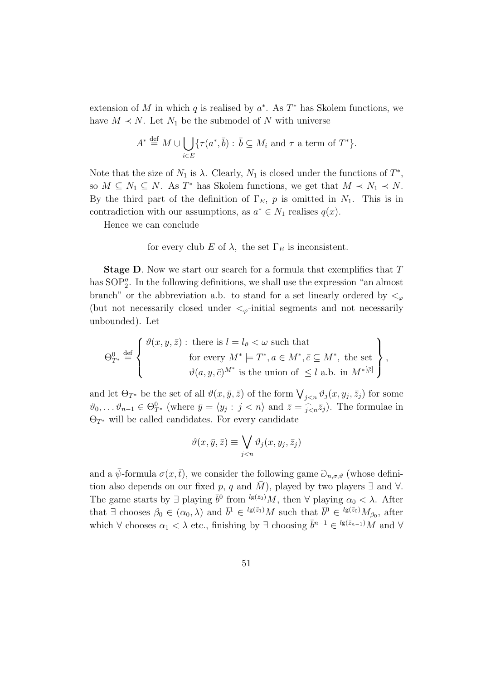extension of M in which q is realised by  $a^*$ . As  $T^*$  has Skolem functions, we have  $M \prec N$ . Let  $N_1$  be the submodel of N with universe

$$
A^* \stackrel{\text{def}}{=} M \cup \bigcup_{i \in E} \{ \tau(a^*, \bar{b}) : \bar{b} \subseteq M_i \text{ and } \tau \text{ a term of } T^* \}.
$$

Note that the size of  $N_1$  is  $\lambda$ . Clearly,  $N_1$  is closed under the functions of  $T^*$ , so  $M \subseteq N_1 \subseteq N$ . As  $T^*$  has Skolem functions, we get that  $M \prec N_1 \prec N$ . By the third part of the definition of  $\Gamma_E$ , p is omitted in  $N_1$ . This is in contradiction with our assumptions, as  $a^* \in N_1$  realises  $q(x)$ .

Hence we can conclude

for every club E of  $\lambda$ , the set  $\Gamma_E$  is inconsistent.

**Stage D.** Now we start our search for a formula that exemplifies that T has  $SOP''_2$ . In the following definitions, we shall use the expression "an almost branch" or the abbreviation a.b. to stand for a set linearly ordered by  $\lt_\varphi$ (but not necessarily closed under  $\lt_{\varphi}$ -initial segments and not necessarily unbounded). Let

$$
\Theta_{T^*}^0 \stackrel{\text{def}}{=} \left\{ \begin{array}{c} \vartheta(x, y, \bar{z}) : \text{ there is } l = l_{\vartheta} < \omega \text{ such that} \\ \text{for every } M^* \models T^*, a \in M^*, \bar{c} \subseteq M^*, \text{ the set} \\ \vartheta(a, y, \bar{c})^{M^*} \text{ is the union of } \leq l \text{ a.b. in } M^{*[\bar{\varphi}]}\end{array} \right\},
$$

and let  $\Theta_{T^*}$  be the set of all  $\vartheta(x,\bar{y},\bar{z})$  of the form  $\bigvee_{j\leq n}\vartheta_j(x,y_j,\bar{z}_j)$  for some  $\vartheta_0,\ldots,\vartheta_{n-1}\in\Theta^0_{T^*}$  (where  $\bar{y}=\langle y_j: j\langle n\rangle \text{ and } \bar{z}=\widehat{j\langle n\bar{z}_j\rangle}$ . The formulae in  $\Theta_{T^*}$  will be called candidates. For every candidate

$$
\vartheta(x,\bar{y},\bar{z}) \equiv \bigvee_{j
$$

and a  $\bar{\psi}$ -formula  $\sigma(x,\bar{t})$ , we consider the following game  $\partial_{n,\sigma,\vartheta}$  (whose definition also depends on our fixed p, q and M), played by two players  $\exists$  and  $\forall$ . The game starts by  $\exists$  playing  $\bar{b}^0$  from <sup>lg( $\bar{z}_0$ </sup>)*M*, then  $\forall$  playing  $\alpha_0 < \lambda$ . After that  $\exists$  chooses  $\beta_0 \in (\alpha_0, \lambda)$  and  $\overline{b}^1 \in {^{\lg(\bar{z}_1)}M}$  such that  $\overline{b}^0 \in {^{\lg(\bar{z}_0)}M_{\beta_0}}$ , after which  $\forall$  chooses  $\alpha_1 < \lambda$  etc., finishing by  $\exists$  choosing  $\bar{b}^{n-1} \in {^{lg(\bar{z}_{n-1})}}M$  and  $\forall$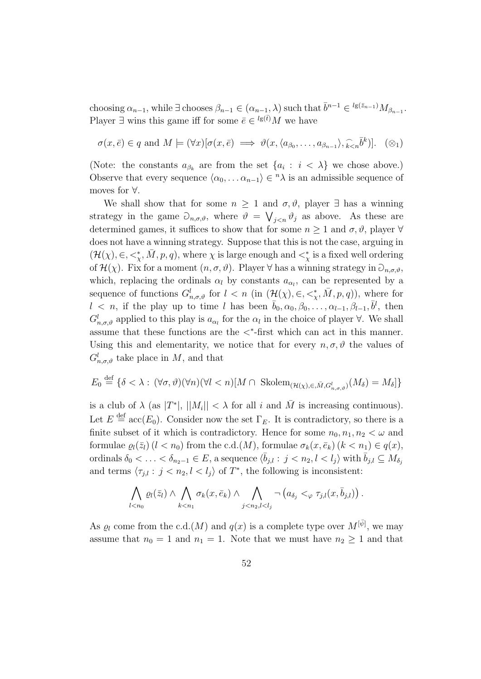choosing  $\alpha_{n-1}$ , while  $\exists$  chooses  $\beta_{n-1} \in (\alpha_{n-1}, \lambda)$  such that  $\bar{b}^{n-1} \in {^{\lg(\bar{z}_{n-1})}} M_{\beta_{n-1}}$ . Player  $\exists$  wins this game iff for some  $\bar{e} \in {}^{lg(\bar{t})}M$  we have

$$
\sigma(x,\bar{e}) \in q \text{ and } M \models (\forall x)[\sigma(x,\bar{e}) \implies \vartheta(x,\langle a_{\beta_0},\ldots,a_{\beta_{n-1}}\rangle,\widehat{k}_{\leq n}\bar{b}^k)]. \quad (\otimes_1)
$$

(Note: the constants  $a_{\beta_k}$  are from the set  $\{a_i : i < \lambda\}$  we chose above.) Observe that every sequence  $\langle \alpha_0, \ldots \alpha_{n-1} \rangle \in {}^n\lambda$  is an admissible sequence of moves for ∀.

We shall show that for some  $n \geq 1$  and  $\sigma, \vartheta$ , player  $\exists$  has a winning strategy in the game  $\partial_{n,\sigma,\vartheta}$ , where  $\vartheta = \bigvee_{j\leq n}\vartheta_j$  as above. As these are determined games, it suffices to show that for some  $n \geq 1$  and  $\sigma, \vartheta$ , player  $\forall$ does not have a winning strategy. Suppose that this is not the case, arguing in  $(\mathcal{H}(\chi), \in, \leq^*_\chi, \bar{M}, p, q)$ , where  $\chi$  is large enough and  $\leq^*_\chi$  is a fixed well ordering of  $\mathcal{H}(\chi)$ . Fix for a moment  $(n, \sigma, \vartheta)$ . Player  $\forall$  has a winning strategy in  $\partial_{n,\sigma,\vartheta}$ , which, replacing the ordinals  $\alpha_l$  by constants  $a_{\alpha_l}$ , can be represented by a sequence of functions  $G_{n,\sigma,\vartheta}^l$  for  $l \leq n$  (in  $(\mathcal{H}(\chi), \in, \leq^*_{\chi}, \bar{M}, p, q)$ ), where for  $l \leq n$ , if the play up to time l has been  $\bar{b}_0, \alpha_0, \beta_0, \ldots, \alpha_{l-1}, \beta_{l-1}, \bar{b}^l$ , then  $G_{n,\sigma,\vartheta}^l$  applied to this play is  $a_{\alpha_l}$  for the  $\alpha_l$  in the choice of player  $\forall$ . We shall assume that these functions are the  $\lt^*$ -first which can act in this manner. Using this and elementarity, we notice that for every  $n, \sigma, \vartheta$  the values of  $G_{n,\sigma,\vartheta}^l$  take place in M, and that

$$
E_0 \stackrel{\text{def}}{=} \{ \delta < \lambda : (\forall \sigma, \vartheta)(\forall n)(\forall l < n)[M \cap \text{Skolem}_{(\mathcal{H}(\chi), \in, \bar{M}, G^l_{n, \sigma, \vartheta})}(M_\delta) = M_\delta] \}
$$

is a club of  $\lambda$  (as  $|T^*|$ ,  $||M_i|| < \lambda$  for all i and  $\overline{M}$  is increasing continuous). Let  $E \stackrel{\text{def}}{=} \text{acc}(E_0)$ . Consider now the set  $\Gamma_E$ . It is contradictory, so there is a finite subset of it which is contradictory. Hence for some  $n_0, n_1, n_2 < \omega$  and formulae  $\varrho_l(\bar{z}_l)$  ( $l < n_0$ ) from the c.d.(M), formulae  $\sigma_k(x, \bar{e}_k)$  ( $k < n_1$ )  $\in q(x)$ , ordinals  $\delta_0 < \ldots < \delta_{n_2-1} \in E$ , a sequence  $\langle \bar{b}_{j,l} : j < n_2, l < l_j \rangle$  with  $\bar{b}_{j,l} \subseteq M_{\delta_j}$ and terms  $\langle \tau_{j,l} : j < n_2, l < l_j \rangle$  of  $T^*$ , the following is inconsistent:

$$
\bigwedge_{l
$$

As  $\varrho_l$  come from the c.d. $(M)$  and  $q(x)$  is a complete type over  $M^{[\bar{\psi}]}$ , we may assume that  $n_0 = 1$  and  $n_1 = 1$ . Note that we must have  $n_2 \geq 1$  and that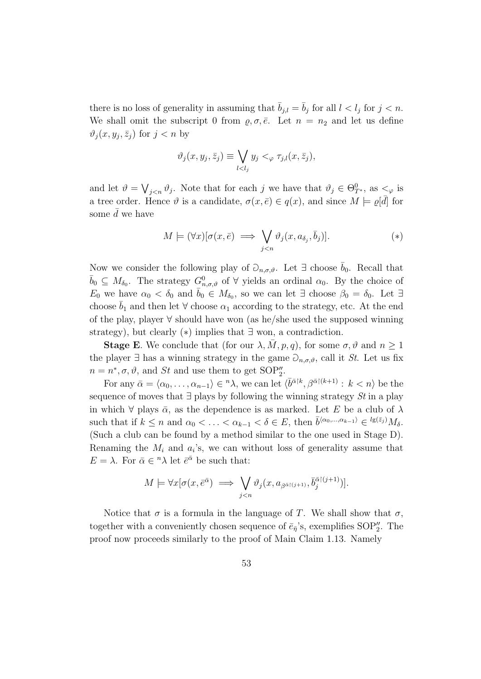there is no loss of generality in assuming that  $\bar{b}_{j,l} = \bar{b}_j$  for all  $l < l_j$  for  $j < n$ . We shall omit the subscript 0 from  $\rho, \sigma, \bar{e}$ . Let  $n = n_2$  and let us define  $\vartheta_j(x, y_j, \bar{z}_j)$  for  $j < n$  by

$$
\vartheta_j(x, y_j, \bar{z}_j) \equiv \bigvee_{l < l_j} y_j <_{\varphi} \tau_{j,l}(x, \bar{z}_j),
$$

and let  $\vartheta = \bigvee_{j \leq n} \vartheta_j$ . Note that for each j we have that  $\vartheta_j \in \Theta_{T^*}^0$ , as  $\lt_{\varphi}$  is a tree order. Hence  $\vartheta$  is a candidate,  $\sigma(x,\bar{e}) \in q(x)$ , and since  $M \models \varrho[\bar{d}]$  for some  $d$  we have

$$
M \models (\forall x) [\sigma(x, \bar{e}) \implies \bigvee_{j < n} \vartheta_j(x, a_{\delta_j}, \bar{b}_j)]. \tag{*}
$$

Now we consider the following play of  $\partial_{n,\sigma,\vartheta}$ . Let  $\exists$  choose  $b_0$ . Recall that  $\bar{b}_0 \subseteq M_{\delta_0}$ . The strategy  $G^0_{n,\sigma,\vartheta}$  of  $\forall$  yields an ordinal  $\alpha_0$ . By the choice of  $E_0$  we have  $\alpha_0 < \delta_0$  and  $\bar{b}_0 \in M_{\delta_0}$ , so we can let  $\exists$  choose  $\beta_0 = \delta_0$ . Let  $\exists$ choose  $\overline{b}_1$  and then let  $\forall$  choose  $\alpha_1$  according to the strategy, etc. At the end of the play, player ∀ should have won (as he/she used the supposed winning strategy), but clearly  $(*)$  implies that  $\exists$  won, a contradiction.

**Stage E**. We conclude that (for our  $\lambda$ ,  $\overline{M}$ ,  $p$ ,  $q$ ), for some  $\sigma$ ,  $\vartheta$  and  $n \geq 1$ the player  $\exists$  has a winning strategy in the game  $\partial_{n,\sigma,\vartheta}$ , call it St. Let us fix  $n = n^*, \sigma, \vartheta$ , and St and use them to get SOP''.

For any  $\bar{\alpha} = \langle \alpha_0, \ldots, \alpha_{n-1} \rangle \in {}^n \lambda$ , we can let  $\langle \bar{b}^{\bar{\alpha} | k}, \beta^{\bar{\alpha} | (k+1)} : k \langle n \rangle$  be the sequence of moves that  $\exists$  plays by following the winning strategy St in a play in which  $\forall$  plays  $\bar{\alpha}$ , as the dependence is as marked. Let E be a club of  $\lambda$ such that if  $k \leq n$  and  $\alpha_0 < \ldots < \alpha_{k-1} < \delta \in E$ , then  $\bar{b}^{(\alpha_0,\ldots,\alpha_{k-1})} \in {^{l}g(\bar{z}_j)}M_\delta$ . (Such a club can be found by a method similar to the one used in Stage D). Renaming the  $M_i$  and  $a_i$ 's, we can without loss of generality assume that  $E = \lambda$ . For  $\bar{\alpha} \in {}^{n} \lambda$  let  $\bar{e}^{\bar{\alpha}}$  be such that:

$$
M \models \forall x [\sigma(x, \bar{e}^{\bar{\alpha}}) \implies \bigvee_{j < n} \vartheta_j(x, a_{\beta^{\bar{\alpha} \restriction (j+1)}}, \bar{b}^{\bar{\alpha} \restriction (j+1)}_j)].
$$

Notice that  $\sigma$  is a formula in the language of T. We shall show that  $\sigma$ , together with a conveniently chosen sequence of  $\bar{e}_{\bar{\eta}}$ 's, exemplifies SOP''. The proof now proceeds similarly to the proof of Main Claim 1.13. Namely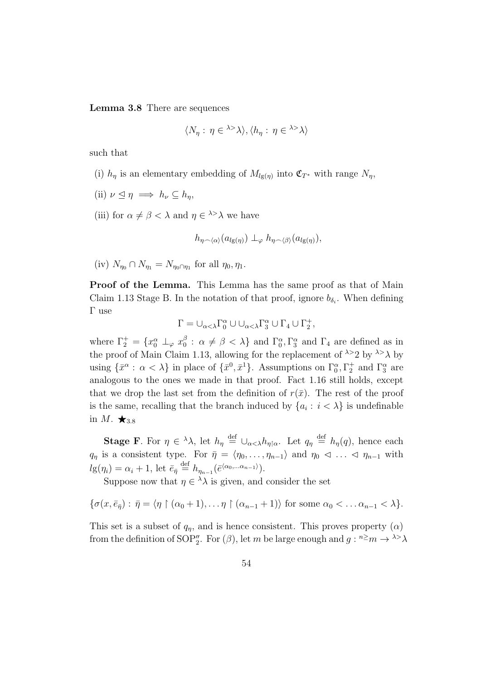Lemma 3.8 There are sequences

$$
\langle N_{\eta} : \eta \in {}^{\lambda >} \lambda \rangle, \langle h_{\eta} : \eta \in {}^{\lambda >} \lambda \rangle
$$

such that

- (i)  $h_{\eta}$  is an elementary embedding of  $M_{lg(\eta)}$  into  $\mathfrak{C}_{T^*}$  with range  $N_{\eta}$ ,
- (ii)  $\nu \leq \eta \implies h_{\nu} \subseteq h_{\eta}$ ,
- (iii) for  $\alpha \neq \beta < \lambda$  and  $\eta \in \lambda > \lambda$  we have

$$
h_{\eta \smallfrown \langle \alpha \rangle}(a_{lg(\eta)}) \perp_{\varphi} h_{\eta \smallfrown \langle \beta \rangle}(a_{lg(\eta)}),
$$

(iv)  $N_{\eta_0} \cap N_{\eta_1} = N_{\eta_0 \cap \eta_1}$  for all  $\eta_0, \eta_1$ .

Proof of the Lemma. This Lemma has the same proof as that of Main Claim 1.13 Stage B. In the notation of that proof, ignore  $b_{\delta_i}$ . When defining Γ use

$$
\Gamma=\cup_{\alpha<\lambda}\Gamma_0^\alpha\cup\cup_{\alpha<\lambda}\Gamma_3^\alpha\cup\Gamma_4\cup\Gamma_2^+,
$$

where  $\Gamma_2^+ = \{x_0^\alpha \perp_\varphi x_0^\beta\}$  $\beta_0$ :  $\alpha \neq \beta < \lambda$  and  $\Gamma_0^{\alpha}, \Gamma_3^{\alpha}$  and  $\Gamma_4$  are defined as in the proof of Main Claim 1.13, allowing for the replacement of  $\lambda > 2$  by  $\lambda > \lambda$  by using  $\{\bar{x}^{\alpha} : \alpha < \lambda\}$  in place of  $\{\bar{x}^0, \bar{x}^1\}$ . Assumptions on  $\Gamma_0^{\alpha}, \Gamma_2^+$  and  $\Gamma_3^{\alpha}$  are analogous to the ones we made in that proof. Fact 1.16 still holds, except that we drop the last set from the definition of  $r(\bar{x})$ . The rest of the proof is the same, recalling that the branch induced by  $\{a_i : i < \lambda\}$  is undefinable in  $M. \bigstar_{3.8}$ 

**Stage F**. For  $\eta \in {}^{\lambda}\lambda$ , let  $h_{\eta} \stackrel{\text{def}}{=} \bigcup_{\alpha < \lambda} h_{\eta} {\restriction} \alpha$ . Let  $q_{\eta} \stackrel{\text{def}}{=} h_{\eta}(q)$ , hence each  $q_{\eta}$  is a consistent type. For  $\bar{\eta} = \langle \eta_0, \ldots, \eta_{n-1} \rangle$  and  $\eta_0 \leq \ldots \leq \eta_{n-1}$  with  $lg(\eta_i) = \alpha_i + 1$ , let  $\bar{e}_{\bar{\eta}} \stackrel{\text{def}}{=} h_{\eta_{n-1}}(\bar{e}^{\langle \alpha_0, \dots \alpha_{n-1} \rangle}).$ 

Suppose now that  $\eta \in \lambda \lambda$  is given, and consider the set

$$
\{\sigma(x,\bar{e}_{\bar{\eta}}):\ \bar{\eta}=\langle\eta\restriction(\alpha_0+1),\ldots\eta\restriction(\alpha_{n-1}+1)\rangle\ \text{for some}\ \alpha_0<\ldots\alpha_{n-1}<\lambda\}.
$$

This set is a subset of  $q_n$ , and is hence consistent. This proves property  $(\alpha)$ from the definition of SOP". For  $(\beta)$ , let m be large enough and  $g: \mathbb{R}^2 \to \mathbb{R}^2$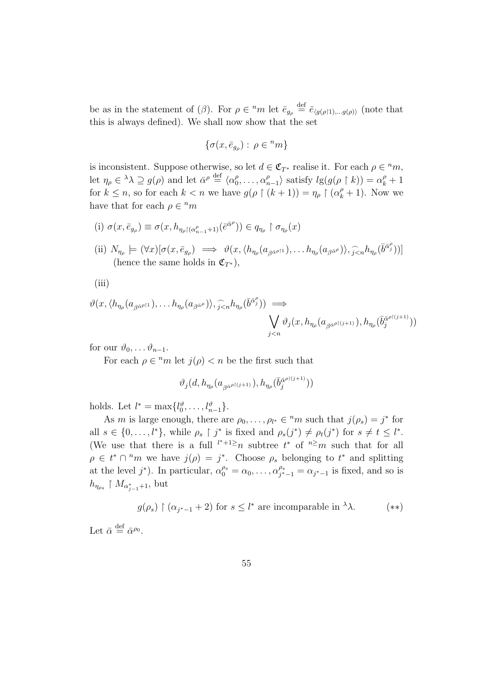be as in the statement of  $(\beta)$ . For  $\rho \in {}^nm$  let  $\bar{e}_{g_\rho} \stackrel{\text{def}}{=} \bar{e}_{\langle g(\rho|1), \dots, g(\rho) \rangle}$  (note that this is always defined). We shall now show that the set

$$
\{\sigma(x,\bar{e}_{g_{\rho}}): \,\rho\in{}^{n}m\}
$$

is inconsistent. Suppose otherwise, so let  $d \in \mathfrak{C}_{T^*}$  realise it. For each  $\rho \in {}^nm$ , let  $\eta_{\rho} \in {}^{\lambda} \lambda \supseteq g(\rho)$  and let  $\bar{\alpha}^{\rho} \stackrel{\text{def}}{=} \langle \alpha_0^{\rho} \rangle$  $\alpha_0^{\rho}, \ldots, \alpha_n^{\rho}$  $\binom{\rho}{n-1}$  satisfy  $lg(g(\rho \upharpoonright k)) = \alpha_k^{\rho} + 1$ for  $k \leq n$ , so for each  $k < n$  we have  $g(\rho \restriction (k+1)) = \eta_{\rho} \restriction (\alpha_k^{\rho} + 1)$ . Now we have that for each  $\rho \in {}^nm$ 

(i) 
$$
\sigma(x, \bar{e}_{g_{\rho}}) \equiv \sigma(x, h_{\eta_{\rho} \restriction (\alpha_{n-1}^{\rho}+1)}(\bar{e}^{\bar{\alpha}^{\rho}})) \in q_{\eta_{\rho}} \restriction \sigma_{\eta_{\rho}}(x)
$$
  
\n(ii)  $N_{\eta_{\rho}} \models (\forall x) [\sigma(x, \bar{e}_{g_{\rho}}) \implies \vartheta(x, \langle h_{\eta_{\rho}}(a_{\beta^{\bar{\alpha}}^{\rho+1}}), \dots, h_{\eta_{\rho}}(a_{\beta^{\bar{\alpha}}^{\rho}}) \rangle, \widehat{j}_{\leq n} h_{\eta_{\rho}}(\bar{b}^{\bar{\alpha}^{\rho}_{j}}))]$   
\n(horse the same holds in  $\mathfrak{F}$ .)

(hence the same holds in  $\mathfrak{C}_{T^*}$ ),

$$
(iii)
$$

$$
\vartheta(x, \langle h_{\eta_{\rho}}(a_{\beta^{\bar{\alpha}^{\rho+1}}}), \dots, h_{\eta_{\rho}}(a_{\beta^{\bar{\alpha}^{\rho}}})\rangle, \widehat{j}_{\leq n}h_{\eta_{\rho}}(\bar{b}^{\bar{\alpha}^{\rho}_{j}})) \implies \qquad \qquad \bigvee_{j\leq n} \vartheta_{j}(x, h_{\eta_{\rho}}(a_{\beta^{\bar{\alpha}^{\rho+1}}}), h_{\eta_{\rho}}(\bar{b}^{\bar{\alpha}^{\rho+1}}_{j}))
$$

for our  $\vartheta_0, \ldots \vartheta_{n-1}$ .

For each  $\rho \in {}^{n}m$  let  $j(\rho) < n$  be the first such that

$$
\vartheta_j(d,h_{\eta_\rho}(a_{\beta^{\bar\alpha^{\rho \restriction (j+1)}}}),h_{\eta_\rho}(\bar b^{\bar\alpha^{\rho \restriction (j+1)}}_j))
$$

holds. Let  $l^* = \max\{l_0^{\vartheta}, \ldots, l_{n-1}^{\vartheta}\}.$ 

As m is large enough, there are  $\rho_0, \ldots, \rho_{l^*} \in {}^n m$  such that  $j(\rho_s) = j^*$  for all  $s \in \{0, \ldots, l^*\}$ , while  $\rho_s \restriction j^*$  is fixed and  $\rho_s(j^*) \neq \rho_t(j^*)$  for  $s \neq t \leq l^*$ . (We use that there is a full  $\ell^{*+1\geq}n$  subtree  $t^{*}$  of  $\ell^{*}m$  such that for all  $\rho \in t^* \cap {}^n m$  we have  $j(\rho) = j^*$ . Choose  $\rho_s$  belonging to  $t^*$  and splitting at the level  $j^*$ ). In particular,  $\alpha_0^{\rho_s} = \alpha_0, \ldots, \alpha_{j^*}^{\rho_s}$  $j_{j^*-1}^{\rho_s} = \alpha_{j^*-1}$  is fixed, and so is  $h_{\eta_{\rho_s}} \restriction M_{\alpha_{j-1}^*+1}, \text{ but}$ 

$$
g(\rho_s) \upharpoonright (\alpha_{j^*-1} + 2)
$$
 for  $s \le l^*$  are incomparable in  $^{\lambda}\lambda$ . (\*)

Let  $\bar{\alpha} \stackrel{\text{def}}{=} \bar{\alpha}^{\rho_0}.$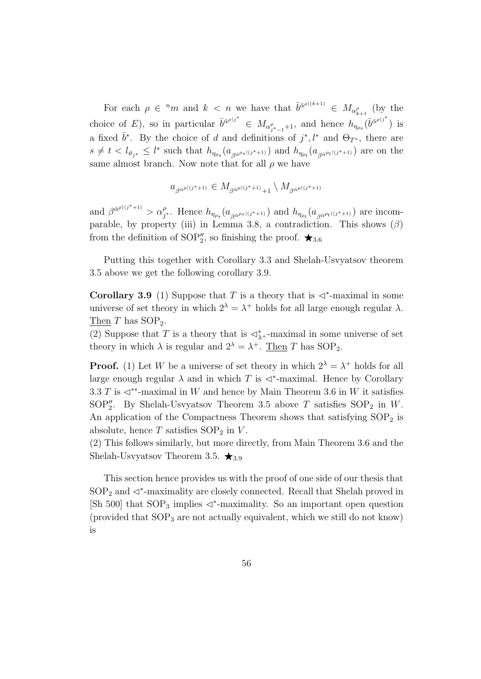For each  $\rho \in {}^{n}m$  and  $k < n$  we have that  $\bar{b}^{\bar{\alpha}^{\rho}[(k+1)]} \in M_{\alpha^{\rho}_{k+1}}$  (by the choice of E), so in particular  $\bar{b}^{\bar{\alpha}^{\rho} \bar{b}^*} \in M_{\alpha^{\rho}_{\bar{j}^*-1}+1}$ , and hence  $h_{\eta_{\rho_s}}(\bar{b}^{\bar{\alpha}^{\rho} \bar{b}^*})$  is a fixed  $\bar{b}^*$ . By the choice of d and definitions of  $j^*, l^*$  and  $\Theta_{T^*}$ , there are  $s \neq t < l_{\vartheta_{j^*}} \leq l^*$  such that  $h_{\eta_{\rho_s}}(a_{\beta^{\bar{\alpha}^{\rho_s}}(j^*+1)})$  and  $h_{\eta_{\rho_t}}(a_{\beta^{\bar{\alpha}^{\rho_t}}(j^*+1)})$  are on the same almost branch. Now note that for all  $\rho$  we have

$$
a_{\beta^{\bar{\alpha}^{\rho \restriction (j^*+1)}}} \in M_{\beta^{\bar{\alpha}^{\rho \restriction (j^*+1)}}+1} \setminus M_{\beta^{\bar{\alpha}^{\rho \restriction (j^*+1)}}}
$$

and  $\beta^{\bar{\alpha}^{\rho\restriction(j^*+1)}} > \alpha_{j^*}^{\rho}$ . Hence  $h_{\eta_{\rho_s}}(a_{\beta^{\bar{\alpha}^{\rho_s}\restriction(j^*+1)}})$  and  $h_{\eta_{\rho_t}}(a_{\beta^{\bar{\alpha}^{\rho_t}\restriction(j^*+1)}})$  are incomparable, by property (iii) in Lemma 3.8, a contradiction. This shows  $(\beta)$ from the definition of SOP<sup>''</sup><sub>2</sub>, so finishing the proof.  $\star$ <sub>3.6</sub>

Putting this together with Corollary 3.3 and Shelah-Usvyatsov theorem 3.5 above we get the following corollary 3.9.

Corollary 3.9 (1) Suppose that T is a theory that is  $\triangleleft^*$ -maximal in some universe of set theory in which  $2^{\lambda} = \lambda^+$  holds for all large enough regular  $\lambda$ . Then  $T$  has  $SOP_2$ .

(2) Suppose that T is a theory that is  $\triangleleft^*_{\lambda^+}$ -maximal in some universe of set theory in which  $\lambda$  is regular and  $2^{\lambda} = \lambda^+$ . Then T has SOP<sub>2</sub>.

**Proof.** (1) Let W be a universe of set theory in which  $2^{\lambda} = \lambda^+$  holds for all large enough regular  $\lambda$  and in which T is  $\triangleleft^*$ -maximal. Hence by Corollary 3.3 T is  $\triangleleft^*$ -maximal in W and hence by Main Theorem 3.6 in W it satisfies SOP<sup>"</sup><sub>2</sub>. By Shelah-Usvyatsov Theorem 3.5 above T satisfies  $SOP_2$  in W. An application of the Compactness Theorem shows that satisfying  $SOP<sub>2</sub>$  is absolute, hence  $T$  satisfies  $SOP_2$  in  $V$ .

(2) This follows similarly, but more directly, from Main Theorem 3.6 and the Shelah-Usvyatsov Theorem 3.5.  $\star_{3.9}$ 

This section hence provides us with the proof of one side of our thesis that  $SOP<sub>2</sub>$  and  $\lhd^*$ -maximality are closely connected. Recall that Shelah proved in [Sh 500] that  $SOP_3$  implies  $\triangleleft^*$ -maximality. So an important open question (provided that  $SOP_3$  are not actually equivalent, which we still do not know) is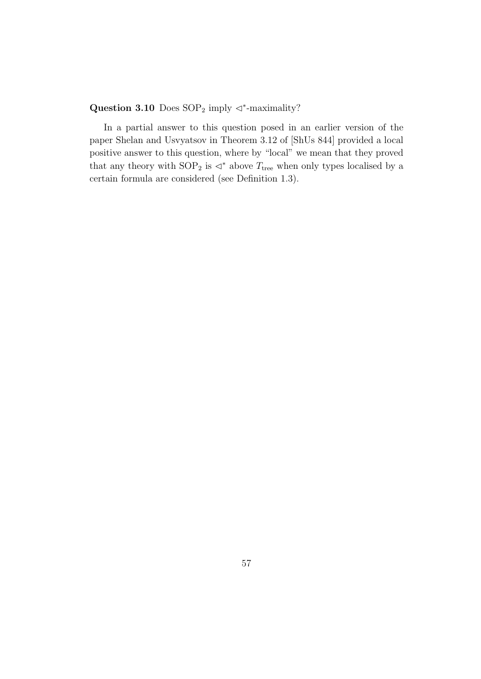Question 3.10 Does  $SOP_2$  imply  $\triangleleft^*$ -maximality?

In a partial answer to this question posed in an earlier version of the paper Shelan and Usvyatsov in Theorem 3.12 of [ShUs 844] provided a local positive answer to this question, where by "local" we mean that they proved that any theory with  $\text{SOP}_2$  is  $\lhd^*$  above  $T_\text{tree}$  when only types localised by a certain formula are considered (see Definition 1.3).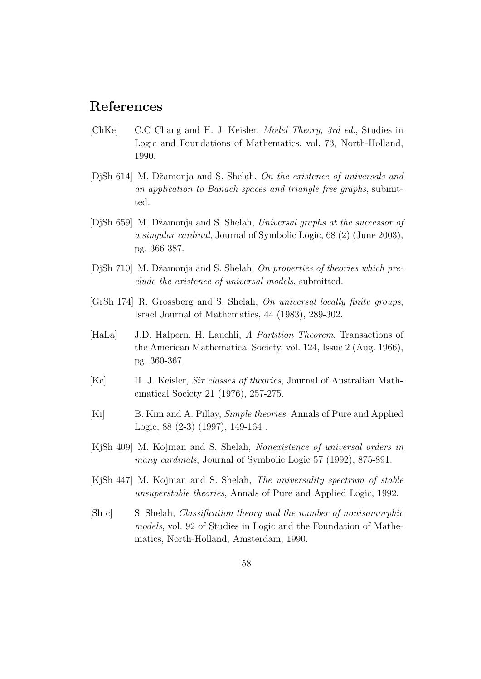## References

- [ChKe] C.C Chang and H. J. Keisler, Model Theory, 3rd ed., Studies in Logic and Foundations of Mathematics, vol. 73, North-Holland, 1990.
- [DiSh 614] M. Džamonja and S. Shelah, On the existence of universals and an application to Banach spaces and triangle free graphs, submitted.
- [DjSh 659] M. Džamonja and S. Shelah, Universal graphs at the successor of a singular cardinal, Journal of Symbolic Logic, 68 (2) (June 2003), pg. 366-387.
- [DjSh 710] M. Džamonja and S. Shelah, On properties of theories which preclude the existence of universal models, submitted.
- [GrSh 174] R. Grossberg and S. Shelah, On universal locally finite groups, Israel Journal of Mathematics, 44 (1983), 289-302.
- [HaLa] J.D. Halpern, H. Lauchli, A Partition Theorem, Transactions of the American Mathematical Society, vol. 124, Issue 2 (Aug. 1966), pg. 360-367.
- [Ke] H. J. Keisler, Six classes of theories, Journal of Australian Mathematical Society 21 (1976), 257-275.
- [Ki] B. Kim and A. Pillay, *Simple theories*, Annals of Pure and Applied Logic, 88 (2-3) (1997), 149-164 .
- [KjSh 409] M. Kojman and S. Shelah, Nonexistence of universal orders in many cardinals, Journal of Symbolic Logic 57 (1992), 875-891.
- [KjSh 447] M. Kojman and S. Shelah, The universality spectrum of stable unsuperstable theories, Annals of Pure and Applied Logic, 1992.
- [Sh c] S. Shelah, Classification theory and the number of nonisomorphic models, vol. 92 of Studies in Logic and the Foundation of Mathematics, North-Holland, Amsterdam, 1990.